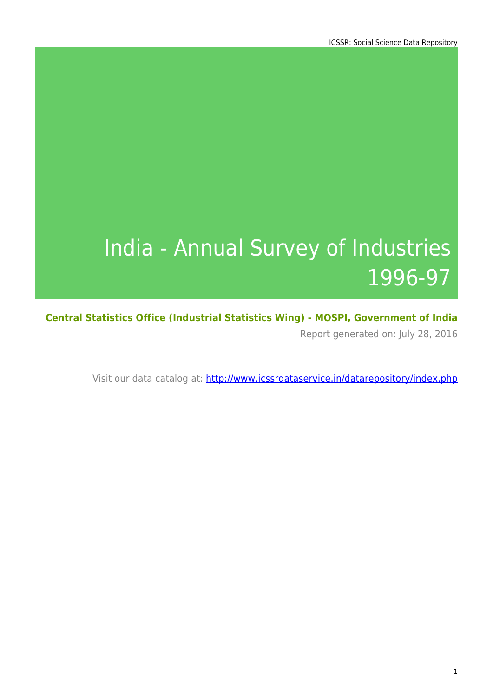# India - Annual Survey of Industries 1996-97

**Central Statistics Office (Industrial Statistics Wing) - MOSPI, Government of India** Report generated on: July 28, 2016

Visit our data catalog at: http://www.icssrdataservice.in/datarepository/index.php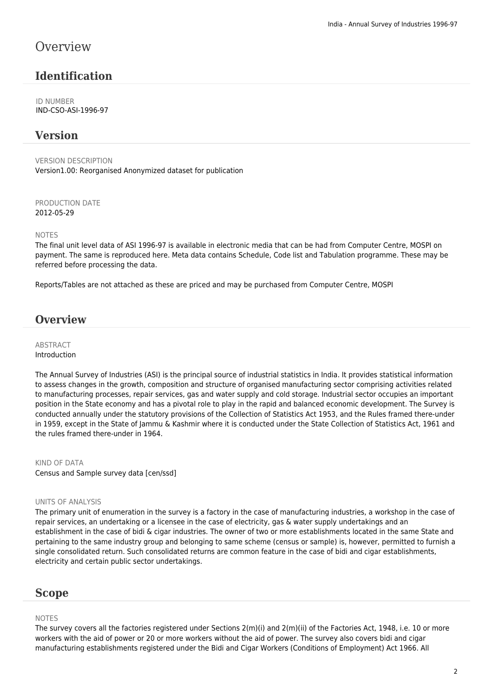### **Overview**

### **Identification**

ID NUMBER IND-CSO-ASI-1996-97

#### **Version**

VERSION DESCRIPTION Version1.00: Reorganised Anonymized dataset for publication

PRODUCTION DATE 2012-05-29

NOTES

The final unit level data of ASI 1996-97 is available in electronic media that can be had from Computer Centre, MOSPI on payment. The same is reproduced here. Meta data contains Schedule, Code list and Tabulation programme. These may be referred before processing the data.

Reports/Tables are not attached as these are priced and may be purchased from Computer Centre, MOSPI

#### **Overview**

#### **ABSTRACT** Introduction

The Annual Survey of Industries (ASI) is the principal source of industrial statistics in India. It provides statistical information to assess changes in the growth, composition and structure of organised manufacturing sector comprising activities related to manufacturing processes, repair services, gas and water supply and cold storage. Industrial sector occupies an important position in the State economy and has a pivotal role to play in the rapid and balanced economic development. The Survey is conducted annually under the statutory provisions of the Collection of Statistics Act 1953, and the Rules framed there-under in 1959, except in the State of Jammu & Kashmir where it is conducted under the State Collection of Statistics Act, 1961 and the rules framed there-under in 1964.

KIND OF DATA Census and Sample survey data [cen/ssd]

#### UNITS OF ANALYSIS

The primary unit of enumeration in the survey is a factory in the case of manufacturing industries, a workshop in the case of repair services, an undertaking or a licensee in the case of electricity, gas & water supply undertakings and an establishment in the case of bidi & cigar industries. The owner of two or more establishments located in the same State and pertaining to the same industry group and belonging to same scheme (census or sample) is, however, permitted to furnish a single consolidated return. Such consolidated returns are common feature in the case of bidi and cigar establishments, electricity and certain public sector undertakings.

#### **Scope**

#### NOTES

The survey covers all the factories registered under Sections 2(m)(i) and 2(m)(ii) of the Factories Act, 1948, i.e. 10 or more workers with the aid of power or 20 or more workers without the aid of power. The survey also covers bidi and cigar manufacturing establishments registered under the Bidi and Cigar Workers (Conditions of Employment) Act 1966. All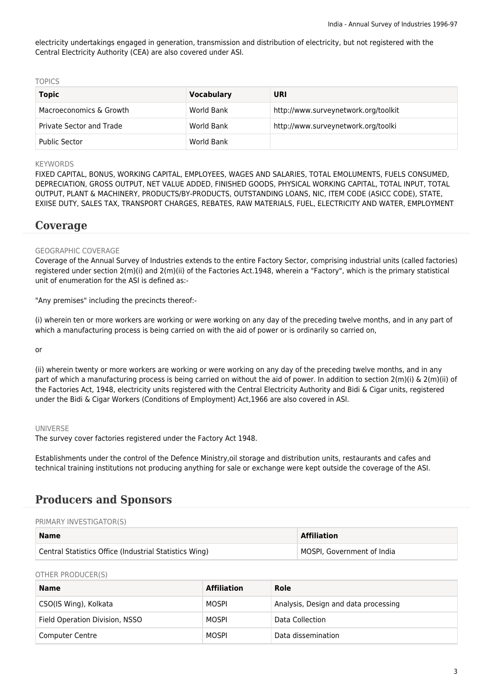electricity undertakings engaged in generation, transmission and distribution of electricity, but not registered with the Central Electricity Authority (CEA) are also covered under ASI.

TOPICS

| <b>Topic</b>                    | <b>Vocabulary</b> | <b>URI</b>                           |
|---------------------------------|-------------------|--------------------------------------|
| Macroeconomics & Growth         | World Bank        | http://www.surveynetwork.org/toolkit |
| <b>Private Sector and Trade</b> | World Bank        | http://www.surveynetwork.org/toolki  |
| <b>Public Sector</b>            | World Bank        |                                      |

#### **KEYWORDS**

FIXED CAPITAL, BONUS, WORKING CAPITAL, EMPLOYEES, WAGES AND SALARIES, TOTAL EMOLUMENTS, FUELS CONSUMED, DEPRECIATION, GROSS OUTPUT, NET VALUE ADDED, FINISHED GOODS, PHYSICAL WORKING CAPITAL, TOTAL INPUT, TOTAL OUTPUT, PLANT & MACHINERY, PRODUCTS/BY-PRODUCTS, OUTSTANDING LOANS, NIC, ITEM CODE (ASICC CODE), STATE, EXIISE DUTY, SALES TAX, TRANSPORT CHARGES, REBATES, RAW MATERIALS, FUEL, ELECTRICITY AND WATER, EMPLOYMENT

#### **Coverage**

#### GEOGRAPHIC COVERAGE

Coverage of the Annual Survey of Industries extends to the entire Factory Sector, comprising industrial units (called factories) registered under section 2(m)(i) and 2(m)(ii) of the Factories Act.1948, wherein a "Factory", which is the primary statistical unit of enumeration for the ASI is defined as:-

"Any premises" including the precincts thereof:-

(i) wherein ten or more workers are working or were working on any day of the preceding twelve months, and in any part of which a manufacturing process is being carried on with the aid of power or is ordinarily so carried on,

or

(ii) wherein twenty or more workers are working or were working on any day of the preceding twelve months, and in any part of which a manufacturing process is being carried on without the aid of power. In addition to section 2(m)(i) & 2(m)(ii) of the Factories Act, 1948, electricity units registered with the Central Electricity Authority and Bidi & Cigar units, registered under the Bidi & Cigar Workers (Conditions of Employment) Act,1966 are also covered in ASI.

#### UNIVERSE

The survey cover factories registered under the Factory Act 1948.

Establishments under the control of the Defence Ministry,oil storage and distribution units, restaurants and cafes and technical training institutions not producing anything for sale or exchange were kept outside the coverage of the ASI.

#### **Producers and Sponsors**

#### PRIMARY INVESTIGATOR(S)

| <b>Name</b>                                            | <b>Affiliation</b>         |
|--------------------------------------------------------|----------------------------|
| Central Statistics Office (Industrial Statistics Wing) | MOSPI, Government of India |

OTHER PRODUCER(S)

| <b>Name</b>                    | <b>Affiliation</b> | Role                                 |
|--------------------------------|--------------------|--------------------------------------|
| CSO(IS Wing), Kolkata          | MOSPI              | Analysis, Design and data processing |
| Field Operation Division, NSSO | MOSPI              | Data Collection                      |
| <b>Computer Centre</b>         | MOSPI              | Data dissemination                   |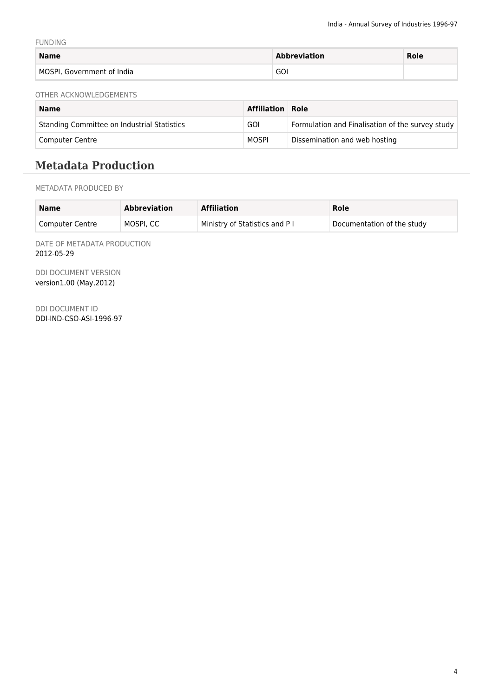FUNDING

| <b>Name</b>                | <b>Abbreviation</b> | <b>Role</b> |
|----------------------------|---------------------|-------------|
| MOSPI, Government of India | GOI                 |             |

OTHER ACKNOWLEDGEMENTS

| <b>Name</b>                                 | <b>Affiliation Role</b> |                                                  |
|---------------------------------------------|-------------------------|--------------------------------------------------|
| Standing Committee on Industrial Statistics | <b>GOI</b>              | Formulation and Finalisation of the survey study |
| Computer Centre                             | MOSPI                   | Dissemination and web hosting                    |

# **Metadata Production**

METADATA PRODUCED BY

| <b>Name</b>            | <b>Abbreviation</b> | <b>Affiliation</b>             | Role                       |
|------------------------|---------------------|--------------------------------|----------------------------|
| <b>Computer Centre</b> | MOSPI. CC           | Ministry of Statistics and P I | Documentation of the study |

DATE OF METADATA PRODUCTION 2012-05-29

DDI DOCUMENT VERSION version1.00 (May,2012)

DDI DOCUMENT ID DDI-IND-CSO-ASI-1996-97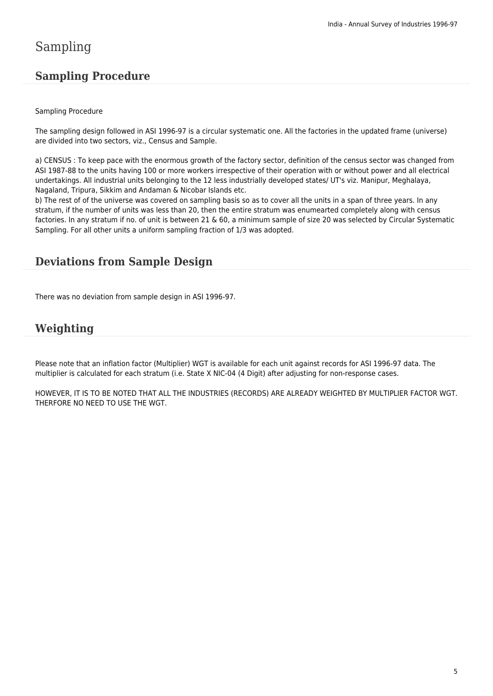# Sampling

### **Sampling Procedure**

#### Sampling Procedure

The sampling design followed in ASI 1996-97 is a circular systematic one. All the factories in the updated frame (universe) are divided into two sectors, viz., Census and Sample.

a) CENSUS : To keep pace with the enormous growth of the factory sector, definition of the census sector was changed from ASI 1987-88 to the units having 100 or more workers irrespective of their operation with or without power and all electrical undertakings. All industrial units belonging to the 12 less industrially developed states/ UT's viz. Manipur, Meghalaya, Nagaland, Tripura, Sikkim and Andaman & Nicobar Islands etc.

b) The rest of of the universe was covered on sampling basis so as to cover all the units in a span of three years. In any stratum, if the number of units was less than 20, then the entire stratum was enumearted completely along with census factories. In any stratum if no. of unit is between 21 & 60, a minimum sample of size 20 was selected by Circular Systematic Sampling. For all other units a uniform sampling fraction of 1/3 was adopted.

### **Deviations from Sample Design**

There was no deviation from sample design in ASI 1996-97.

### **Weighting**

Please note that an inflation factor (Multiplier) WGT is available for each unit against records for ASI 1996-97 data. The multiplier is calculated for each stratum (i.e. State X NIC-04 (4 Digit) after adjusting for non-response cases.

HOWEVER, IT IS TO BE NOTED THAT ALL THE INDUSTRIES (RECORDS) ARE ALREADY WEIGHTED BY MULTIPLIER FACTOR WGT. THERFORE NO NEED TO USE THE WGT.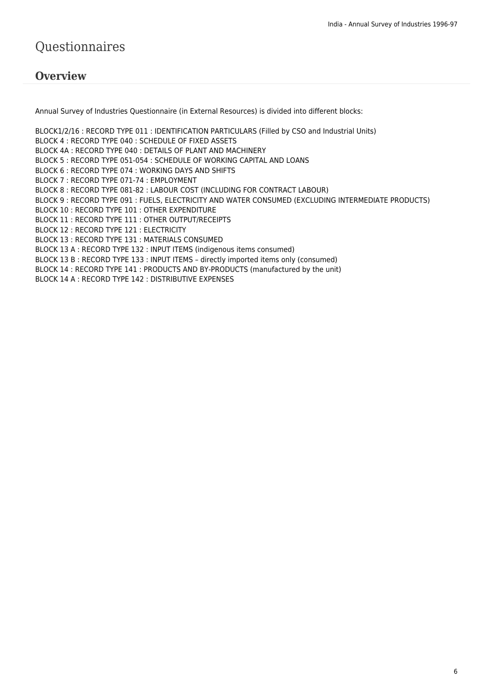# Questionnaires

#### **Overview**

Annual Survey of Industries Questionnaire (in External Resources) is divided into different blocks:

BLOCK1/2/16 : RECORD TYPE 011 : IDENTIFICATION PARTICULARS (Filled by CSO and Industrial Units) BLOCK 4 : RECORD TYPE 040 : SCHEDULE OF FIXED ASSETS BLOCK 4A : RECORD TYPE 040 : DETAILS OF PLANT AND MACHINERY BLOCK 5 : RECORD TYPE 051-054 : SCHEDULE OF WORKING CAPITAL AND LOANS BLOCK 6 : RECORD TYPE 074 : WORKING DAYS AND SHIFTS BLOCK 7 : RECORD TYPE 071-74 : EMPLOYMENT BLOCK 8 : RECORD TYPE 081-82 : LABOUR COST (INCLUDING FOR CONTRACT LABOUR) BLOCK 9 : RECORD TYPE 091 : FUELS, ELECTRICITY AND WATER CONSUMED (EXCLUDING INTERMEDIATE PRODUCTS) BLOCK 10 : RECORD TYPE 101 : OTHER EXPENDITURE BLOCK 11 : RECORD TYPE 111 : OTHER OUTPUT/RECEIPTS BLOCK 12 : RECORD TYPE 121 : ELECTRICITY BLOCK 13 : RECORD TYPE 131 : MATERIALS CONSUMED BLOCK 13 A : RECORD TYPE 132 : INPUT ITEMS (indigenous items consumed) BLOCK 13 B : RECORD TYPE 133 : INPUT ITEMS – directly imported items only (consumed) BLOCK 14 : RECORD TYPE 141 : PRODUCTS AND BY-PRODUCTS (manufactured by the unit) BLOCK 14 A : RECORD TYPE 142 : DISTRIBUTIVE EXPENSES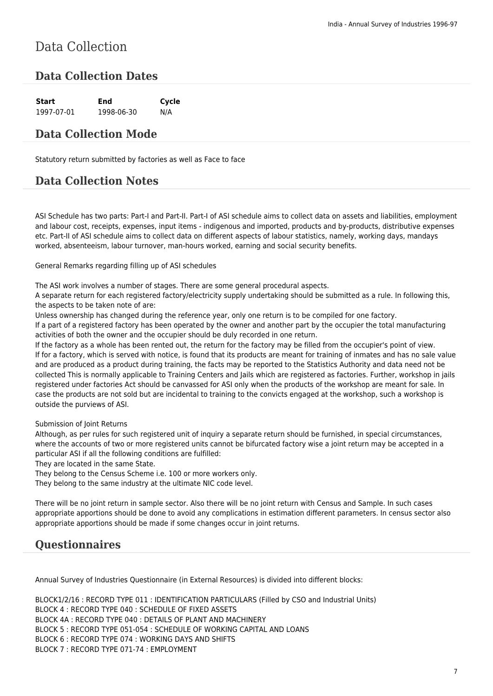# Data Collection

### **Data Collection Dates**

| Start      | End        | Cycle |
|------------|------------|-------|
| 1997-07-01 | 1998-06-30 | N/A   |

#### **Data Collection Mode**

Statutory return submitted by factories as well as Face to face

### **Data Collection Notes**

ASI Schedule has two parts: Part-I and Part-II. Part-I of ASI schedule aims to collect data on assets and liabilities, employment and labour cost, receipts, expenses, input items - indigenous and imported, products and by-products, distributive expenses etc. Part-II of ASI schedule aims to collect data on different aspects of labour statistics, namely, working days, mandays worked, absenteeism, labour turnover, man-hours worked, earning and social security benefits.

General Remarks regarding filling up of ASI schedules

The ASI work involves a number of stages. There are some general procedural aspects.

A separate return for each registered factory/electricity supply undertaking should be submitted as a rule. In following this, the aspects to be taken note of are:

Unless ownership has changed during the reference year, only one return is to be compiled for one factory.

If a part of a registered factory has been operated by the owner and another part by the occupier the total manufacturing activities of both the owner and the occupier should be duly recorded in one return.

If the factory as a whole has been rented out, the return for the factory may be filled from the occupier's point of view. If for a factory, which is served with notice, is found that its products are meant for training of inmates and has no sale value and are produced as a product during training, the facts may be reported to the Statistics Authority and data need not be collected This is normally applicable to Training Centers and Jails which are registered as factories. Further, workshop in jails registered under factories Act should be canvassed for ASI only when the products of the workshop are meant for sale. In case the products are not sold but are incidental to training to the convicts engaged at the workshop, such a workshop is outside the purviews of ASI.

Submission of Joint Returns

Although, as per rules for such registered unit of inquiry a separate return should be furnished, in special circumstances, where the accounts of two or more registered units cannot be bifurcated factory wise a joint return may be accepted in a particular ASI if all the following conditions are fulfilled:

They are located in the same State.

They belong to the Census Scheme i.e. 100 or more workers only.

They belong to the same industry at the ultimate NIC code level.

There will be no joint return in sample sector. Also there will be no joint return with Census and Sample. In such cases appropriate apportions should be done to avoid any complications in estimation different parameters. In census sector also appropriate apportions should be made if some changes occur in joint returns.

### **Questionnaires**

Annual Survey of Industries Questionnaire (in External Resources) is divided into different blocks:

BLOCK1/2/16 : RECORD TYPE 011 : IDENTIFICATION PARTICULARS (Filled by CSO and Industrial Units) BLOCK 4 : RECORD TYPE 040 : SCHEDULE OF FIXED ASSETS BLOCK 4A : RECORD TYPE 040 : DETAILS OF PLANT AND MACHINERY BLOCK 5 : RECORD TYPE 051-054 : SCHEDULE OF WORKING CAPITAL AND LOANS BLOCK 6 : RECORD TYPE 074 : WORKING DAYS AND SHIFTS BLOCK 7 : RECORD TYPE 071-74 : EMPLOYMENT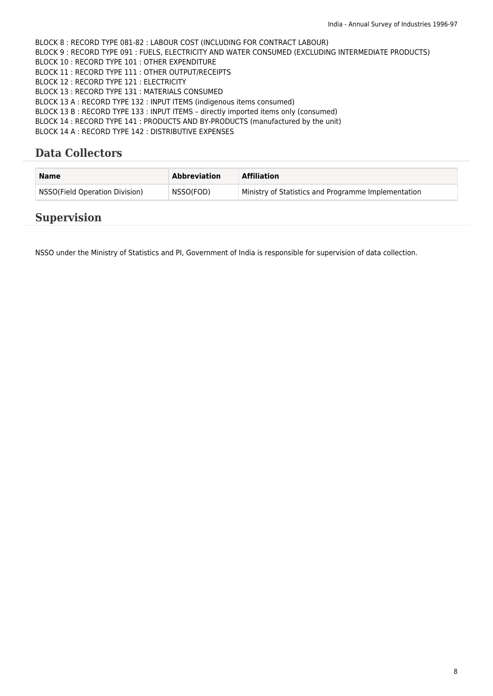BLOCK 8 : RECORD TYPE 081-82 : LABOUR COST (INCLUDING FOR CONTRACT LABOUR) BLOCK 9 : RECORD TYPE 091 : FUELS, ELECTRICITY AND WATER CONSUMED (EXCLUDING INTERMEDIATE PRODUCTS) BLOCK 10 : RECORD TYPE 101 : OTHER EXPENDITURE BLOCK 11 : RECORD TYPE 111 : OTHER OUTPUT/RECEIPTS BLOCK 12 : RECORD TYPE 121 : ELECTRICITY BLOCK 13 : RECORD TYPE 131 : MATERIALS CONSUMED BLOCK 13 A : RECORD TYPE 132 : INPUT ITEMS (indigenous items consumed) BLOCK 13 B : RECORD TYPE 133 : INPUT ITEMS – directly imported items only (consumed) BLOCK 14 : RECORD TYPE 141 : PRODUCTS AND BY-PRODUCTS (manufactured by the unit) BLOCK 14 A : RECORD TYPE 142 : DISTRIBUTIVE EXPENSES

### **Data Collectors**

| <b>Name</b>                    | <b>Abbreviation</b> | <b>Affiliation</b>                                  |
|--------------------------------|---------------------|-----------------------------------------------------|
| NSSO(Field Operation Division) | NSSO(FOD)           | Ministry of Statistics and Programme Implementation |

#### **Supervision**

NSSO under the Ministry of Statistics and PI, Government of India is responsible for supervision of data collection.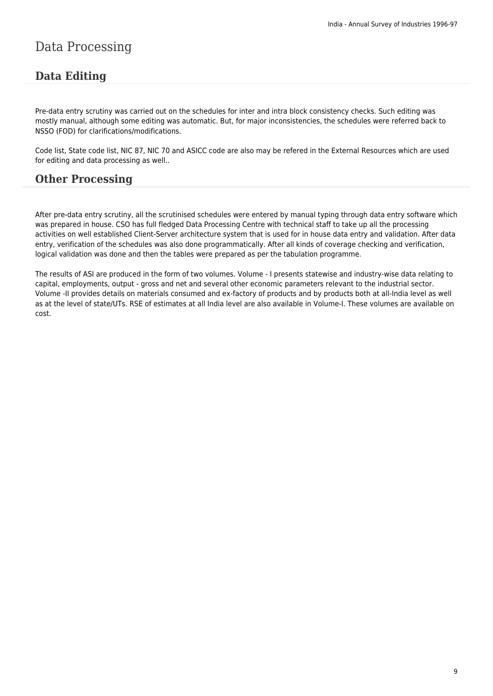# Data Processing

### **Data Editing**

Pre-data entry scrutiny was carried out on the schedules for inter and intra block consistency checks. Such editing was mostly manual, although some editing was automatic. But, for major inconsistencies, the schedules were referred back to NSSO (FOD) for clarifications/modifications.

Code list, State code list, NIC 87, NIC 70 and ASICC code are also may be refered in the External Resources which are used for editing and data processing as well..

#### **Other Processing**

After pre-data entry scrutiny, all the scrutinised schedules were entered by manual typing through data entry software which was prepared in house. CSO has full fledged Data Processing Centre with technical staff to take up all the processing activities on well established Client-Server architecture system that is used for in house data entry and validation. After data entry, verification of the schedules was also done programmatically. After all kinds of coverage checking and verification, logical validation was done and then the tables were prepared as per the tabulation programme.

The results of ASI are produced in the form of two volumes. Volume - I presents statewise and industry-wise data relating to capital, employments, output - gross and net and several other economic parameters relevant to the industrial sector. Volume -II provides details on materials consumed and ex-factory of products and by products both at all-India level as well as at the level of state/UTs. RSE of estimates at all India level are also available in Volume-I. These volumes are available on cost.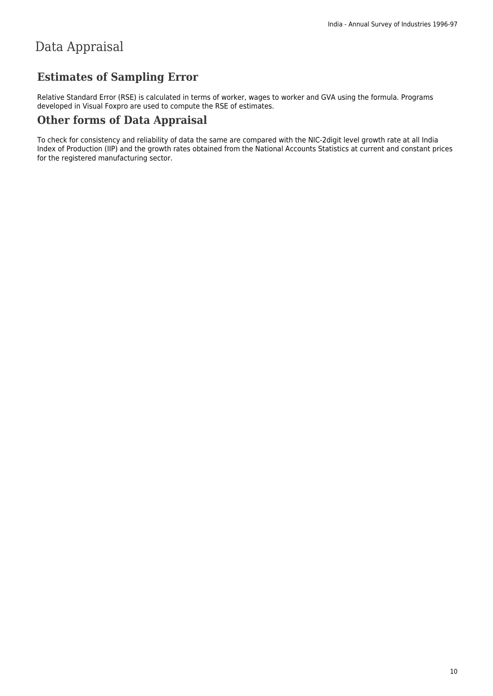# Data Appraisal

### **Estimates of Sampling Error**

Relative Standard Error (RSE) is calculated in terms of worker, wages to worker and GVA using the formula. Programs developed in Visual Foxpro are used to compute the RSE of estimates.

### **Other forms of Data Appraisal**

To check for consistency and reliability of data the same are compared with the NIC-2digit level growth rate at all India Index of Production (IIP) and the growth rates obtained from the National Accounts Statistics at current and constant prices for the registered manufacturing sector.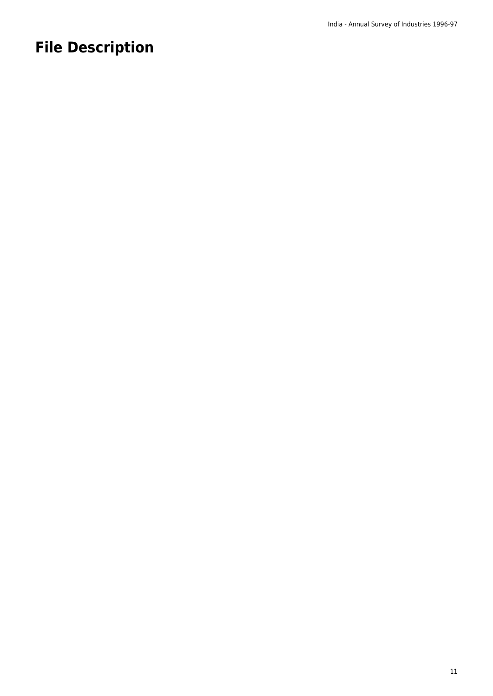# **File Description**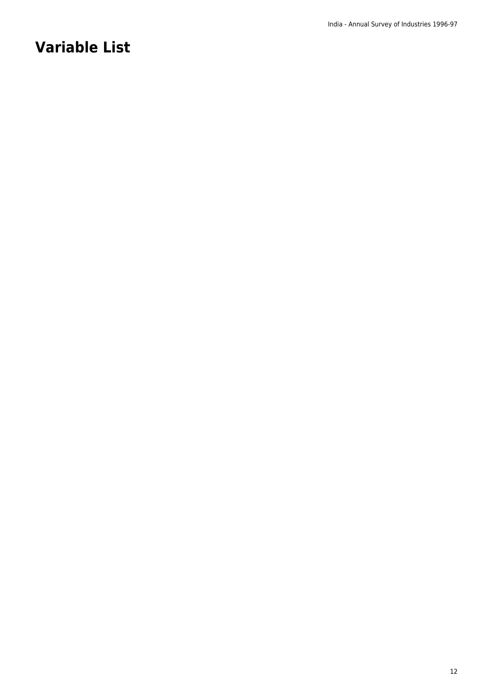# **Variable List**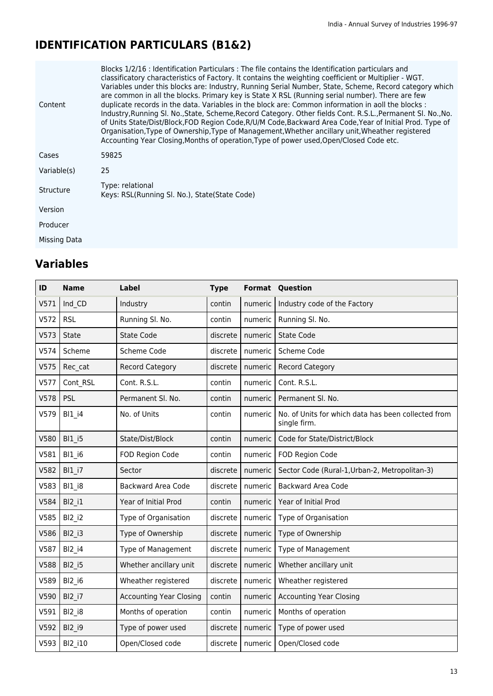# **IDENTIFICATION PARTICULARS (B1&2)**

| Content          | Blocks 1/2/16 : Identification Particulars : The file contains the Identification particulars and<br>classificatory characteristics of Factory. It contains the weighting coefficient or Multiplier - WGT.<br>Variables under this blocks are: Industry, Running Serial Number, State, Scheme, Record category which<br>are common in all the blocks. Primary key is State X RSL (Running serial number). There are few<br>duplicate records in the data. Variables in the block are: Common information in aoll the blocks :<br>Industry, Running SI. No., State, Scheme, Record Category. Other fields Cont. R.S.L., Permanent SI. No., No.<br>of Units State/Dist/Block,FOD Region Code,R/U/M Code,Backward Area Code,Year of Initial Prod. Type of<br>Organisation, Type of Ownership, Type of Management, Whether ancillary unit, Wheather registered<br>Accounting Year Closing, Months of operation, Type of power used, Open/Closed Code etc. |
|------------------|-------------------------------------------------------------------------------------------------------------------------------------------------------------------------------------------------------------------------------------------------------------------------------------------------------------------------------------------------------------------------------------------------------------------------------------------------------------------------------------------------------------------------------------------------------------------------------------------------------------------------------------------------------------------------------------------------------------------------------------------------------------------------------------------------------------------------------------------------------------------------------------------------------------------------------------------------------|
| Cases            | 59825                                                                                                                                                                                                                                                                                                                                                                                                                                                                                                                                                                                                                                                                                                                                                                                                                                                                                                                                                 |
| Variable(s)      | 25                                                                                                                                                                                                                                                                                                                                                                                                                                                                                                                                                                                                                                                                                                                                                                                                                                                                                                                                                    |
| <b>Structure</b> | Type: relational<br>Keys: RSL(Running SI, No.), State(State Code)                                                                                                                                                                                                                                                                                                                                                                                                                                                                                                                                                                                                                                                                                                                                                                                                                                                                                     |
| Version          |                                                                                                                                                                                                                                                                                                                                                                                                                                                                                                                                                                                                                                                                                                                                                                                                                                                                                                                                                       |
| Producer         |                                                                                                                                                                                                                                                                                                                                                                                                                                                                                                                                                                                                                                                                                                                                                                                                                                                                                                                                                       |
| Missing Data     |                                                                                                                                                                                                                                                                                                                                                                                                                                                                                                                                                                                                                                                                                                                                                                                                                                                                                                                                                       |

| ID   | <b>Name</b>                       | <b>Label</b>                   | <b>Type</b> | Format             | Question                                                            |
|------|-----------------------------------|--------------------------------|-------------|--------------------|---------------------------------------------------------------------|
| V571 | Ind CD                            | Industry                       | contin      | numeric            | Industry code of the Factory                                        |
| V572 | <b>RSL</b>                        | Running Sl. No.                | contin      | numeric            | Running Sl. No.                                                     |
| V573 | <b>State</b>                      | <b>State Code</b>              | discrete    | numeric            | <b>State Code</b>                                                   |
| V574 | Scheme                            | Scheme Code                    | discrete    | numeric            | Scheme Code                                                         |
| V575 | Rec cat                           | <b>Record Category</b>         | discrete    | numeric            | <b>Record Category</b>                                              |
| V577 | Cont RSL                          | Cont. R.S.L.                   | contin      | numeric            | Cont. R.S.L.                                                        |
| V578 | PSL                               | Permanent Sl. No.              | contin      | numeric            | Permanent SI. No.                                                   |
| V579 | <b>BI1 i4</b>                     | No. of Units                   | contin      | numeric            | No. of Units for which data has been collected from<br>single firm. |
| V580 | <b>BI1 i5</b>                     | State/Dist/Block               | contin      | numeric            | Code for State/District/Block                                       |
| V581 | <b>BI1 i6</b>                     | FOD Region Code                | contin      | numeric            | FOD Region Code                                                     |
| V582 | <b>BI1 i7</b>                     | Sector                         | discrete    | numeric            | Sector Code (Rural-1, Urban-2, Metropolitan-3)                      |
| V583 | <b>BI1 i8</b>                     | <b>Backward Area Code</b>      | discrete    | numeric            | <b>Backward Area Code</b>                                           |
| V584 | <b>BI2 i1</b>                     | Year of Initial Prod           | contin      | numeric            | Year of Initial Prod                                                |
| V585 | <b>BI2 i2</b>                     | Type of Organisation           | discrete    | numeric            | Type of Organisation                                                |
| V586 | $B12$ <sub>_i3</sub>              | Type of Ownership              | discrete    | numeric            | Type of Ownership                                                   |
| V587 | $B12$ <sub>_i</sub> 4             | Type of Management             | discrete    | numeric            | Type of Management                                                  |
| V588 | <b>BI2 i5</b>                     | Whether ancillary unit         | discrete    | numeric            | Whether ancillary unit                                              |
| V589 | $B12$ <sub>_<math>i6</math></sub> | Wheather registered            | discrete    | numeric            | Wheather registered                                                 |
| V590 | <b>BI2 i7</b>                     | <b>Accounting Year Closing</b> | contin      | numeric            | <b>Accounting Year Closing</b>                                      |
| V591 | $B12$ $i8$                        | Months of operation            | contin      | numeric            | Months of operation                                                 |
| V592 | <b>BI2 i9</b>                     | Type of power used             | discrete    | numeric            | Type of power used                                                  |
| V593 | BI2 i10                           | Open/Closed code               |             | discrete   numeric | Open/Closed code                                                    |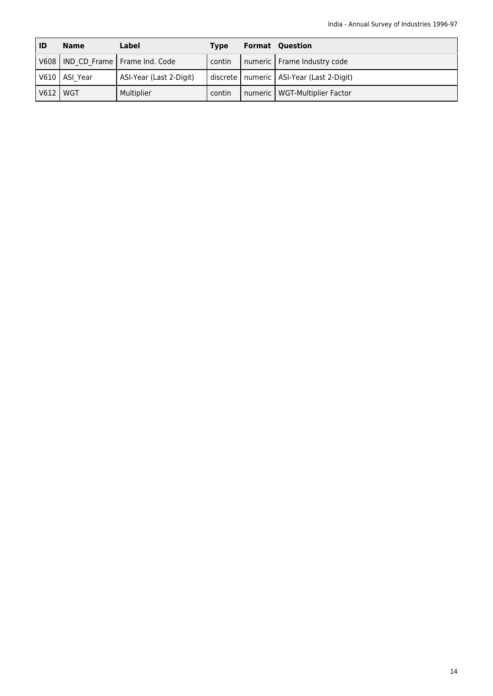| ID   | <b>Name</b>     | Label                                 | <b>Type</b> | <b>Format Question</b>                       |
|------|-----------------|---------------------------------------|-------------|----------------------------------------------|
|      |                 | V608   IND CD Frame   Frame Ind. Code | contin      | numeric   Frame Industry code                |
|      | V610   ASI Year | ASI-Year (Last 2-Digit)               |             | discrete   numeric   ASI-Year (Last 2-Digit) |
| V612 | WGT             | Multiplier                            | contin      | numeric   WGT-Multiplier Factor              |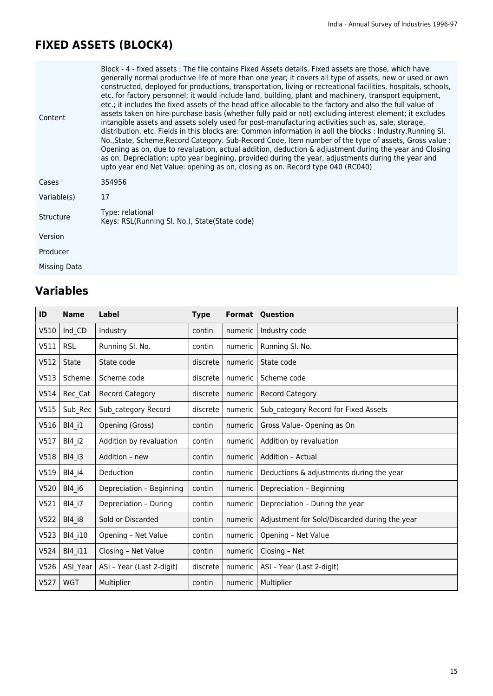# **FIXED ASSETS (BLOCK4)**

| Content      | Block - 4 - fixed assets : The file contains Fixed Assets details. Fixed assets are those, which have<br>generally normal productive life of more than one year; it covers all type of assets, new or used or own<br>constructed, deployed for productions, transportation, living or recreational facilities, hospitals, schools,<br>etc. for factory personnel; it would include land, building, plant and machinery, transport equipment,<br>etc.; it includes the fixed assets of the head office allocable to the factory and also the full value of<br>assets taken on hire-purchase basis (whether fully paid or not) excluding interest element; it excludes<br>intangible assets and assets solely used for post-manufacturing activities such as, sale, storage,<br>distribution, etc. Fields in this blocks are: Common information in aoll the blocks : Industry, Running SI.<br>No., State, Scheme, Record Category. Sub-Record Code, Item number of the type of assets, Gross value :<br>Opening as on, due to revaluation, actual addition, deduction & adjustment during the year and Closing<br>as on. Depreciation: upto year begining, provided during the year, adjustments during the year and<br>upto year end Net Value: opening as on, closing as on. Record type 040 (RC040) |
|--------------|-------------------------------------------------------------------------------------------------------------------------------------------------------------------------------------------------------------------------------------------------------------------------------------------------------------------------------------------------------------------------------------------------------------------------------------------------------------------------------------------------------------------------------------------------------------------------------------------------------------------------------------------------------------------------------------------------------------------------------------------------------------------------------------------------------------------------------------------------------------------------------------------------------------------------------------------------------------------------------------------------------------------------------------------------------------------------------------------------------------------------------------------------------------------------------------------------------------------------------------------------------------------------------------------------------|
| Cases        | 354956                                                                                                                                                                                                                                                                                                                                                                                                                                                                                                                                                                                                                                                                                                                                                                                                                                                                                                                                                                                                                                                                                                                                                                                                                                                                                                |
| Variable(s)  | 17                                                                                                                                                                                                                                                                                                                                                                                                                                                                                                                                                                                                                                                                                                                                                                                                                                                                                                                                                                                                                                                                                                                                                                                                                                                                                                    |
| Structure    | Type: relational<br>Keys: RSL(Running SI. No.), State(State code)                                                                                                                                                                                                                                                                                                                                                                                                                                                                                                                                                                                                                                                                                                                                                                                                                                                                                                                                                                                                                                                                                                                                                                                                                                     |
| Version      |                                                                                                                                                                                                                                                                                                                                                                                                                                                                                                                                                                                                                                                                                                                                                                                                                                                                                                                                                                                                                                                                                                                                                                                                                                                                                                       |
| Producer     |                                                                                                                                                                                                                                                                                                                                                                                                                                                                                                                                                                                                                                                                                                                                                                                                                                                                                                                                                                                                                                                                                                                                                                                                                                                                                                       |
| Missing Data |                                                                                                                                                                                                                                                                                                                                                                                                                                                                                                                                                                                                                                                                                                                                                                                                                                                                                                                                                                                                                                                                                                                                                                                                                                                                                                       |

| ID   | <b>Name</b>   | <b>Label</b>              | <b>Type</b> |         | <b>Format Question</b>                        |
|------|---------------|---------------------------|-------------|---------|-----------------------------------------------|
| V510 | Ind CD        | Industry                  | contin      | numeric | Industry code                                 |
| V511 | <b>RSL</b>    | Running SI. No.           | contin      | numeric | Running Sl. No.                               |
| V512 | <b>State</b>  | State code                | discrete    | numeric | State code                                    |
| V513 | Scheme        | Scheme code               | discrete    | numeric | Scheme code                                   |
| V514 | Rec_Cat       | <b>Record Category</b>    | discrete    | numeric | <b>Record Category</b>                        |
| V515 | Sub_Rec       | Sub category Record       | discrete    | numeric | Sub category Record for Fixed Assets          |
| V516 | BI4 i1        | Opening (Gross)           | contin      | numeric | Gross Value-Opening as On                     |
| V517 | BI4 i2        | Addition by revaluation   | contin      | numeric | Addition by revaluation                       |
| V518 | BI4 i3        | Addition - new            | contin      | numeric | Addition - Actual                             |
| V519 | BI4 i4        | Deduction                 | contin      | numeric | Deductions & adjustments during the year      |
| V520 | BI4 i6        | Depreciation - Beginning  | contin      | numeric | Depreciation - Beginning                      |
| V521 | BI4 i7        | Depreciation - During     | contin      | numeric | Depreciation - During the year                |
| V522 | <b>BI4 i8</b> | Sold or Discarded         | contin      | numeric | Adjustment for Sold/Discarded during the year |
| V523 | BI4_i10       | Opening - Net Value       | contin      | numeric | Opening - Net Value                           |
| V524 | BI4_i11       | Closing - Net Value       | contin      | numeric | Closing - Net                                 |
| V526 | ASI_Year      | ASI - Year (Last 2-digit) | discrete    | numeric | ASI - Year (Last 2-digit)                     |
| V527 | <b>WGT</b>    | Multiplier                | contin      | numeric | Multiplier                                    |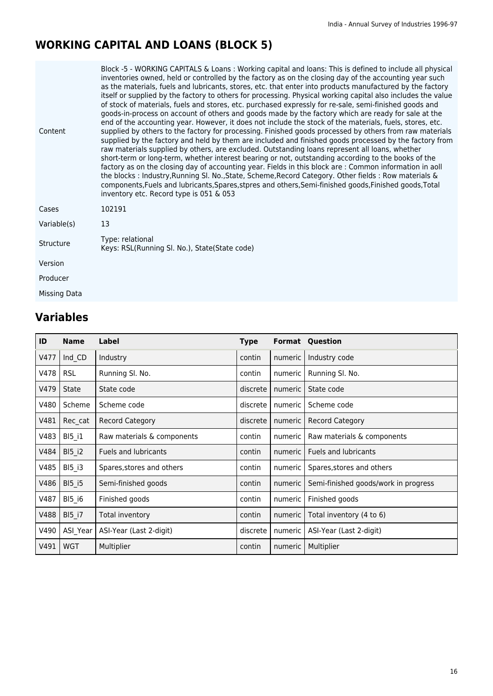# **WORKING CAPITAL AND LOANS (BLOCK 5)**

| Content      | Block -5 - WORKING CAPITALS & Loans : Working capital and loans: This is defined to include all physical<br>inventories owned, held or controlled by the factory as on the closing day of the accounting year such<br>as the materials, fuels and lubricants, stores, etc. that enter into products manufactured by the factory<br>itself or supplied by the factory to others for processing. Physical working capital also includes the value<br>of stock of materials, fuels and stores, etc. purchased expressly for re-sale, semi-finished goods and<br>goods-in-process on account of others and goods made by the factory which are ready for sale at the<br>end of the accounting year. However, it does not include the stock of the materials, fuels, stores, etc.<br>supplied by others to the factory for processing. Finished goods processed by others from raw materials<br>supplied by the factory and held by them are included and finished goods processed by the factory from<br>raw materials supplied by others, are excluded. Outstanding loans represent all loans, whether<br>short-term or long-term, whether interest bearing or not, outstanding according to the books of the<br>factory as on the closing day of accounting year. Fields in this block are : Common information in aoll<br>the blocks: Industry, Running SI. No., State, Scheme, Record Category. Other fields: Row materials &<br>components, Fuels and lubricants, Spares, stpres and others, Semi-finished goods, Finished goods, Total<br>inventory etc. Record type is 051 & 053 |
|--------------|-------------------------------------------------------------------------------------------------------------------------------------------------------------------------------------------------------------------------------------------------------------------------------------------------------------------------------------------------------------------------------------------------------------------------------------------------------------------------------------------------------------------------------------------------------------------------------------------------------------------------------------------------------------------------------------------------------------------------------------------------------------------------------------------------------------------------------------------------------------------------------------------------------------------------------------------------------------------------------------------------------------------------------------------------------------------------------------------------------------------------------------------------------------------------------------------------------------------------------------------------------------------------------------------------------------------------------------------------------------------------------------------------------------------------------------------------------------------------------------------------------------------------------------------------------------------------------------|
| Cases        | 102191                                                                                                                                                                                                                                                                                                                                                                                                                                                                                                                                                                                                                                                                                                                                                                                                                                                                                                                                                                                                                                                                                                                                                                                                                                                                                                                                                                                                                                                                                                                                                                              |
| Variable(s)  | 13                                                                                                                                                                                                                                                                                                                                                                                                                                                                                                                                                                                                                                                                                                                                                                                                                                                                                                                                                                                                                                                                                                                                                                                                                                                                                                                                                                                                                                                                                                                                                                                  |
| Structure    | Type: relational<br>Keys: RSL(Running SI. No.), State(State code)                                                                                                                                                                                                                                                                                                                                                                                                                                                                                                                                                                                                                                                                                                                                                                                                                                                                                                                                                                                                                                                                                                                                                                                                                                                                                                                                                                                                                                                                                                                   |
| Version      |                                                                                                                                                                                                                                                                                                                                                                                                                                                                                                                                                                                                                                                                                                                                                                                                                                                                                                                                                                                                                                                                                                                                                                                                                                                                                                                                                                                                                                                                                                                                                                                     |
| Producer     |                                                                                                                                                                                                                                                                                                                                                                                                                                                                                                                                                                                                                                                                                                                                                                                                                                                                                                                                                                                                                                                                                                                                                                                                                                                                                                                                                                                                                                                                                                                                                                                     |
| Missing Data |                                                                                                                                                                                                                                                                                                                                                                                                                                                                                                                                                                                                                                                                                                                                                                                                                                                                                                                                                                                                                                                                                                                                                                                                                                                                                                                                                                                                                                                                                                                                                                                     |

| ID   | <b>Name</b>   | Label                       | <b>Type</b> |           | <b>Format Question</b>               |
|------|---------------|-----------------------------|-------------|-----------|--------------------------------------|
| V477 | Ind CD        | Industry                    | contin      | numeric I | Industry code                        |
| V478 | <b>RSL</b>    | Running SI. No.             | contin      | numeric   | Running SI. No.                      |
| V479 | State         | State code                  | discrete    | numeric   | State code                           |
| V480 | Scheme        | Scheme code                 | discrete    | numeric   | Scheme code                          |
| V481 | Rec cat       | <b>Record Category</b>      | discrete    | numeric   | <b>Record Category</b>               |
| V483 | <b>BI5 i1</b> | Raw materials & components  | contin      | numeric   | Raw materials & components           |
| V484 | <b>BI5 i2</b> | <b>Fuels and lubricants</b> | contin      | numeric   | <b>Fuels and lubricants</b>          |
| V485 | <b>BI5 i3</b> | Spares, stores and others   | contin      | numeric   | Spares, stores and others            |
| V486 | <b>BI5 i5</b> | Semi-finished goods         | contin      | numeric   | Semi-finished goods/work in progress |
| V487 | <b>BI5 i6</b> | Finished goods              | contin      | numeric   | Finished goods                       |
| V488 | <b>BI5 i7</b> | Total inventory             | contin      | numeric   | Total inventory (4 to 6)             |
| V490 | ASI Year      | ASI-Year (Last 2-digit)     | discrete    | numeric   | ASI-Year (Last 2-digit)              |
| V491 | <b>WGT</b>    | Multiplier                  | contin      | numeric   | Multiplier                           |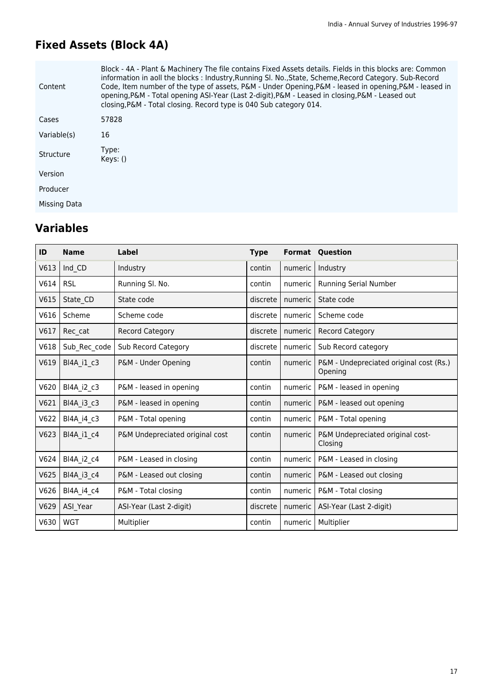# **Fixed Assets (Block 4A)**

| Content      | Block - 4A - Plant & Machinery The file contains Fixed Assets details. Fields in this blocks are: Common<br>information in aoll the blocks: Industry, Running Sl. No., State, Scheme, Record Category. Sub-Record<br>Code, Item number of the type of assets, P&M - Under Opening, P&M - leased in opening, P&M - leased in<br>opening, P&M - Total opening ASI-Year (Last 2-digit), P&M - Leased in closing, P&M - Leased out<br>closing, P&M - Total closing. Record type is 040 Sub category 014. |
|--------------|------------------------------------------------------------------------------------------------------------------------------------------------------------------------------------------------------------------------------------------------------------------------------------------------------------------------------------------------------------------------------------------------------------------------------------------------------------------------------------------------------|
| Cases        | 57828                                                                                                                                                                                                                                                                                                                                                                                                                                                                                                |
| Variable(s)  | 16                                                                                                                                                                                                                                                                                                                                                                                                                                                                                                   |
| Structure    | Type:<br>Keys: ()                                                                                                                                                                                                                                                                                                                                                                                                                                                                                    |
| Version      |                                                                                                                                                                                                                                                                                                                                                                                                                                                                                                      |
| Producer     |                                                                                                                                                                                                                                                                                                                                                                                                                                                                                                      |
| Missing Data |                                                                                                                                                                                                                                                                                                                                                                                                                                                                                                      |

| ID   | <b>Name</b>  | Label                           | <b>Type</b> |         | <b>Format Question</b>                             |
|------|--------------|---------------------------------|-------------|---------|----------------------------------------------------|
| V613 | Ind CD       | Industry                        | contin      | numeric | Industry                                           |
| V614 | <b>RSL</b>   | Running SI. No.                 | contin      | numeric | <b>Running Serial Number</b>                       |
| V615 | State CD     | State code                      | discrete    | numeric | State code                                         |
| V616 | Scheme       | Scheme code                     | discrete    | numeric | Scheme code                                        |
| V617 | Rec cat      | <b>Record Category</b>          | discrete    | numeric | <b>Record Category</b>                             |
| V618 | Sub Rec code | Sub Record Category             | discrete    | numeric | Sub Record category                                |
| V619 | BI4A_i1_c3   | P&M - Under Opening             | contin      | numeric | P&M - Undepreciated original cost (Rs.)<br>Opening |
| V620 | BI4A_i2_c3   | P&M - leased in opening         | contin      | numeric | P&M - leased in opening                            |
| V621 | BI4A i3 c3   | P&M - leased in opening         | contin      | numeric | P&M - leased out opening                           |
| V622 | BI4A i4 c3   | P&M - Total opening             | contin      | numeric | P&M - Total opening                                |
| V623 | BI4A i1 c4   | P&M Undepreciated original cost | contin      | numeric | P&M Undepreciated original cost-<br>Closing        |
| V624 | BI4A i2 c4   | P&M - Leased in closing         | contin      | numeric | P&M - Leased in closing                            |
| V625 | BI4A i3 c4   | P&M - Leased out closing        | contin      | numeric | P&M - Leased out closing                           |
| V626 | BI4A i4 c4   | P&M - Total closing             | contin      | numeric | P&M - Total closing                                |
| V629 | ASI_Year     | ASI-Year (Last 2-digit)         | discrete    | numeric | ASI-Year (Last 2-digit)                            |
| V630 | WGT          | Multiplier                      | contin      | numeric | Multiplier                                         |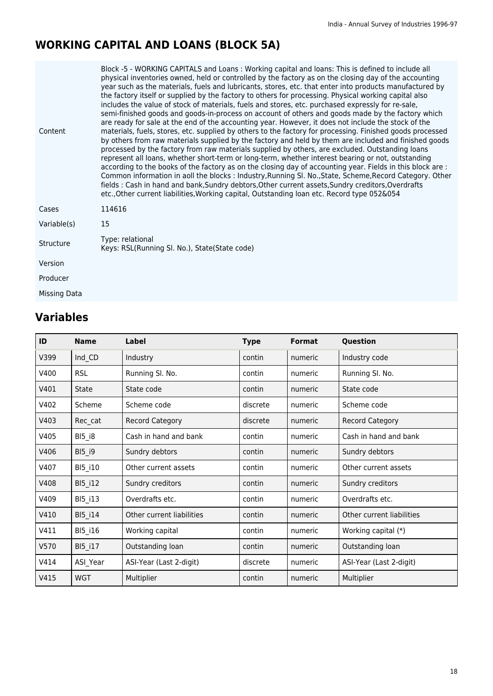# **WORKING CAPITAL AND LOANS (BLOCK 5A)**

| Content      | Block -5 - WORKING CAPITALS and Loans: Working capital and loans: This is defined to include all<br>physical inventories owned, held or controlled by the factory as on the closing day of the accounting<br>year such as the materials, fuels and lubricants, stores, etc. that enter into products manufactured by<br>the factory itself or supplied by the factory to others for processing. Physical working capital also<br>includes the value of stock of materials, fuels and stores, etc. purchased expressly for re-sale,<br>semi-finished goods and goods-in-process on account of others and goods made by the factory which<br>are ready for sale at the end of the accounting year. However, it does not include the stock of the<br>materials, fuels, stores, etc. supplied by others to the factory for processing. Finished goods processed<br>by others from raw materials supplied by the factory and held by them are included and finished goods<br>processed by the factory from raw materials supplied by others, are excluded. Outstanding loans<br>represent all loans, whether short-term or long-term, whether interest bearing or not, outstanding<br>according to the books of the factory as on the closing day of accounting year. Fields in this block are :<br>Common information in aoll the blocks: Industry, Running SI. No., State, Scheme, Record Category. Other<br>fields : Cash in hand and bank, Sundry debtors, Other current assets, Sundry creditors, Overdrafts<br>etc., Other current liabilities, Working capital, Outstanding loan etc. Record type 052&054 |
|--------------|-------------------------------------------------------------------------------------------------------------------------------------------------------------------------------------------------------------------------------------------------------------------------------------------------------------------------------------------------------------------------------------------------------------------------------------------------------------------------------------------------------------------------------------------------------------------------------------------------------------------------------------------------------------------------------------------------------------------------------------------------------------------------------------------------------------------------------------------------------------------------------------------------------------------------------------------------------------------------------------------------------------------------------------------------------------------------------------------------------------------------------------------------------------------------------------------------------------------------------------------------------------------------------------------------------------------------------------------------------------------------------------------------------------------------------------------------------------------------------------------------------------------------------------------------------------------------------------------------------------|
| Cases        | 114616                                                                                                                                                                                                                                                                                                                                                                                                                                                                                                                                                                                                                                                                                                                                                                                                                                                                                                                                                                                                                                                                                                                                                                                                                                                                                                                                                                                                                                                                                                                                                                                                      |
| Variable(s)  | 15                                                                                                                                                                                                                                                                                                                                                                                                                                                                                                                                                                                                                                                                                                                                                                                                                                                                                                                                                                                                                                                                                                                                                                                                                                                                                                                                                                                                                                                                                                                                                                                                          |
| Structure    | Type: relational<br>Keys: RSL(Running SI. No.), State(State code)                                                                                                                                                                                                                                                                                                                                                                                                                                                                                                                                                                                                                                                                                                                                                                                                                                                                                                                                                                                                                                                                                                                                                                                                                                                                                                                                                                                                                                                                                                                                           |
| Version      |                                                                                                                                                                                                                                                                                                                                                                                                                                                                                                                                                                                                                                                                                                                                                                                                                                                                                                                                                                                                                                                                                                                                                                                                                                                                                                                                                                                                                                                                                                                                                                                                             |
| Producer     |                                                                                                                                                                                                                                                                                                                                                                                                                                                                                                                                                                                                                                                                                                                                                                                                                                                                                                                                                                                                                                                                                                                                                                                                                                                                                                                                                                                                                                                                                                                                                                                                             |
| Missing Data |                                                                                                                                                                                                                                                                                                                                                                                                                                                                                                                                                                                                                                                                                                                                                                                                                                                                                                                                                                                                                                                                                                                                                                                                                                                                                                                                                                                                                                                                                                                                                                                                             |

| ID   | <b>Name</b>    | <b>Label</b>              | <b>Type</b> | <b>Format</b> | Question                  |
|------|----------------|---------------------------|-------------|---------------|---------------------------|
| V399 | Ind_CD         | Industry                  | contin      | numeric       | Industry code             |
| V400 | <b>RSL</b>     | Running Sl. No.           | contin      | numeric       | Running Sl. No.           |
| V401 | <b>State</b>   | State code                | contin      | numeric       | State code                |
| V402 | Scheme         | Scheme code               | discrete    | numeric       | Scheme code               |
| V403 | Rec_cat        | <b>Record Category</b>    | discrete    | numeric       | <b>Record Category</b>    |
| V405 | $B15$ $i8$     | Cash in hand and bank     | contin      | numeric       | Cash in hand and bank     |
| V406 | BI5_i9         | Sundry debtors            | contin      | numeric       | Sundry debtors            |
| V407 | <b>BI5 i10</b> | Other current assets      | contin      | numeric       | Other current assets      |
| V408 | <b>BI5 i12</b> | Sundry creditors          | contin      | numeric       | Sundry creditors          |
| V409 | <b>BI5 i13</b> | Overdrafts etc.           | contin      | numeric       | Overdrafts etc.           |
| V410 | <b>BI5 i14</b> | Other current liabilities | contin      | numeric       | Other current liabilities |
| V411 | BI5_i16        | Working capital           | contin      | numeric       | Working capital (*)       |
| V570 | <b>BI5 i17</b> | Outstanding loan          | contin      | numeric       | Outstanding loan          |
| V414 | ASI Year       | ASI-Year (Last 2-digit)   | discrete    | numeric       | ASI-Year (Last 2-digit)   |
| V415 | <b>WGT</b>     | Multiplier                | contin      | numeric       | Multiplier                |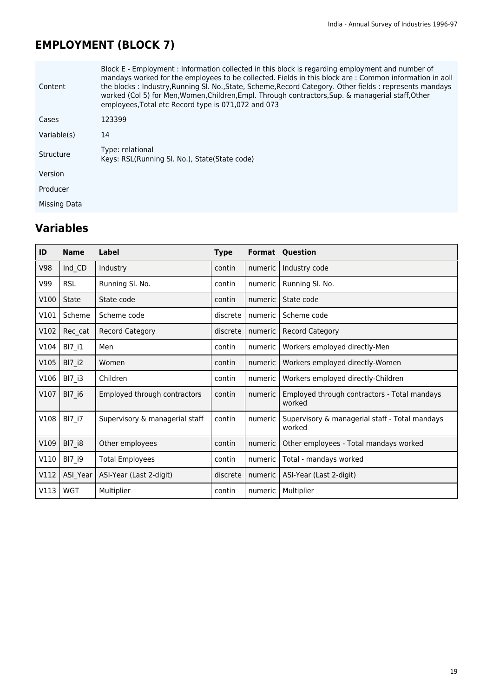# **EMPLOYMENT (BLOCK 7)**

| Content      | Block E - Employment : Information collected in this block is regarding employment and number of<br>mandays worked for the employees to be collected. Fields in this block are: Common information in aoll<br>the blocks: Industry, Running SI. No., State, Scheme, Record Category. Other fields: represents mandays<br>worked (Col 5) for Men, Women, Children, Empl. Through contractors, Sup. & managerial staff, Other<br>employees, Total etc Record type is 071,072 and 073 |
|--------------|------------------------------------------------------------------------------------------------------------------------------------------------------------------------------------------------------------------------------------------------------------------------------------------------------------------------------------------------------------------------------------------------------------------------------------------------------------------------------------|
| Cases        | 123399                                                                                                                                                                                                                                                                                                                                                                                                                                                                             |
| Variable(s)  | 14                                                                                                                                                                                                                                                                                                                                                                                                                                                                                 |
| Structure    | Type: relational<br>Keys: RSL(Running SI. No.), State(State code)                                                                                                                                                                                                                                                                                                                                                                                                                  |
| Version      |                                                                                                                                                                                                                                                                                                                                                                                                                                                                                    |
| Producer     |                                                                                                                                                                                                                                                                                                                                                                                                                                                                                    |
| Missing Data |                                                                                                                                                                                                                                                                                                                                                                                                                                                                                    |

| ID   | <b>Name</b>   | Label                          | <b>Type</b> |         | <b>Format Question</b>                                   |
|------|---------------|--------------------------------|-------------|---------|----------------------------------------------------------|
| V98  | Ind_CD        | Industry                       | contin      | numeric | Industry code                                            |
| V99  | <b>RSL</b>    | Running SI. No.                | contin      | numeric | Running Sl. No.                                          |
| V100 | <b>State</b>  | State code                     | contin      | numeric | State code                                               |
| V101 | Scheme        | Scheme code                    | discrete    | numeric | Scheme code                                              |
| V102 | Rec cat       | <b>Record Category</b>         | discrete    | numeric | <b>Record Category</b>                                   |
| V104 | BI7 i1        | Men                            | contin      | numeric | Workers employed directly-Men                            |
| V105 | $BI7_i2$      | Women                          | contin      | numeric | Workers employed directly-Women                          |
| V106 | <b>BI7 i3</b> | Children                       | contin      | numeric | Workers employed directly-Children                       |
| V107 | BI7 i6        | Employed through contractors   | contin      | numeric | Employed through contractors - Total mandays<br>worked   |
| V108 | $BIZ_i$       | Supervisory & managerial staff | contin      | numeric | Supervisory & managerial staff - Total mandays<br>worked |
| V109 | <b>BI7 i8</b> | Other employees                | contin      | numeric | Other employees - Total mandays worked                   |
| V110 | <b>BI7 i9</b> | <b>Total Employees</b>         | contin      | numeric | Total - mandays worked                                   |
| V112 | ASI Year      | ASI-Year (Last 2-digit)        | discrete    | numeric | ASI-Year (Last 2-digit)                                  |
| V113 | <b>WGT</b>    | Multiplier                     | contin      | numeric | Multiplier                                               |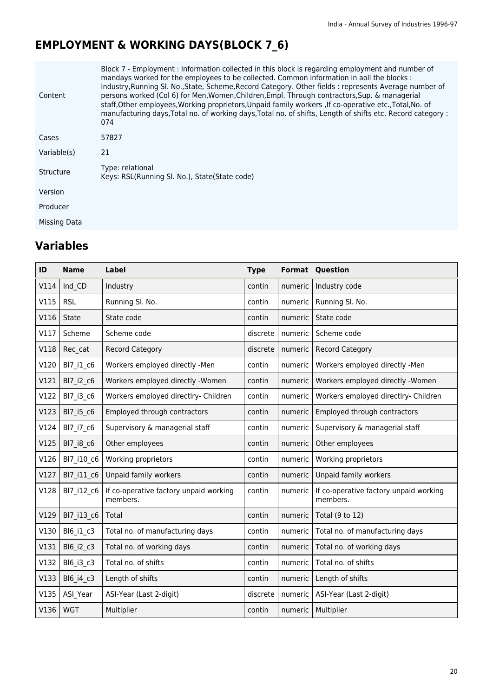# **EMPLOYMENT & WORKING DAYS(BLOCK 7\_6)**

| Content      | Block 7 - Employment : Information collected in this block is regarding employment and number of<br>mandays worked for the employees to be collected. Common information in aoll the blocks :<br>Industry, Running SI. No., State, Scheme, Record Category. Other fields: represents Average number of<br>persons worked (Col 6) for Men, Women, Children, Empl. Through contractors, Sup. & managerial<br>staff, Other employees, Working proprietors, Unpaid family workers, If co-operative etc., Total, No. of<br>manufacturing days, Total no. of working days, Total no. of shifts, Length of shifts etc. Record category :<br>074 |
|--------------|------------------------------------------------------------------------------------------------------------------------------------------------------------------------------------------------------------------------------------------------------------------------------------------------------------------------------------------------------------------------------------------------------------------------------------------------------------------------------------------------------------------------------------------------------------------------------------------------------------------------------------------|
| Cases        | 57827                                                                                                                                                                                                                                                                                                                                                                                                                                                                                                                                                                                                                                    |
| Variable(s)  | 21                                                                                                                                                                                                                                                                                                                                                                                                                                                                                                                                                                                                                                       |
| Structure    | Type: relational<br>Keys: RSL(Running SI. No.), State(State code)                                                                                                                                                                                                                                                                                                                                                                                                                                                                                                                                                                        |
| Version      |                                                                                                                                                                                                                                                                                                                                                                                                                                                                                                                                                                                                                                          |
| Producer     |                                                                                                                                                                                                                                                                                                                                                                                                                                                                                                                                                                                                                                          |
| Missing Data |                                                                                                                                                                                                                                                                                                                                                                                                                                                                                                                                                                                                                                          |

| ID   | <b>Name</b> | <b>Label</b>                                       | <b>Type</b> | Format  | Question                                           |
|------|-------------|----------------------------------------------------|-------------|---------|----------------------------------------------------|
| V114 | Ind CD      | Industry                                           | contin      | numeric | Industry code                                      |
| V115 | <b>RSL</b>  | Running Sl. No.                                    | contin      | numeric | Running Sl. No.                                    |
| V116 | State       | State code                                         | contin      | numeric | State code                                         |
| V117 | Scheme      | Scheme code                                        | discrete    | numeric | Scheme code                                        |
| V118 | Rec cat     | <b>Record Category</b>                             | discrete    | numeric | Record Category                                    |
| V120 | Bl7 i1 c6   | Workers employed directly -Men                     | contin      | numeric | Workers employed directly -Men                     |
| V121 | Bl7 i2 c6   | Workers employed directly -Women                   | contin      | numeric | Workers employed directly -Women                   |
| V122 | Bl7_i3_c6   | Workers employed directlry- Children               | contin      | numeric | Workers employed directlry- Children               |
| V123 | Bl7 i5 c6   | Employed through contractors                       | contin      | numeric | Employed through contractors                       |
| V124 | BI7 i7 c6   | Supervisory & managerial staff                     | contin      | numeric | Supervisory & managerial staff                     |
| V125 | BI7_i8_c6   | Other employees                                    | contin      | numeric | Other employees                                    |
| V126 | BI7 i10 c6  | Working proprietors                                | contin      | numeric | Working proprietors                                |
| V127 | Bl7 i11 c6  | Unpaid family workers                              | contin      | numeric | Unpaid family workers                              |
| V128 | Bl7 i12_c6  | If co-operative factory unpaid working<br>members. | contin      | numeric | If co-operative factory unpaid working<br>members. |
| V129 | BI7_i13_c6  | Total                                              | contin      | numeric | Total (9 to 12)                                    |
| V130 | Bl6 i1 c3   | Total no. of manufacturing days                    | contin      | numeric | Total no. of manufacturing days                    |
| V131 | BI6_i2_c3   | Total no. of working days                          | contin      | numeric | Total no. of working days                          |
| V132 | Bl6 i3 c3   | Total no. of shifts                                | contin      | numeric | Total no. of shifts                                |
| V133 | BI6_i4_c3   | Length of shifts                                   | contin      | numeric | Length of shifts                                   |
| V135 | ASI Year    | ASI-Year (Last 2-digit)                            | discrete    | numeric | ASI-Year (Last 2-digit)                            |
| V136 | <b>WGT</b>  | Multiplier                                         | contin      | numeric | Multiplier                                         |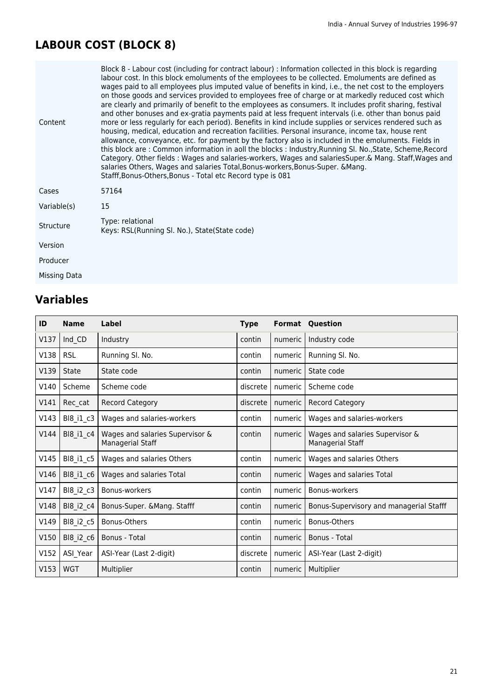# **LABOUR COST (BLOCK 8)**

| Content          | Block 8 - Labour cost (including for contract labour) : Information collected in this block is regarding<br>labour cost. In this block emoluments of the employees to be collected. Emoluments are defined as<br>wages paid to all employees plus imputed value of benefits in kind, i.e., the net cost to the employers<br>on those goods and services provided to employees free of charge or at markedly reduced cost which<br>are clearly and primarily of benefit to the employees as consumers. It includes profit sharing, festival<br>and other bonuses and ex-gratia payments paid at less frequent intervals (i.e. other than bonus paid<br>more or less regularly for each period). Benefits in kind include supplies or services rendered such as<br>housing, medical, education and recreation facilities. Personal insurance, income tax, house rent<br>allowance, conveyance, etc. for payment by the factory also is included in the emoluments. Fields in<br>this block are: Common information in aoll the blocks: Industry, Running SI. No., State, Scheme, Record<br>Category. Other fields: Wages and salaries-workers, Wages and salariesSuper.& Mang. Staff, Wages and<br>salaries Others, Wages and salaries Total, Bonus-workers, Bonus-Super. & Mang.<br>Stafff, Bonus-Others, Bonus - Total etc Record type is 081 |
|------------------|-----------------------------------------------------------------------------------------------------------------------------------------------------------------------------------------------------------------------------------------------------------------------------------------------------------------------------------------------------------------------------------------------------------------------------------------------------------------------------------------------------------------------------------------------------------------------------------------------------------------------------------------------------------------------------------------------------------------------------------------------------------------------------------------------------------------------------------------------------------------------------------------------------------------------------------------------------------------------------------------------------------------------------------------------------------------------------------------------------------------------------------------------------------------------------------------------------------------------------------------------------------------------------------------------------------------------------------------------|
| Cases            | 57164                                                                                                                                                                                                                                                                                                                                                                                                                                                                                                                                                                                                                                                                                                                                                                                                                                                                                                                                                                                                                                                                                                                                                                                                                                                                                                                                         |
| Variable(s)      | 15                                                                                                                                                                                                                                                                                                                                                                                                                                                                                                                                                                                                                                                                                                                                                                                                                                                                                                                                                                                                                                                                                                                                                                                                                                                                                                                                            |
| <b>Structure</b> | Type: relational<br>Keys: RSL(Running SI. No.), State(State code)                                                                                                                                                                                                                                                                                                                                                                                                                                                                                                                                                                                                                                                                                                                                                                                                                                                                                                                                                                                                                                                                                                                                                                                                                                                                             |
| Version          |                                                                                                                                                                                                                                                                                                                                                                                                                                                                                                                                                                                                                                                                                                                                                                                                                                                                                                                                                                                                                                                                                                                                                                                                                                                                                                                                               |
| Producer         |                                                                                                                                                                                                                                                                                                                                                                                                                                                                                                                                                                                                                                                                                                                                                                                                                                                                                                                                                                                                                                                                                                                                                                                                                                                                                                                                               |
| Missing Data     |                                                                                                                                                                                                                                                                                                                                                                                                                                                                                                                                                                                                                                                                                                                                                                                                                                                                                                                                                                                                                                                                                                                                                                                                                                                                                                                                               |

| ID   | <b>Name</b> | Label                                               | <b>Type</b> |           | <b>Format Question</b>                                     |
|------|-------------|-----------------------------------------------------|-------------|-----------|------------------------------------------------------------|
| V137 | Ind CD      | Industry                                            | contin      | numeric   | Industry code                                              |
| V138 | <b>RSL</b>  | Running Sl. No.                                     | contin      | numeric   | Running SI. No.                                            |
| V139 | State       | State code                                          | contin      | numeric   | State code                                                 |
| V140 | Scheme      | Scheme code                                         | discrete    | numeric   | Scheme code                                                |
| V141 | Rec cat     | <b>Record Category</b>                              | discrete    | numeric I | <b>Record Category</b>                                     |
| V143 | BI8 i1 c3   | Wages and salaries-workers                          | contin      | numeric   | Wages and salaries-workers                                 |
| V144 | BI8_i1_c4   | Wages and salaries Supervisor &<br>Managerial Staff | contin      | numeric   | Wages and salaries Supervisor &<br><b>Managerial Staff</b> |
| V145 | BI8_i1_c5   | Wages and salaries Others                           | contin      | numeric   | Wages and salaries Others                                  |
| V146 | BI8 i1 c6   | Wages and salaries Total                            | contin      | numeric   | Wages and salaries Total                                   |
| V147 | BI8_i2_c3   | Bonus-workers                                       | contin      | numeric   | Bonus-workers                                              |
| V148 | BI8 i2 c4   | Bonus-Super. & Mang. Stafff                         | contin      | numeric   | Bonus-Supervisory and managerial Stafff                    |
| V149 | BI8 i2 c5   | Bonus-Others                                        | contin      | numeric   | Bonus-Others                                               |
| V150 | BI8 i2 c6   | Bonus - Total                                       | contin      | numeric l | Bonus - Total                                              |
| V152 | ASI Year    | ASI-Year (Last 2-digit)                             | discrete    | numeric   | ASI-Year (Last 2-digit)                                    |
| V153 | <b>WGT</b>  | Multiplier                                          | contin      | numeric I | Multiplier                                                 |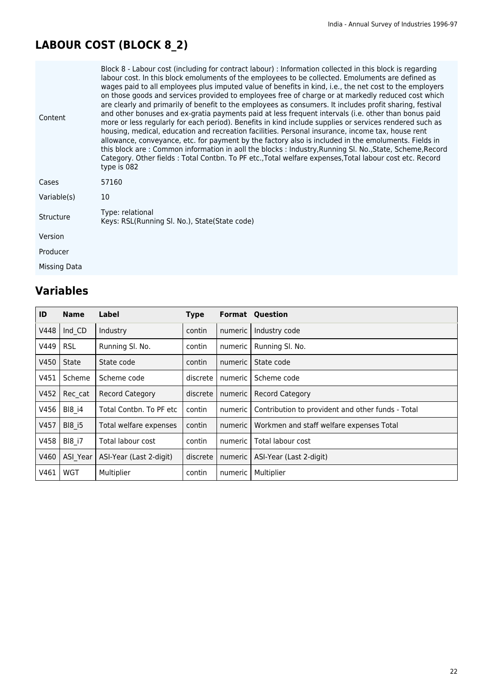# **LABOUR COST (BLOCK 8\_2)**

| Content      | Block 8 - Labour cost (including for contract labour) : Information collected in this block is regarding<br>labour cost. In this block emoluments of the employees to be collected. Emoluments are defined as<br>wages paid to all employees plus imputed value of benefits in kind, i.e., the net cost to the employers<br>on those goods and services provided to employees free of charge or at markedly reduced cost which<br>are clearly and primarily of benefit to the employees as consumers. It includes profit sharing, festival<br>and other bonuses and ex-gratia payments paid at less frequent intervals (i.e. other than bonus paid<br>more or less regularly for each period). Benefits in kind include supplies or services rendered such as<br>housing, medical, education and recreation facilities. Personal insurance, income tax, house rent<br>allowance, conveyance, etc. for payment by the factory also is included in the emoluments. Fields in<br>this block are: Common information in aoll the blocks: Industry, Running Sl. No., State, Scheme, Record<br>Category. Other fields : Total Contbn. To PF etc., Total welfare expenses, Total labour cost etc. Record<br>type is 082 |
|--------------|------------------------------------------------------------------------------------------------------------------------------------------------------------------------------------------------------------------------------------------------------------------------------------------------------------------------------------------------------------------------------------------------------------------------------------------------------------------------------------------------------------------------------------------------------------------------------------------------------------------------------------------------------------------------------------------------------------------------------------------------------------------------------------------------------------------------------------------------------------------------------------------------------------------------------------------------------------------------------------------------------------------------------------------------------------------------------------------------------------------------------------------------------------------------------------------------------------------|
| Cases        | 57160                                                                                                                                                                                                                                                                                                                                                                                                                                                                                                                                                                                                                                                                                                                                                                                                                                                                                                                                                                                                                                                                                                                                                                                                            |
| Variable(s)  | 10                                                                                                                                                                                                                                                                                                                                                                                                                                                                                                                                                                                                                                                                                                                                                                                                                                                                                                                                                                                                                                                                                                                                                                                                               |
| Structure    | Type: relational<br>Keys: RSL(Running SI. No.), State(State code)                                                                                                                                                                                                                                                                                                                                                                                                                                                                                                                                                                                                                                                                                                                                                                                                                                                                                                                                                                                                                                                                                                                                                |
| Version      |                                                                                                                                                                                                                                                                                                                                                                                                                                                                                                                                                                                                                                                                                                                                                                                                                                                                                                                                                                                                                                                                                                                                                                                                                  |
| Producer     |                                                                                                                                                                                                                                                                                                                                                                                                                                                                                                                                                                                                                                                                                                                                                                                                                                                                                                                                                                                                                                                                                                                                                                                                                  |
| Missing Data |                                                                                                                                                                                                                                                                                                                                                                                                                                                                                                                                                                                                                                                                                                                                                                                                                                                                                                                                                                                                                                                                                                                                                                                                                  |

| ID   | <b>Name</b>   | Label                   | <b>Type</b> | Format  | Question                                          |
|------|---------------|-------------------------|-------------|---------|---------------------------------------------------|
| V448 | Ind CD        | Industry                | contin      | numeric | Industry code                                     |
| V449 | <b>RSL</b>    | Running Sl. No.         | contin      | numeric | Running SI. No.                                   |
| V450 | State         | State code              | contin      | numeric | State code                                        |
| V451 | Scheme        | Scheme code             | discrete    | numeric | Scheme code                                       |
| V452 | Rec cat       | <b>Record Category</b>  | discrete    | numeric | <b>Record Category</b>                            |
| V456 | <b>BI8 i4</b> | Total Contbn. To PF etc | contin      | numeric | Contribution to provident and other funds - Total |
| V457 | <b>BI8 i5</b> | Total welfare expenses  | contin      | numeric | Workmen and staff welfare expenses Total          |
| V458 | <b>BI8 i7</b> | Total labour cost       | contin      | numeric | Total labour cost                                 |
| V460 | ASI Year      | ASI-Year (Last 2-digit) | discrete    | numeric | ASI-Year (Last 2-digit)                           |
| V461 | <b>WGT</b>    | Multiplier              | contin      | numeric | Multiplier                                        |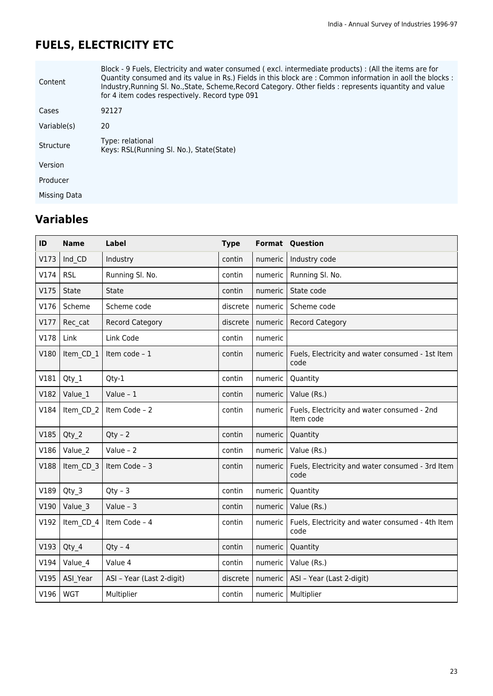# **FUELS, ELECTRICITY ETC**

| Content      | Block - 9 Fuels, Electricity and water consumed (excl. intermediate products) : (All the items are for<br>Quantity consumed and its value in Rs.) Fields in this block are : Common information in aoll the blocks :<br>Industry, Running SI. No., State, Scheme, Record Category. Other fields: represents iquantity and value<br>for 4 item codes respectively. Record type 091 |
|--------------|-----------------------------------------------------------------------------------------------------------------------------------------------------------------------------------------------------------------------------------------------------------------------------------------------------------------------------------------------------------------------------------|
| Cases        | 92127                                                                                                                                                                                                                                                                                                                                                                             |
| Variable(s)  | 20                                                                                                                                                                                                                                                                                                                                                                                |
| Structure    | Type: relational<br>Keys: RSL(Running Sl. No.), State(State)                                                                                                                                                                                                                                                                                                                      |
| Version      |                                                                                                                                                                                                                                                                                                                                                                                   |
| Producer     |                                                                                                                                                                                                                                                                                                                                                                                   |
| Missing Data |                                                                                                                                                                                                                                                                                                                                                                                   |

| ID   | <b>Name</b> | <b>Label</b>              | <b>Type</b> |         | <b>Format Question</b>                                   |
|------|-------------|---------------------------|-------------|---------|----------------------------------------------------------|
| V173 | Ind CD      | Industry                  | contin      | numeric | Industry code                                            |
| V174 | <b>RSL</b>  | Running Sl. No.           | contin      | numeric | Running Sl. No.                                          |
| V175 | State       | State                     | contin      | numeric | State code                                               |
| V176 | Scheme      | Scheme code               | discrete    | numeric | Scheme code                                              |
| V177 | Rec cat     | <b>Record Category</b>    | discrete    | numeric | <b>Record Category</b>                                   |
| V178 | Link        | Link Code                 | contin      | numeric |                                                          |
| V180 | Item CD 1   | Item code - 1             | contin      | numeric | Fuels, Electricity and water consumed - 1st Item<br>code |
| V181 | Qty 1       | Qty-1                     | contin      | numeric | Quantity                                                 |
| V182 | Value_1     | Value - $1$               | contin      | numeric | Value (Rs.)                                              |
| V184 | Item CD 2   | Item Code - 2             | contin      | numeric | Fuels, Electricity and water consumed - 2nd<br>Item code |
| V185 | Qty 2       | $Qty - 2$                 | contin      | numeric | Quantity                                                 |
| V186 | Value 2     | Value - $2$               | contin      | numeric | Value (Rs.)                                              |
| V188 | Item CD 3   | Item Code - 3             | contin      | numeric | Fuels, Electricity and water consumed - 3rd Item<br>code |
| V189 | Qty 3       | $Qty - 3$                 | contin      | numeric | Quantity                                                 |
| V190 | Value 3     | Value - $3$               | contin      | numeric | Value (Rs.)                                              |
| V192 | Item CD 4   | Item Code - 4             | contin      | numeric | Fuels, Electricity and water consumed - 4th Item<br>code |
| V193 | Qty_4       | $Qty - 4$                 | contin      | numeric | Quantity                                                 |
| V194 | Value_4     | Value 4                   | contin      | numeric | Value (Rs.)                                              |
| V195 | ASI Year    | ASI - Year (Last 2-digit) | discrete    | numeric | ASI - Year (Last 2-digit)                                |
| V196 | <b>WGT</b>  | Multiplier                | contin      | numeric | Multiplier                                               |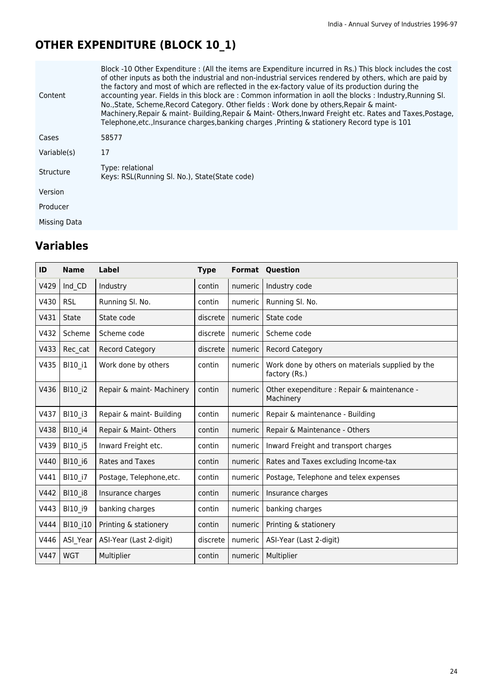# **OTHER EXPENDITURE (BLOCK 10\_1)**

| Content      | Block -10 Other Expenditure : (All the items are Expenditure incurred in Rs.) This block includes the cost<br>of other inputs as both the industrial and non-industrial services rendered by others, which are paid by<br>the factory and most of which are reflected in the ex-factory value of its production during the<br>accounting year. Fields in this block are: Common information in aoll the blocks: Industry, Running SI.<br>No., State, Scheme, Record Category. Other fields: Work done by others, Repair & maint-<br>Machinery, Repair & maint- Building, Repair & Maint-Others, Inward Freight etc. Rates and Taxes, Postage,<br>Telephone, etc., Insurance charges, banking charges, Printing & stationery Record type is 101 |
|--------------|------------------------------------------------------------------------------------------------------------------------------------------------------------------------------------------------------------------------------------------------------------------------------------------------------------------------------------------------------------------------------------------------------------------------------------------------------------------------------------------------------------------------------------------------------------------------------------------------------------------------------------------------------------------------------------------------------------------------------------------------|
| Cases        | 58577                                                                                                                                                                                                                                                                                                                                                                                                                                                                                                                                                                                                                                                                                                                                          |
| Variable(s)  | 17                                                                                                                                                                                                                                                                                                                                                                                                                                                                                                                                                                                                                                                                                                                                             |
| Structure    | Type: relational<br>Keys: RSL(Running SI. No.), State(State code)                                                                                                                                                                                                                                                                                                                                                                                                                                                                                                                                                                                                                                                                              |
| Version      |                                                                                                                                                                                                                                                                                                                                                                                                                                                                                                                                                                                                                                                                                                                                                |
| Producer     |                                                                                                                                                                                                                                                                                                                                                                                                                                                                                                                                                                                                                                                                                                                                                |
| Missing Data |                                                                                                                                                                                                                                                                                                                                                                                                                                                                                                                                                                                                                                                                                                                                                |

| ID   | <b>Name</b>  | <b>Label</b>              | <b>Type</b> | Format  | Question                                                          |
|------|--------------|---------------------------|-------------|---------|-------------------------------------------------------------------|
| V429 | Ind_CD       | Industry                  | contin      | numeric | Industry code                                                     |
| V430 | <b>RSL</b>   | Running Sl. No.           | contin      | numeric | Running SI. No.                                                   |
| V431 | <b>State</b> | State code                | discrete    | numeric | State code                                                        |
| V432 | Scheme       | Scheme code               | discrete    | numeric | Scheme code                                                       |
| V433 | Rec cat      | <b>Record Category</b>    | discrete    | numeric | <b>Record Category</b>                                            |
| V435 | BI10_i1      | Work done by others       | contin      | numeric | Work done by others on materials supplied by the<br>factory (Rs.) |
| V436 | BI10_i2      | Repair & maint- Machinery | contin      | numeric | Other exependiture : Repair & maintenance -<br>Machinery          |
| V437 | BI10 i3      | Repair & maint- Building  | contin      | numeric | Repair & maintenance - Building                                   |
| V438 | BI10 i4      | Repair & Maint-Others     | contin      | numeric | Repair & Maintenance - Others                                     |
| V439 | BI10_i5      | Inward Freight etc.       | contin      | numeric | Inward Freight and transport charges                              |
| V440 | BI10_i6      | Rates and Taxes           | contin      | numeric | Rates and Taxes excluding Income-tax                              |
| V441 | BI10 i7      | Postage, Telephone, etc.  | contin      | numeric | Postage, Telephone and telex expenses                             |
| V442 | BI10_i8      | Insurance charges         | contin      | numeric | Insurance charges                                                 |
| V443 | BI10_i9      | banking charges           | contin      | numeric | banking charges                                                   |
| V444 | BI10_i10     | Printing & stationery     | contin      | numeric | Printing & stationery                                             |
| V446 | ASI_Year     | ASI-Year (Last 2-digit)   | discrete    | numeric | ASI-Year (Last 2-digit)                                           |
| V447 | <b>WGT</b>   | Multiplier                | contin      | numeric | Multiplier                                                        |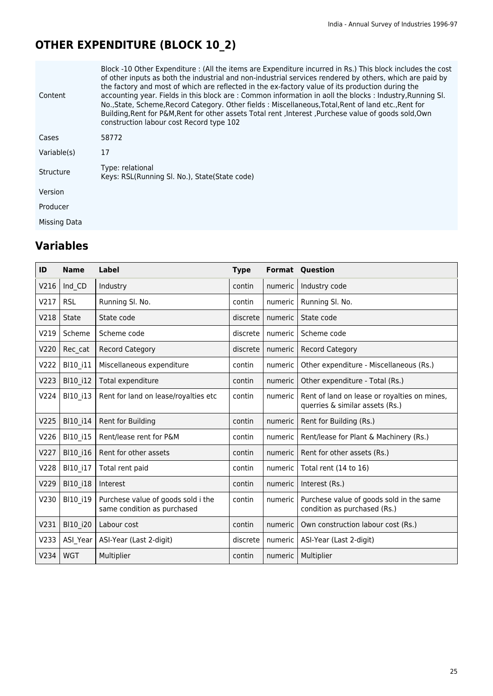# **OTHER EXPENDITURE (BLOCK 10\_2)**

| Content      | Block -10 Other Expenditure : (All the items are Expenditure incurred in Rs.) This block includes the cost<br>of other inputs as both the industrial and non-industrial services rendered by others, which are paid by<br>the factory and most of which are reflected in the ex-factory value of its production during the<br>accounting year. Fields in this block are: Common information in aoll the blocks: Industry, Running SI.<br>No., State, Scheme, Record Category. Other fields: Miscellaneous, Total, Rent of land etc., Rent for<br>Building, Rent for P&M, Rent for other assets Total rent, Interest, Purchese value of goods sold, Own<br>construction labour cost Record type 102 |
|--------------|----------------------------------------------------------------------------------------------------------------------------------------------------------------------------------------------------------------------------------------------------------------------------------------------------------------------------------------------------------------------------------------------------------------------------------------------------------------------------------------------------------------------------------------------------------------------------------------------------------------------------------------------------------------------------------------------------|
| Cases        | 58772                                                                                                                                                                                                                                                                                                                                                                                                                                                                                                                                                                                                                                                                                              |
| Variable(s)  | 17                                                                                                                                                                                                                                                                                                                                                                                                                                                                                                                                                                                                                                                                                                 |
| Structure    | Type: relational<br>Keys: RSL(Running SI. No.), State(State code)                                                                                                                                                                                                                                                                                                                                                                                                                                                                                                                                                                                                                                  |
| Version      |                                                                                                                                                                                                                                                                                                                                                                                                                                                                                                                                                                                                                                                                                                    |
| Producer     |                                                                                                                                                                                                                                                                                                                                                                                                                                                                                                                                                                                                                                                                                                    |
| Missing Data |                                                                                                                                                                                                                                                                                                                                                                                                                                                                                                                                                                                                                                                                                                    |

| ID   | <b>Name</b>  | <b>Label</b>                                                      | <b>Type</b> |         | <b>Format Question</b>                                                          |
|------|--------------|-------------------------------------------------------------------|-------------|---------|---------------------------------------------------------------------------------|
| V216 | Ind CD       | Industry                                                          | contin      | numeric | Industry code                                                                   |
| V217 | <b>RSL</b>   | Running SI. No.                                                   | contin      | numeric | Running Sl. No.                                                                 |
| V218 | <b>State</b> | State code                                                        | discrete    | numeric | State code                                                                      |
| V219 | Scheme       | Scheme code                                                       | discrete    | numeric | Scheme code                                                                     |
| V220 | Rec cat      | <b>Record Category</b>                                            | discrete    | numeric | <b>Record Category</b>                                                          |
| V222 | BI10 i11     | Miscellaneous expenditure                                         | contin      | numeric | Other expenditure - Miscellaneous (Rs.)                                         |
| V223 | BI10_i12     | Total expenditure                                                 | contin      | numeric | Other expenditure - Total (Rs.)                                                 |
| V224 | BI10 i13     | Rent for land on lease/royalties etc                              | contin      | numeric | Rent of land on lease or royalties on mines,<br>querries & similar assets (Rs.) |
| V225 | BI10 i14     | Rent for Building                                                 | contin      | numeric | Rent for Building (Rs.)                                                         |
| V226 | BI10_i15     | Rent/lease rent for P&M                                           | contin      | numeric | Rent/lease for Plant & Machinery (Rs.)                                          |
| V227 | BI10_i16     | Rent for other assets                                             | contin      | numeric | Rent for other assets (Rs.)                                                     |
| V228 | BI10_i17     | Total rent paid                                                   | contin      | numeric | Total rent (14 to 16)                                                           |
| V229 | BI10_i18     | Interest                                                          | contin      | numeric | Interest (Rs.)                                                                  |
| V230 | BI10_i19     | Purchese value of goods sold i the<br>same condition as purchased | contin      | numeric | Purchese value of goods sold in the same<br>condition as purchased (Rs.)        |
| V231 | BI10_i20     | Labour cost                                                       | contin      | numeric | Own construction labour cost (Rs.)                                              |
| V233 | ASI Year     | ASI-Year (Last 2-digit)                                           | discrete    | numeric | ASI-Year (Last 2-digit)                                                         |
| V234 | <b>WGT</b>   | Multiplier                                                        | contin      | numeric | Multiplier                                                                      |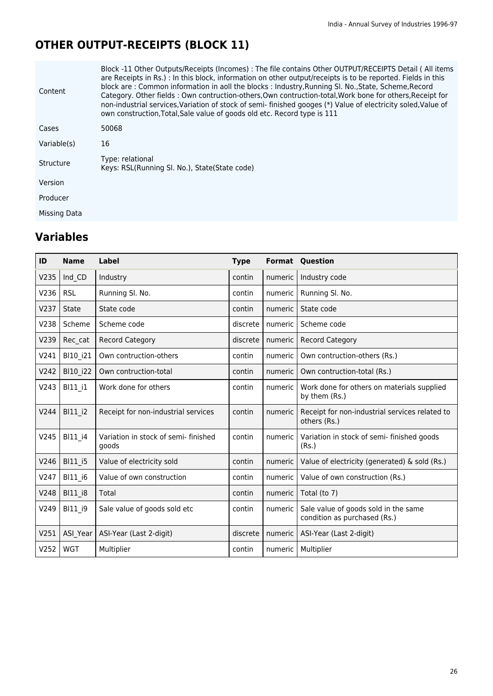# **OTHER OUTPUT-RECEIPTS (BLOCK 11)**

| Content      | Block -11 Other Outputs/Receipts (Incomes) : The file contains Other OUTPUT/RECEIPTS Detail (All items<br>are Receipts in Rs.) : In this block, information on other output/receipts is to be reported. Fields in this<br>block are: Common information in aoll the blocks: Industry, Running Sl. No., State, Scheme, Record<br>Category. Other fields: Own contruction-others, Own contruction-total, Work bone for others, Receipt for<br>non-industrial services, Variation of stock of semi-finished googes (*) Value of electricity soled, Value of<br>own construction, Total, Sale value of goods old etc. Record type is 111 |
|--------------|--------------------------------------------------------------------------------------------------------------------------------------------------------------------------------------------------------------------------------------------------------------------------------------------------------------------------------------------------------------------------------------------------------------------------------------------------------------------------------------------------------------------------------------------------------------------------------------------------------------------------------------|
| Cases        | 50068                                                                                                                                                                                                                                                                                                                                                                                                                                                                                                                                                                                                                                |
| Variable(s)  | 16                                                                                                                                                                                                                                                                                                                                                                                                                                                                                                                                                                                                                                   |
| Structure    | Type: relational<br>Keys: RSL(Running SI. No.), State(State code)                                                                                                                                                                                                                                                                                                                                                                                                                                                                                                                                                                    |
| Version      |                                                                                                                                                                                                                                                                                                                                                                                                                                                                                                                                                                                                                                      |
| Producer     |                                                                                                                                                                                                                                                                                                                                                                                                                                                                                                                                                                                                                                      |
| Missing Data |                                                                                                                                                                                                                                                                                                                                                                                                                                                                                                                                                                                                                                      |

| ID   | <b>Name</b>  | Label                                         | <b>Type</b> | <b>Format</b> | Question                                                             |
|------|--------------|-----------------------------------------------|-------------|---------------|----------------------------------------------------------------------|
| V235 | Ind CD       | Industry                                      | contin      | numeric       | Industry code                                                        |
| V236 | <b>RSL</b>   | Running Sl. No.                               | contin      | numeric       | Running Sl. No.                                                      |
| V237 | <b>State</b> | State code                                    | contin      | numeric       | State code                                                           |
| V238 | Scheme       | Scheme code                                   | discrete    | numeric       | Scheme code                                                          |
| V239 | Rec cat      | <b>Record Category</b>                        | discrete    | numeric       | Record Category                                                      |
| V241 | BI10_i21     | Own contruction-others                        | contin      | numeric       | Own contruction-others (Rs.)                                         |
| V242 | BI10_i22     | Own contruction-total                         | contin      | numeric       | Own contruction-total (Rs.)                                          |
| V243 | BI11 i1      | Work done for others                          | contin      | numeric       | Work done for others on materials supplied<br>by them (Rs.)          |
| V244 | BI11 i2      | Receipt for non-industrial services           | contin      | numeric       | Receipt for non-industrial services related to<br>others (Rs.)       |
| V245 | BI11 i4      | Variation in stock of semi- finished<br>goods | contin      | numeric       | Variation in stock of semi- finished goods<br>(Rs.)                  |
| V246 | BI11_i5      | Value of electricity sold                     | contin      | numeric       | Value of electricity (generated) & sold (Rs.)                        |
| V247 | BI11_i6      | Value of own construction                     | contin      | numeric       | Value of own construction (Rs.)                                      |
| V248 | BI11_i8      | Total                                         | contin      | numeric       | Total (to 7)                                                         |
| V249 | BI11_i9      | Sale value of goods sold etc                  | contin      | numeric       | Sale value of goods sold in the same<br>condition as purchased (Rs.) |
| V251 | ASI_Year     | ASI-Year (Last 2-digit)                       | discrete    | numeric       | ASI-Year (Last 2-digit)                                              |
| V252 | <b>WGT</b>   | Multiplier                                    | contin      | numeric       | Multiplier                                                           |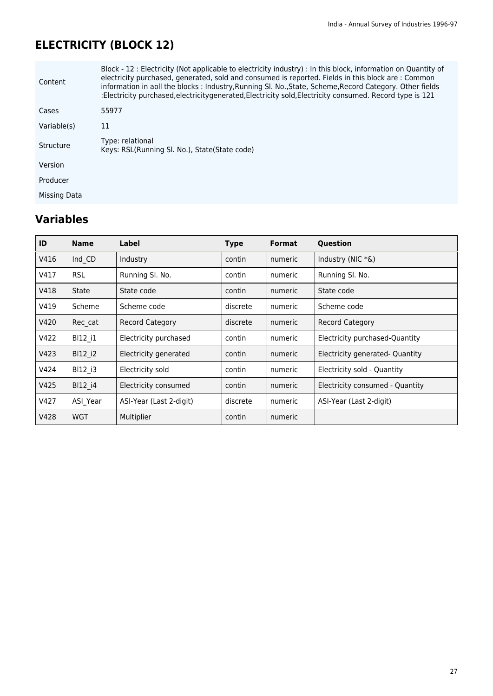# **ELECTRICITY (BLOCK 12)**

| Content      | Block - 12 : Electricity (Not applicable to electricity industry) : In this block, information on Quantity of<br>electricity purchased, generated, sold and consumed is reported. Fields in this block are: Common<br>information in aoll the blocks: Industry, Running SI. No., State, Scheme, Record Category. Other fields<br>:Electricity purchased, electricity generated, Electricity sold, Electricity consumed. Record type is 121 |
|--------------|--------------------------------------------------------------------------------------------------------------------------------------------------------------------------------------------------------------------------------------------------------------------------------------------------------------------------------------------------------------------------------------------------------------------------------------------|
| Cases        | 55977                                                                                                                                                                                                                                                                                                                                                                                                                                      |
| Variable(s)  | 11                                                                                                                                                                                                                                                                                                                                                                                                                                         |
| Structure    | Type: relational<br>Keys: RSL(Running SI. No.), State(State code)                                                                                                                                                                                                                                                                                                                                                                          |
| Version      |                                                                                                                                                                                                                                                                                                                                                                                                                                            |
| Producer     |                                                                                                                                                                                                                                                                                                                                                                                                                                            |
| Missing Data |                                                                                                                                                                                                                                                                                                                                                                                                                                            |

| ID   | <b>Name</b>  | Label                   | <b>Type</b> | <b>Format</b> | Question                        |
|------|--------------|-------------------------|-------------|---------------|---------------------------------|
| V416 | Ind CD       | Industry                | contin      | numeric       | Industry (NIC *&)               |
| V417 | <b>RSL</b>   | Running Sl. No.         | contin      | numeric       | Running SI. No.                 |
| V418 | <b>State</b> | State code              | contin      | numeric       | State code                      |
| V419 | Scheme       | Scheme code             | discrete    | numeric       | Scheme code                     |
| V420 | Rec cat      | <b>Record Category</b>  | discrete    | numeric       | <b>Record Category</b>          |
| V422 | BI12 i1      | Electricity purchased   | contin      | numeric       | Electricity purchased-Quantity  |
| V423 | BI12 i2      | Electricity generated   | contin      | numeric       | Electricity generated- Quantity |
| V424 | BI12 i3      | Electricity sold        | contin      | numeric       | Electricity sold - Quantity     |
| V425 | BI12 i4      | Electricity consumed    | contin      | numeric       | Electricity consumed - Quantity |
| V427 | ASI Year     | ASI-Year (Last 2-digit) | discrete    | numeric       | ASI-Year (Last 2-digit)         |
| V428 | <b>WGT</b>   | Multiplier              | contin      | numeric       |                                 |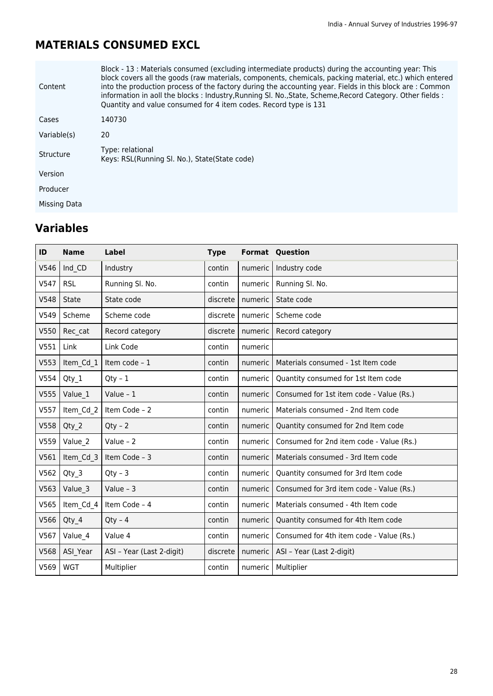### **MATERIALS CONSUMED EXCL**

| Content      | Block - 13 : Materials consumed (excluding intermediate products) during the accounting year: This<br>block covers all the goods (raw materials, components, chemicals, packing material, etc.) which entered<br>into the production process of the factory during the accounting year. Fields in this block are: Common<br>information in aoll the blocks : Industry, Running Sl. No., State, Scheme, Record Category. Other fields :<br>Quantity and value consumed for 4 item codes. Record type is 131 |
|--------------|------------------------------------------------------------------------------------------------------------------------------------------------------------------------------------------------------------------------------------------------------------------------------------------------------------------------------------------------------------------------------------------------------------------------------------------------------------------------------------------------------------|
| Cases        | 140730                                                                                                                                                                                                                                                                                                                                                                                                                                                                                                     |
| Variable(s)  | 20                                                                                                                                                                                                                                                                                                                                                                                                                                                                                                         |
| Structure    | Type: relational<br>Keys: RSL(Running SI, No.), State(State code)                                                                                                                                                                                                                                                                                                                                                                                                                                          |
| Version      |                                                                                                                                                                                                                                                                                                                                                                                                                                                                                                            |
| Producer     |                                                                                                                                                                                                                                                                                                                                                                                                                                                                                                            |
| Missing Data |                                                                                                                                                                                                                                                                                                                                                                                                                                                                                                            |

| ID   | <b>Name</b>  | Label                     | <b>Type</b> |         | <b>Format Question</b>                   |
|------|--------------|---------------------------|-------------|---------|------------------------------------------|
| V546 | Ind CD       | Industry                  | contin      | numeric | Industry code                            |
| V547 | <b>RSL</b>   | Running Sl. No.           | contin      | numeric | Running Sl. No.                          |
| V548 | <b>State</b> | State code                | discrete    | numeric | State code                               |
| V549 | Scheme       | Scheme code               | discrete    | numeric | Scheme code                              |
| V550 | Rec cat      | Record category           | discrete    | numeric | Record category                          |
| V551 | Link         | Link Code                 | contin      | numeric |                                          |
| V553 | Item Cd 1    | Item code - 1             | contin      | numeric | Materials consumed - 1st Item code       |
| V554 | Qty 1        | $Qty - 1$                 | contin      | numeric | Quantity consumed for 1st Item code      |
| V555 | Value 1      | Value - 1                 | contin      | numeric | Consumed for 1st item code - Value (Rs.) |
| V557 | Item Cd 2    | Item Code - 2             | contin      | numeric | Materials consumed - 2nd Item code       |
| V558 | Qty 2        | $Qty - 2$                 | contin      | numeric | Quantity consumed for 2nd Item code      |
| V559 | Value 2      | Value - $2$               | contin      | numeric | Consumed for 2nd item code - Value (Rs.) |
| V561 | Item Cd 3    | Item Code - 3             | contin      | numeric | Materials consumed - 3rd Item code       |
| V562 | Qty 3        | $Qty - 3$                 | contin      | numeric | Quantity consumed for 3rd Item code      |
| V563 | Value 3      | Value - $3$               | contin      | numeric | Consumed for 3rd item code - Value (Rs.) |
| V565 | Item Cd 4    | Item Code - 4             | contin      | numeric | Materials consumed - 4th Item code       |
| V566 | Qty 4        | $Qty - 4$                 | contin      | numeric | Quantity consumed for 4th Item code      |
| V567 | Value 4      | Value 4                   | contin      | numeric | Consumed for 4th item code - Value (Rs.) |
| V568 | ASI Year     | ASI - Year (Last 2-digit) | discrete    | numeric | ASI - Year (Last 2-digit)                |
| V569 | <b>WGT</b>   | Multiplier                | contin      | numeric | Multiplier                               |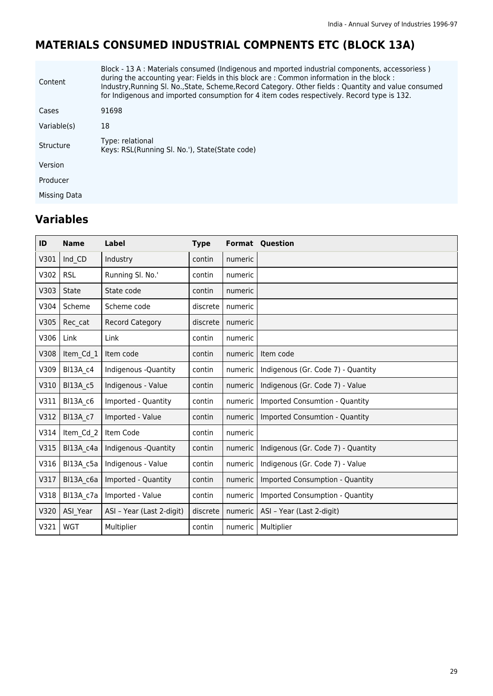# **MATERIALS CONSUMED INDUSTRIAL COMPNENTS ETC (BLOCK 13A)**

| Content      | Block - 13 A : Materials consumed (Indigenous and mported industrial components, accessoriess)<br>during the accounting year: Fields in this block are: Common information in the block:<br>Industry, Running SI. No., State, Scheme, Record Category. Other fields: Quantity and value consumed<br>for Indigenous and imported consumption for 4 item codes respectively. Record type is 132. |
|--------------|------------------------------------------------------------------------------------------------------------------------------------------------------------------------------------------------------------------------------------------------------------------------------------------------------------------------------------------------------------------------------------------------|
| Cases        | 91698                                                                                                                                                                                                                                                                                                                                                                                          |
| Variable(s)  | 18                                                                                                                                                                                                                                                                                                                                                                                             |
| Structure    | Type: relational<br>Keys: RSL(Running SI, No.'), State(State code)                                                                                                                                                                                                                                                                                                                             |
| Version      |                                                                                                                                                                                                                                                                                                                                                                                                |
| Producer     |                                                                                                                                                                                                                                                                                                                                                                                                |
| Missing Data |                                                                                                                                                                                                                                                                                                                                                                                                |

| ID   | <b>Name</b> | Label                     | <b>Type</b> |         | <b>Format Question</b>             |
|------|-------------|---------------------------|-------------|---------|------------------------------------|
| V301 | Ind CD      | Industry                  | contin      | numeric |                                    |
| V302 | <b>RSL</b>  | Running Sl. No.'          | contin      | numeric |                                    |
| V303 | State       | State code                | contin      | numeric |                                    |
| V304 | Scheme      | Scheme code               | discrete    | numeric |                                    |
| V305 | Rec cat     | <b>Record Category</b>    | discrete    | numeric |                                    |
| V306 | Link        | Link                      | contin      | numeric |                                    |
| V308 | Item_Cd_1   | Item code                 | contin      | numeric | Item code                          |
| V309 | BI13A c4    | Indigenous -Quantity      | contin      | numeric | Indigenous (Gr. Code 7) - Quantity |
| V310 | BI13A_c5    | Indigenous - Value        | contin      | numeric | Indigenous (Gr. Code 7) - Value    |
| V311 | BI13A c6    | Imported - Quantity       | contin      | numeric | Imported Consumtion - Quantity     |
| V312 | BI13A c7    | Imported - Value          | contin      | numeric | Imported Consumtion - Quantity     |
| V314 | Item Cd 2   | Item Code                 | contin      | numeric |                                    |
| V315 | BI13A_c4a   | Indigenous -Quantity      | contin      | numeric | Indigenous (Gr. Code 7) - Quantity |
| V316 | BI13A c5a   | Indigenous - Value        | contin      | numeric | Indigenous (Gr. Code 7) - Value    |
| V317 | BI13A_c6a   | Imported - Quantity       | contin      | numeric | Imported Consumption - Quantity    |
| V318 | BI13A_c7a   | Imported - Value          | contin      | numeric | Imported Consumption - Quantity    |
| V320 | ASI Year    | ASI - Year (Last 2-digit) | discrete    | numeric | ASI - Year (Last 2-digit)          |
| V321 | <b>WGT</b>  | Multiplier                | contin      | numeric | Multiplier                         |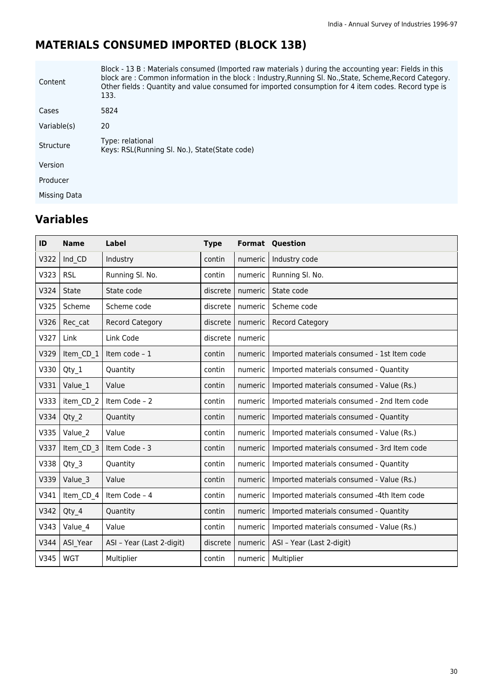# **MATERIALS CONSUMED IMPORTED (BLOCK 13B)**

| Content      | Block - 13 B : Materials consumed (Imported raw materials) during the accounting year: Fields in this<br>block are: Common information in the block: Industry, Running SI. No., State, Scheme, Record Category.<br>Other fields: Quantity and value consumed for imported consumption for 4 item codes. Record type is<br>133. |
|--------------|--------------------------------------------------------------------------------------------------------------------------------------------------------------------------------------------------------------------------------------------------------------------------------------------------------------------------------|
| Cases        | 5824                                                                                                                                                                                                                                                                                                                           |
| Variable(s)  | 20                                                                                                                                                                                                                                                                                                                             |
| Structure    | Type: relational<br>Keys: RSL(Running SI, No.), State(State code)                                                                                                                                                                                                                                                              |
| Version      |                                                                                                                                                                                                                                                                                                                                |
| Producer     |                                                                                                                                                                                                                                                                                                                                |
| Missing Data |                                                                                                                                                                                                                                                                                                                                |

| ID   | <b>Name</b> | Label                     | <b>Type</b> |         | <b>Format Question</b>                      |
|------|-------------|---------------------------|-------------|---------|---------------------------------------------|
| V322 | Ind CD      | Industry                  | contin      | numeric | Industry code                               |
| V323 | <b>RSL</b>  | Running Sl. No.           | contin      | numeric | Running Sl. No.                             |
| V324 | State       | State code                | discrete    | numeric | State code                                  |
| V325 | Scheme      | Scheme code               | discrete    | numeric | Scheme code                                 |
| V326 | Rec cat     | <b>Record Category</b>    | discrete    | numeric | <b>Record Category</b>                      |
| V327 | Link        | Link Code                 | discrete    | numeric |                                             |
| V329 | Item CD 1   | Item code - 1             | contin      | numeric | Imported materials consumed - 1st Item code |
| V330 | $Qty_1$     | Quantity                  | contin      | numeric | Imported materials consumed - Quantity      |
| V331 | Value 1     | Value                     | contin      | numeric | Imported materials consumed - Value (Rs.)   |
| V333 | item CD 2   | Item Code - 2             | contin      | numeric | Imported materials consumed - 2nd Item code |
| V334 | $Qty_2$     | Quantity                  | contin      | numeric | Imported materials consumed - Quantity      |
| V335 | Value 2     | Value                     | contin      | numeric | Imported materials consumed - Value (Rs.)   |
| V337 | Item CD 3   | Item Code - 3             | contin      | numeric | Imported materials consumed - 3rd Item code |
| V338 | Qty 3       | Quantity                  | contin      | numeric | Imported materials consumed - Quantity      |
| V339 | Value 3     | Value                     | contin      | numeric | Imported materials consumed - Value (Rs.)   |
| V341 | Item CD 4   | Item Code - 4             | contin      | numeric | Imported materials consumed -4th Item code  |
| V342 | Qty 4       | Quantity                  | contin      | numeric | Imported materials consumed - Quantity      |
| V343 | Value 4     | Value                     | contin      | numeric | Imported materials consumed - Value (Rs.)   |
| V344 | ASI Year    | ASI - Year (Last 2-digit) | discrete    | numeric | ASI - Year (Last 2-digit)                   |
| V345 | <b>WGT</b>  | Multiplier                | contin      | numeric | Multiplier                                  |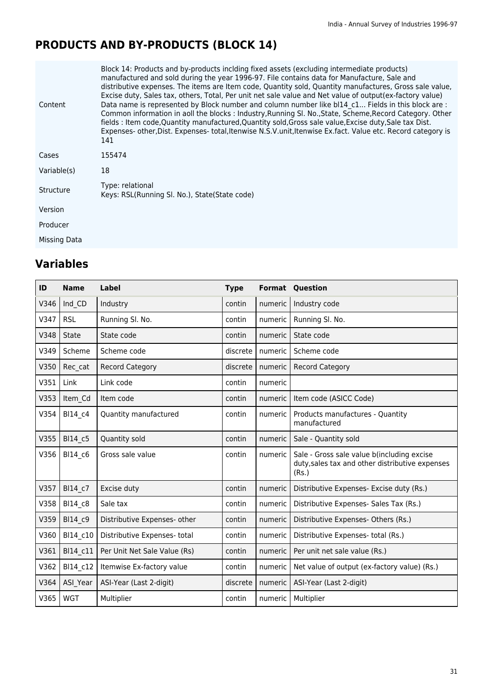# **PRODUCTS AND BY-PRODUCTS (BLOCK 14)**

| Content      | Block 14: Products and by-products inclding fixed assets (excluding intermediate products)<br>manufactured and sold during the year 1996-97. File contains data for Manufacture, Sale and<br>distributive expenses. The items are Item code, Quantity sold, Quantity manufactures, Gross sale value,<br>Excise duty, Sales tax, others, Total, Per unit net sale value and Net value of output(ex-factory value)<br>Data name is represented by Block number and column number like bl14 c1 Fields in this block are :<br>Common information in aoll the blocks : Industry, Running Sl. No., State, Scheme, Record Category. Other<br>fields : Item code, Quantity manufactured, Quantity sold, Gross sale value, Excise duty, Sale tax Dist.<br>Expenses- other, Dist. Expenses- total, Itenwise N.S.V. unit, Itenwise Ex.fact. Value etc. Record category is<br>141 |
|--------------|-----------------------------------------------------------------------------------------------------------------------------------------------------------------------------------------------------------------------------------------------------------------------------------------------------------------------------------------------------------------------------------------------------------------------------------------------------------------------------------------------------------------------------------------------------------------------------------------------------------------------------------------------------------------------------------------------------------------------------------------------------------------------------------------------------------------------------------------------------------------------|
| Cases        | 155474                                                                                                                                                                                                                                                                                                                                                                                                                                                                                                                                                                                                                                                                                                                                                                                                                                                                |
| Variable(s)  | 18                                                                                                                                                                                                                                                                                                                                                                                                                                                                                                                                                                                                                                                                                                                                                                                                                                                                    |
| Structure    | Type: relational<br>Keys: RSL(Running SI, No.), State(State code)                                                                                                                                                                                                                                                                                                                                                                                                                                                                                                                                                                                                                                                                                                                                                                                                     |
| Version      |                                                                                                                                                                                                                                                                                                                                                                                                                                                                                                                                                                                                                                                                                                                                                                                                                                                                       |
| Producer     |                                                                                                                                                                                                                                                                                                                                                                                                                                                                                                                                                                                                                                                                                                                                                                                                                                                                       |
| Missing Data |                                                                                                                                                                                                                                                                                                                                                                                                                                                                                                                                                                                                                                                                                                                                                                                                                                                                       |

| ID   | <b>Name</b>  | <b>Label</b>                 | <b>Type</b> | Format  | Question                                                                                               |
|------|--------------|------------------------------|-------------|---------|--------------------------------------------------------------------------------------------------------|
| V346 | Ind CD       | Industry                     | contin      | numeric | Industry code                                                                                          |
| V347 | <b>RSL</b>   | Running Sl. No.              | contin      | numeric | Running Sl. No.                                                                                        |
| V348 | <b>State</b> | State code                   | contin      | numeric | State code                                                                                             |
| V349 | Scheme       | Scheme code                  | discrete    | numeric | Scheme code                                                                                            |
| V350 | Rec cat      | <b>Record Category</b>       | discrete    | numeric | <b>Record Category</b>                                                                                 |
| V351 | Link         | Link code                    | contin      | numeric |                                                                                                        |
| V353 | Item Cd      | Item code                    | contin      | numeric | Item code (ASICC Code)                                                                                 |
| V354 | BI14_c4      | Quantity manufactured        | contin      | numeric | Products manufactures - Quantity<br>manufactured                                                       |
| V355 | BI14 c5      | Quantity sold                | contin      | numeric | Sale - Quantity sold                                                                                   |
| V356 | BI14 c6      | Gross sale value             | contin      | numeric | Sale - Gross sale value b(including excise<br>duty, sales tax and other distributive expenses<br>(Rs.) |
| V357 | BI14 c7      | Excise duty                  | contin      | numeric | Distributive Expenses- Excise duty (Rs.)                                                               |
| V358 | BI14 c8      | Sale tax                     | contin      | numeric | Distributive Expenses- Sales Tax (Rs.)                                                                 |
| V359 | BI14 c9      | Distributive Expenses- other | contin      | numeric | Distributive Expenses- Others (Rs.)                                                                    |
| V360 | BI14 c10     | Distributive Expenses- total | contin      | numeric | Distributive Expenses- total (Rs.)                                                                     |
| V361 | BI14_c11     | Per Unit Net Sale Value (Rs) | contin      | numeric | Per unit net sale value (Rs.)                                                                          |
| V362 | BI14 c12     | Itemwise Ex-factory value    | contin      | numeric | Net value of output (ex-factory value) (Rs.)                                                           |
| V364 | ASI Year     | ASI-Year (Last 2-digit)      | discrete    | numeric | ASI-Year (Last 2-digit)                                                                                |
| V365 | <b>WGT</b>   | Multiplier                   | contin      | numeric | Multiplier                                                                                             |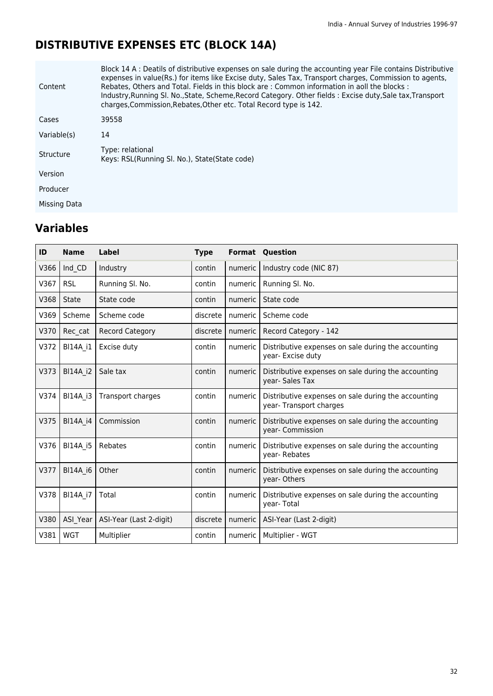# **DISTRIBUTIVE EXPENSES ETC (BLOCK 14A)**

| Content      | Block 14 A : Deatils of distributive expenses on sale during the accounting year File contains Distributive<br>expenses in value(Rs.) for items like Excise duty, Sales Tax, Transport charges, Commission to agents,<br>Rebates, Others and Total. Fields in this block are : Common information in aoll the blocks :<br>Industry, Running SI. No., State, Scheme, Record Category. Other fields: Excise duty, Sale tax, Transport<br>charges, Commission, Rebates, Other etc. Total Record type is 142. |
|--------------|-----------------------------------------------------------------------------------------------------------------------------------------------------------------------------------------------------------------------------------------------------------------------------------------------------------------------------------------------------------------------------------------------------------------------------------------------------------------------------------------------------------|
| Cases        | 39558                                                                                                                                                                                                                                                                                                                                                                                                                                                                                                     |
| Variable(s)  | 14                                                                                                                                                                                                                                                                                                                                                                                                                                                                                                        |
| Structure    | Type: relational<br>Keys: RSL(Running SI, No.), State(State code)                                                                                                                                                                                                                                                                                                                                                                                                                                         |
| Version      |                                                                                                                                                                                                                                                                                                                                                                                                                                                                                                           |
| Producer     |                                                                                                                                                                                                                                                                                                                                                                                                                                                                                                           |
| Missing Data |                                                                                                                                                                                                                                                                                                                                                                                                                                                                                                           |

| ID   | <b>Name</b>     | Label                   | <b>Type</b> |           | <b>Format Question</b>                                                        |
|------|-----------------|-------------------------|-------------|-----------|-------------------------------------------------------------------------------|
| V366 | Ind CD          | Industry                | contin      | numeric   | Industry code (NIC 87)                                                        |
| V367 | <b>RSL</b>      | Running Sl. No.         | contin      | numeric   | Running Sl. No.                                                               |
| V368 | <b>State</b>    | State code              | contin      | numeric   | State code                                                                    |
| V369 | Scheme          | Scheme code             | discrete    | numeric   | Scheme code                                                                   |
| V370 | Rec cat         | <b>Record Category</b>  | discrete    | numeric   | Record Category - 142                                                         |
| V372 | <b>BI14A i1</b> | Excise duty             | contin      | numeric   | Distributive expenses on sale during the accounting<br>year- Excise duty      |
| V373 | <b>BI14A i2</b> | Sale tax                | contin      | numeric   | Distributive expenses on sale during the accounting<br>year-Sales Tax         |
| V374 | <b>BI14A i3</b> | Transport charges       | contin      | numeric   | Distributive expenses on sale during the accounting<br>year-Transport charges |
| V375 | BI14A_i4        | Commission              | contin      | numeric   | Distributive expenses on sale during the accounting<br>year- Commission       |
| V376 | BI14A_i5        | Rebates                 | contin      | numeric   | Distributive expenses on sale during the accounting<br>year-Rebates           |
| V377 | <b>BI14A i6</b> | Other                   | contin      | numeric   | Distributive expenses on sale during the accounting<br>year- Others           |
| V378 | BI14A_i7        | Total                   | contin      | numeric   | Distributive expenses on sale during the accounting<br>year-Total             |
| V380 | ASI_Year        | ASI-Year (Last 2-digit) | discrete    | numeric   | ASI-Year (Last 2-digit)                                                       |
| V381 | <b>WGT</b>      | Multiplier              | contin      | numeric I | Multiplier - WGT                                                              |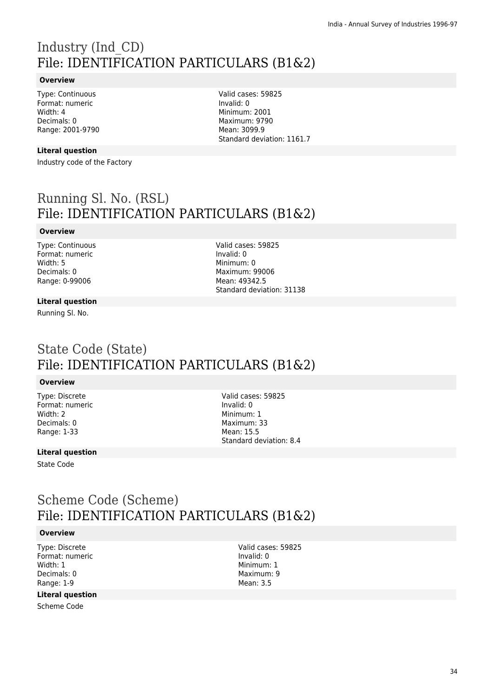# Industry (Ind\_CD) File: IDENTIFICATION PARTICULARS (B1&2)

#### **Overview**

Type: Continuous Format: numeric Width: 4 Decimals: 0 Range: 2001-9790

**Literal question**

Industry code of the Factory

Valid cases: 59825 Invalid: 0 Minimum: 2001 Maximum: 9790 Mean: 3099.9 Standard deviation: 1161.7

# Running Sl. No. (RSL) File: IDENTIFICATION PARTICULARS (B1&2)

#### **Overview**

Type: Continuous Format: numeric Width: 5 Decimals: 0 Range: 0-99006

Valid cases: 59825 Invalid: 0 Minimum: 0 Maximum: 99006 Mean: 49342.5 Standard deviation: 31138

#### **Literal question**

Running Sl. No.

# State Code (State) File: IDENTIFICATION PARTICULARS (B1&2)

#### **Overview**

Type: Discrete Format: numeric Width: 2 Decimals: 0 Range: 1-33

Valid cases: 59825 Invalid: 0 Minimum: 1 Maximum: 33 Mean: 15.5 Standard deviation: 8.4

#### **Literal question**

State Code

### Scheme Code (Scheme) File: IDENTIFICATION PARTICULARS (B1&2)

#### **Overview**

Type: Discrete Format: numeric Width: 1 Decimals: 0 Range: 1-9

#### **Literal question**

Scheme Code

Valid cases: 59825 Invalid: 0 Minimum: 1 Maximum: 9 Mean: 3.5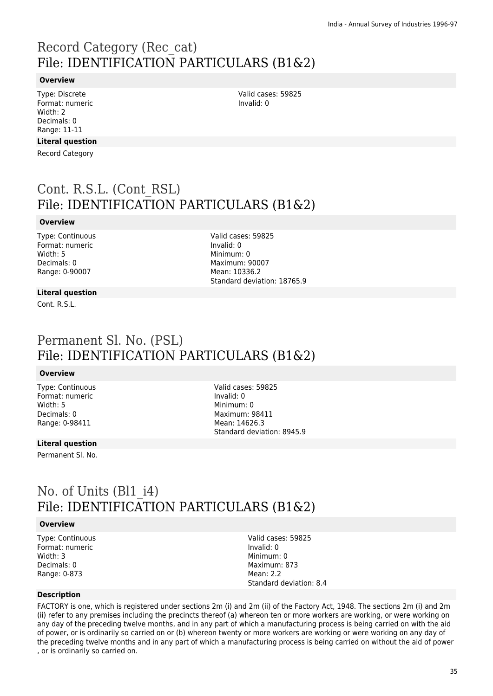# Record Category (Rec\_cat) File: IDENTIFICATION PARTICULARS (B1&2)

#### **Overview**

Type: Discrete Format: numeric Width: 2 Decimals: 0 Range: 11-11

#### **Literal question**

Record Category

# Cont. R.S.L. (Cont\_RSL) File: IDENTIFICATION PARTICULARS (B1&2)

#### **Overview**

Type: Continuous Format: numeric Width: 5 Decimals: 0 Range: 0-90007

Valid cases: 59825 Invalid: 0 Minimum: 0 Maximum: 90007 Mean: 10336.2 Standard deviation: 18765.9

Valid cases: 59825

Invalid: 0

#### **Literal question**

Cont. R.S.L.

### Permanent Sl. No. (PSL) File: IDENTIFICATION PARTICULARS (B1&2)

#### **Overview**

Type: Continuous Format: numeric Width: 5 Decimals: 0 Range: 0-98411

Valid cases: 59825 Invalid: 0 Minimum: 0 Maximum: 98411 Mean: 14626.3 Standard deviation: 8945.9

#### **Literal question**

Permanent Sl. No.

### No. of Units (Bl1 i4) File: IDENTIFICATION PARTICULARS (B1&2)

#### **Overview**

Type: Continuous Format: numeric Width: 3 Decimals: 0 Range: 0-873

Valid cases: 59825 Invalid: 0 Minimum: 0 Maximum: 873 Mean: 2.2 Standard deviation: 8.4

#### **Description**

FACTORY is one, which is registered under sections 2m (i) and 2m (ii) of the Factory Act, 1948. The sections 2m (i) and 2m (ii) refer to any premises including the precincts thereof (a) whereon ten or more workers are working, or were working on any day of the preceding twelve months, and in any part of which a manufacturing process is being carried on with the aid of power, or is ordinarily so carried on or (b) whereon twenty or more workers are working or were working on any day of the preceding twelve months and in any part of which a manufacturing process is being carried on without the aid of power , or is ordinarily so carried on.

35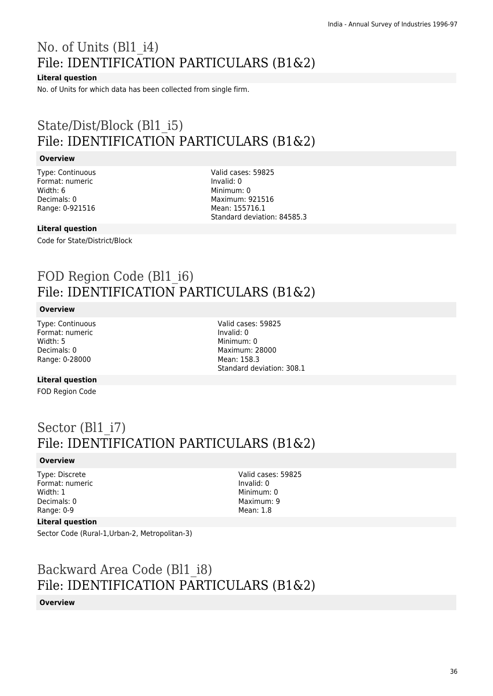# No. of Units (Bl1\_i4) File: IDENTIFICATION PARTICULARS (B1&2)

#### **Literal question**

No. of Units for which data has been collected from single firm.

# State/Dist/Block (Bl1\_i5) File: IDENTIFICATION PARTICULARS (B1&2)

#### **Overview**

Type: Continuous Format: numeric Width: 6 Decimals: 0 Range: 0-921516

Valid cases: 59825 Invalid: 0 Minimum: 0 Maximum: 921516 Mean: 155716.1 Standard deviation: 84585.3

#### **Literal question**

Code for State/District/Block

# FOD Region Code (Bl1 i6) File: IDENTIFICATION PARTICULARS (B1&2)

#### **Overview**

Type: Continuous Format: numeric Width: 5 Decimals: 0 Range: 0-28000

Valid cases: 59825 Invalid: 0 Minimum: 0 Maximum: 28000 Mean: 158.3 Standard deviation: 308.1

#### **Literal question**

FOD Region Code

# Sector (Bl1\_i7) File: IDENTIFICATION PARTICULARS (B1&2)

#### **Overview**

Type: Discrete Format: numeric Width: 1 Decimals: 0 Range: 0-9

Valid cases: 59825 Invalid: 0 Minimum: 0 Maximum: 9 Mean: 1.8

#### **Literal question**

Sector Code (Rural-1,Urban-2, Metropolitan-3)

# Backward Area Code (Bl1\_i8) File: IDENTIFICATION PARTICULARS (B1&2)

#### **Overview**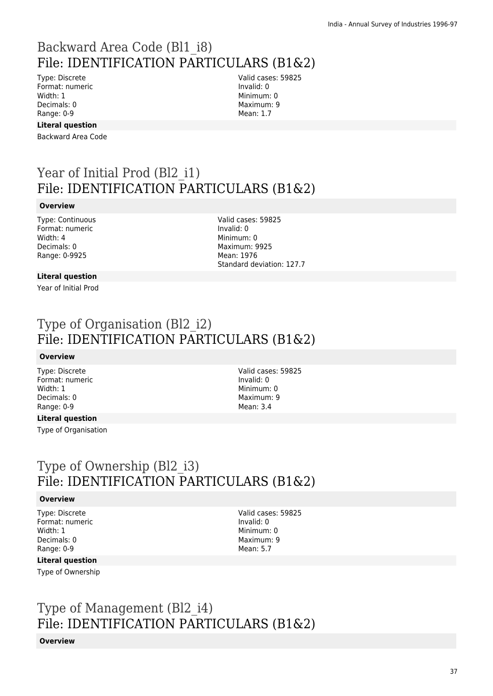# Backward Area Code (Bl1\_i8) File: IDENTIFICATION PARTICULARS (B1&2)

Type: Discrete Format: numeric Width: 1 Decimals: 0 Range: 0-9

Valid cases: 59825 Invalid: 0 Minimum: 0 Maximum: 9 Mean: 1.7

## **Literal question**

Backward Area Code

# Year of Initial Prod (Bl2 i1) File: IDENTIFICATION PARTICULARS (B1&2)

### **Overview**

Type: Continuous Format: numeric Width: 4 Decimals: 0 Range: 0-9925

Valid cases: 59825 Invalid: 0 Minimum: 0 Maximum: 9925 Mean: 1976 Standard deviation: 127.7

## **Literal question**

Year of Initial Prod

## Type of Organisation (Bl2\_i2) File: IDENTIFICATION PARTICULARS (B1&2)

### **Overview**

Type: Discrete Format: numeric Width: 1 Decimals: 0 Range: 0-9

Valid cases: 59825 Invalid: 0 Minimum: 0 Maximum: 9 Mean: 3.4

### **Literal question**

Type of Organisation

## Type of Ownership (Bl2\_i3) File: IDENTIFICATION PARTICULARS (B1&2)

### **Overview**

Type: Discrete Format: numeric Width: 1 Decimals: 0 Range: 0-9

Valid cases: 59825 Invalid: 0 Minimum: 0 Maximum: 9 Mean: 5.7

### **Literal question**

Type of Ownership

# Type of Management (Bl2\_i4) File: IDENTIFICATION PARTICULARS (B1&2)

### **Overview**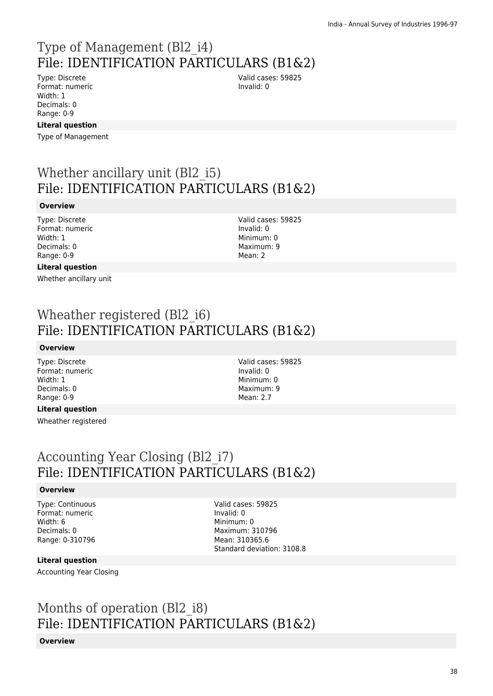## Type of Management (Bl2\_i4) File: IDENTIFICATION PARTICULARS (B1&2) Valid cases: 59825

Type: Discrete Format: numeric Width: 1 Decimals: 0 Range: 0-9

### **Literal question**

Type of Management

## Whether ancillary unit (Bl2 i5) File: IDENTIFICATION PARTICULARS (B1&2)

### **Overview**

Type: Discrete Format: numeric Width: 1 Decimals: 0 Range: 0-9

Valid cases: 59825 Invalid: 0 Minimum: 0 Maximum: 9 Mean: 2

Valid cases: 59825

Invalid: 0 Minimum: 0 Maximum: 9 Mean: 2.7

Invalid: 0

### **Literal question**

Whether ancillary unit

## Wheather registered (Bl2 i6) File: IDENTIFICATION PARTICULARS (B1&2)

### **Overview**

Type: Discrete Format: numeric Width: 1 Decimals: 0 Range: 0-9

### **Literal question**

Wheather registered

Accounting Year Closing (Bl2\_i7) File: IDENTIFICATION PARTICULARS (B1&2)

### **Overview**

Type: Continuous Format: numeric Width: 6 Decimals: 0 Range: 0-310796

Valid cases: 59825 Invalid: 0 Minimum: 0 Maximum: 310796 Mean: 310365.6 Standard deviation: 3108.8

### **Literal question**

Accounting Year Closing

# Months of operation (Bl2\_i8) File: IDENTIFICATION PARTICULARS (B1&2)

### **Overview**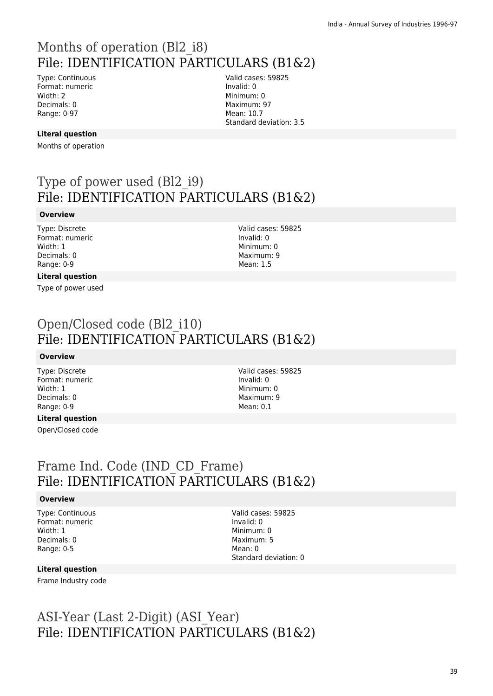# Months of operation (Bl2\_i8) File: IDENTIFICATION PARTICULARS (B1&2)

Type: Continuous Format: numeric Width: 2 Decimals: 0 Range: 0-97

Valid cases: 59825 Invalid: 0 Minimum: 0 Maximum: 97 Mean: 10.7 Standard deviation: 3.5

### **Literal question**

Months of operation

# Type of power used (Bl2\_i9) File: IDENTIFICATION PARTICULARS (B1&2)

#### **Overview**

Type: Discrete Format: numeric Width: 1 Decimals: 0 Range: 0-9

Valid cases: 59825 Invalid: 0 Minimum: 0 Maximum: 9 Mean: 1.5

## **Literal question**

Type of power used

# Open/Closed code (Bl2\_i10) File: IDENTIFICATION PARTICULARS (B1&2)

### **Overview**

Type: Discrete Format: numeric Width: 1 Decimals: 0 Range: 0-9

**Literal question**

Open/Closed code

Valid cases: 59825 Invalid: 0 Minimum: 0 Maximum: 9 Mean: 0.1

## Frame Ind. Code (IND\_CD\_Frame) File: IDENTIFICATION PARTICULARS (B1&2)

### **Overview**

Type: Continuous Format: numeric Width: 1 Decimals: 0 Range: 0-5

Valid cases: 59825 Invalid: 0 Minimum: 0 Maximum: 5 Mean: 0 Standard deviation: 0

### **Literal question**

Frame Industry code

# ASI-Year (Last 2-Digit) (ASI\_Year) File: IDENTIFICATION PARTICULARS (B1&2)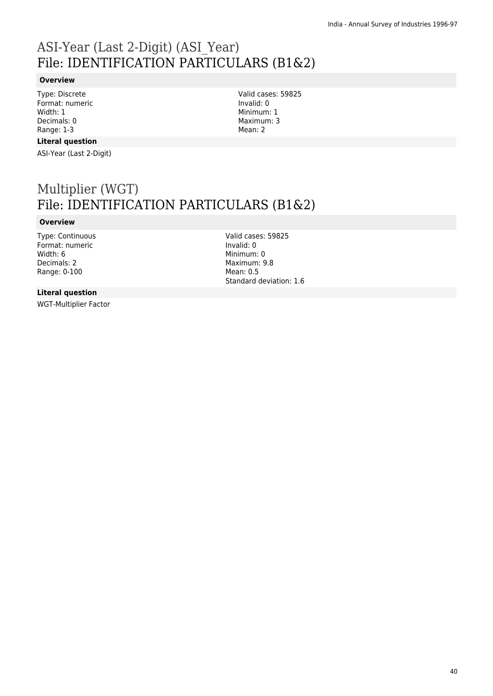# ASI-Year (Last 2-Digit) (ASI\_Year) File: IDENTIFICATION PARTICULARS (B1&2)

### **Overview**

Type: Discrete Format: numeric Width: 1 Decimals: 0 Range: 1-3

#### **Literal question**

ASI-Year (Last 2-Digit)

Multiplier (WGT) File: IDENTIFICATION PARTICULARS (B1&2)

### **Overview**

Type: Continuous Format: numeric Width: 6 Decimals: 2 Range: 0-100

Valid cases: 59825 Invalid: 0 Minimum: 0 Maximum: 9.8 Mean: 0.5 Standard deviation: 1.6

Valid cases: 59825

Invalid: 0 Minimum: 1 Maximum: 3 Mean: 2

### **Literal question**

WGT-Multiplier Factor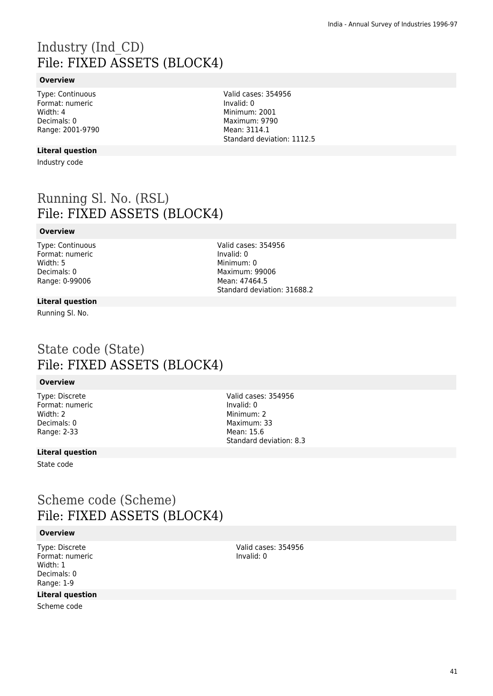# Industry (Ind\_CD) File: FIXED ASSETS (BLOCK4)

### **Overview**

Type: Continuous Format: numeric Width: 4 Decimals: 0 Range: 2001-9790

### **Literal question**

Industry code

Running Sl. No. (RSL) File: FIXED ASSETS (BLOCK4)

### **Overview**

Type: Continuous Format: numeric Width: 5 Decimals: 0 Range: 0-99006

Valid cases: 354956 Invalid: 0 Minimum: 0 Maximum: 99006 Mean: 47464.5 Standard deviation: 31688.2

#### **Literal question**

Running Sl. No.

## State code (State) File: FIXED ASSETS (BLOCK4)

### **Overview**

Type: Discrete Format: numeric Width: 2 Decimals: 0 Range: 2-33

Valid cases: 354956 Invalid: 0 Minimum: 2 Maximum: 33 Mean: 15.6 Standard deviation: 8.3

### **Literal question**

State code

## Scheme code (Scheme) File: FIXED ASSETS (BLOCK4)

#### **Overview**

Type: Discrete Format: numeric Width: 1 Decimals: 0 Range: 1-9

### **Literal question**

Scheme code

Valid cases: 354956 Invalid: 0

Valid cases: 354956 Invalid: 0 Minimum: 2001 Maximum: 9790 Mean: 3114.1 Standard deviation: 1112.5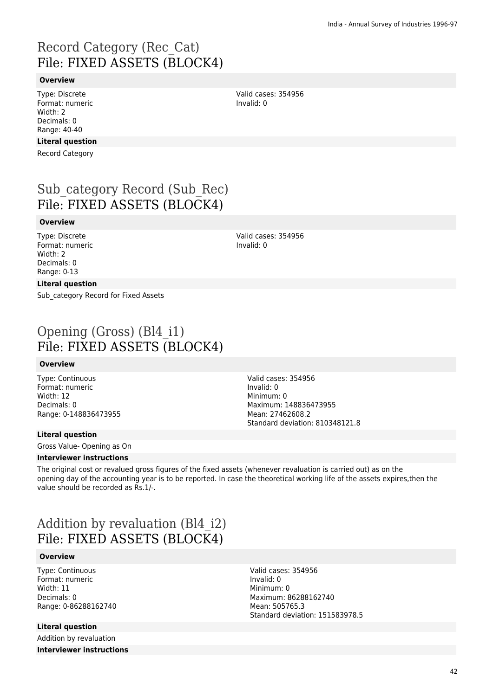# Record Category (Rec\_Cat) File: FIXED ASSETS (BLOCK4)

### **Overview**

Type: Discrete Format: numeric Width: 2 Decimals: 0 Range: 40-40

### **Literal question**

Record Category

# Sub category Record (Sub Rec) File: FIXED ASSETS (BLOCK4)

#### **Overview**

Type: Discrete Format: numeric Width: 2 Decimals: 0 Range: 0-13

Valid cases: 354956 Invalid: 0

### **Literal question**

Sub\_category Record for Fixed Assets

# Opening (Gross) (Bl4\_i1) File: FIXED ASSETS (BLOCK4)

#### **Overview**

Type: Continuous Format: numeric Width: 12 Decimals: 0 Range: 0-148836473955 Valid cases: 354956 Invalid: 0 Minimum: 0 Maximum: 148836473955 Mean: 27462608.2 Standard deviation: 810348121.8

### **Literal question**

Gross Value- Opening as On

### **Interviewer instructions**

The original cost or revalued gross figures of the fixed assets (whenever revaluation is carried out) as on the opening day of the accounting year is to be reported. In case the theoretical working life of the assets expires,then the value should be recorded as Rs.1/-.

## Addition by revaluation (Bl4\_i2) File: FIXED ASSETS (BLOCK4)

### **Overview**

Type: Continuous Format: numeric Width: 11 Decimals: 0 Range: 0-86288162740

### **Literal question**

Addition by revaluation **Interviewer instructions** Valid cases: 354956 Invalid: 0 Minimum: 0 Maximum: 86288162740 Mean: 505765.3 Standard deviation: 151583978.5

Valid cases: 354956 Invalid: 0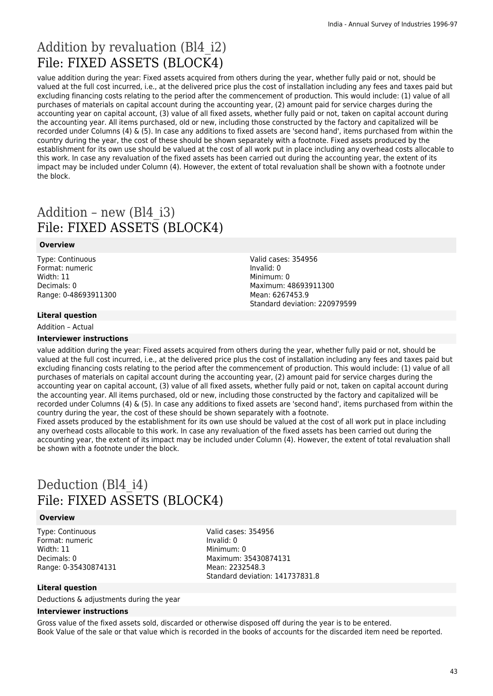# Addition by revaluation (Bl4\_i2) File: FIXED ASSETS (BLOCK4)

value addition during the year: Fixed assets acquired from others during the year, whether fully paid or not, should be valued at the full cost incurred, i.e., at the delivered price plus the cost of installation including any fees and taxes paid but excluding financing costs relating to the period after the commencement of production. This would include: (1) value of all purchases of materials on capital account during the accounting year, (2) amount paid for service charges during the accounting year on capital account, (3) value of all fixed assets, whether fully paid or not, taken on capital account during the accounting year. All items purchased, old or new, including those constructed by the factory and capitalized will be recorded under Columns (4) & (5). In case any additions to fixed assets are 'second hand', items purchased from within the country during the year, the cost of these should be shown separately with a footnote. Fixed assets produced by the establishment for its own use should be valued at the cost of all work put in place including any overhead costs allocable to this work. In case any revaluation of the fixed assets has been carried out during the accounting year, the extent of its impact may be included under Column (4). However, the extent of total revaluation shall be shown with a footnote under the block.

# Addition – new (Bl4\_i3) File: FIXED ASSETS (BLOCK4)

### **Overview**

Type: Continuous Format: numeric Width: 11 Decimals: 0 Range: 0-48693911300

### **Literal question**

Addition – Actual

### **Interviewer instructions**

Valid cases: 354956 Invalid: 0 Minimum: 0 Maximum: 48693911300 Mean: 6267453.9 Standard deviation: 220979599

value addition during the year: Fixed assets acquired from others during the year, whether fully paid or not, should be valued at the full cost incurred, i.e., at the delivered price plus the cost of installation including any fees and taxes paid but excluding financing costs relating to the period after the commencement of production. This would include: (1) value of all purchases of materials on capital account during the accounting year, (2) amount paid for service charges during the accounting year on capital account, (3) value of all fixed assets, whether fully paid or not, taken on capital account during the accounting year. All items purchased, old or new, including those constructed by the factory and capitalized will be recorded under Columns (4) & (5). In case any additions to fixed assets are 'second hand', items purchased from within the country during the year, the cost of these should be shown separately with a footnote.

Fixed assets produced by the establishment for its own use should be valued at the cost of all work put in place including any overhead costs allocable to this work. In case any revaluation of the fixed assets has been carried out during the accounting year, the extent of its impact may be included under Column (4). However, the extent of total revaluation shall be shown with a footnote under the block.

# Deduction (Bl4 i4) File: FIXED ASSETS (BLOCK4)

### **Overview**

Type: Continuous Format: numeric Width: 11 Decimals: 0 Range: 0-35430874131 Valid cases: 354956 Invalid: 0 Minimum: 0 Maximum: 35430874131 Mean: 2232548.3 Standard deviation: 141737831.8

### **Literal question**

Deductions & adjustments during the year

#### **Interviewer instructions**

Gross value of the fixed assets sold, discarded or otherwise disposed off during the year is to be entered. Book Value of the sale or that value which is recorded in the books of accounts for the discarded item need be reported.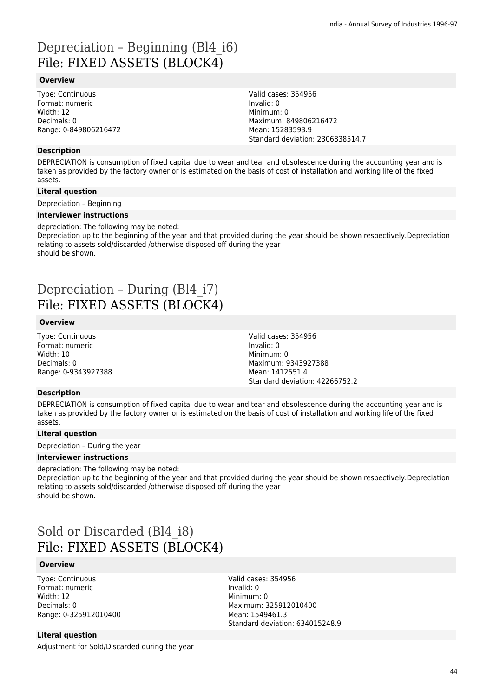# Depreciation – Beginning (Bl4\_i6) File: FIXED ASSETS (BLOCK4)

### **Overview**

Type: Continuous Format: numeric Width: 12 Decimals: 0 Range: 0-849806216472

### **Description**

DEPRECIATION is consumption of fixed capital due to wear and tear and obsolescence during the accounting year and is taken as provided by the factory owner or is estimated on the basis of cost of installation and working life of the fixed assets.

Valid cases: 354956

Maximum: 849806216472 Mean: 15283593.9

Standard deviation: 2306838514.7

Invalid: 0 Minimum: 0

### **Literal question**

Depreciation – Beginning

#### **Interviewer instructions**

depreciation: The following may be noted:

Depreciation up to the beginning of the year and that provided during the year should be shown respectively.Depreciation relating to assets sold/discarded /otherwise disposed off during the year should be shown.

## Depreciation – During (Bl4\_i7) File: FIXED ASSETS (BLOCK4)

### **Overview**

Type: Continuous Format: numeric Width: 10 Decimals: 0 Range: 0-9343927388 Valid cases: 354956 Invalid: 0 Minimum: 0 Maximum: 9343927388 Mean: 1412551.4 Standard deviation: 42266752.2

### **Description**

DEPRECIATION is consumption of fixed capital due to wear and tear and obsolescence during the accounting year and is taken as provided by the factory owner or is estimated on the basis of cost of installation and working life of the fixed assets.

### **Literal question**

Depreciation – During the year

#### **Interviewer instructions**

depreciation: The following may be noted: Depreciation up to the beginning of the year and that provided during the year should be shown respectively.Depreciation relating to assets sold/discarded /otherwise disposed off during the year should be shown.

# Sold or Discarded (Bl4\_i8) File: FIXED ASSETS (BLOCK4)

### **Overview**

Type: Continuous Format: numeric Width: 12 Decimals: 0 Range: 0-325912010400 Valid cases: 354956 Invalid: 0 Minimum: 0 Maximum: 325912010400 Mean: 1549461.3 Standard deviation: 634015248.9

#### **Literal question**

Adjustment for Sold/Discarded during the year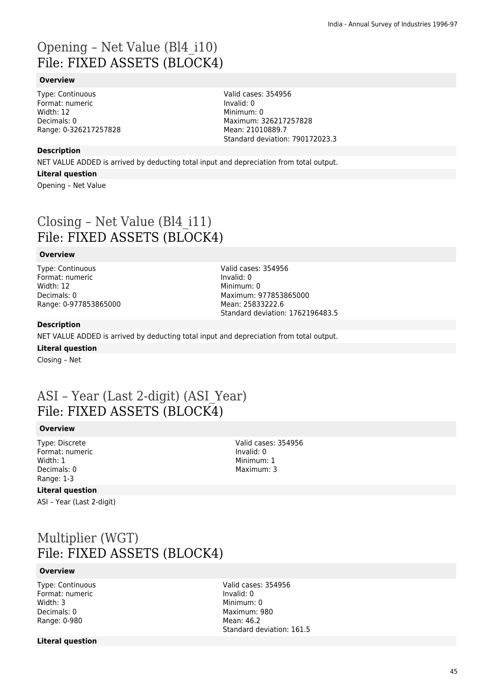# Opening – Net Value (Bl4\_i10) File: FIXED ASSETS (BLOCK4)

### **Overview**

Type: Continuous Format: numeric Width: 12 Decimals: 0 Range: 0-326217257828 Valid cases: 354956 Invalid: 0 Minimum: 0 Maximum: 326217257828 Mean: 21010889.7 Standard deviation: 790172023.3

### **Description**

NET VALUE ADDED is arrived by deducting total input and depreciation from total output.

#### **Literal question**

Opening – Net Value

# Closing – Net Value (Bl4\_i11) File: FIXED ASSETS (BLOCK4)

### **Overview**

Type: Continuous Format: numeric Width: 12 Decimals: 0 Range: 0-977853865000 Valid cases: 354956 Invalid: 0 Minimum: 0 Maximum: 977853865000 Mean: 25833222.6 Standard deviation: 1762196483.5

### **Description**

NET VALUE ADDED is arrived by deducting total input and depreciation from total output.

### **Literal question**

Closing – Net

## ASI – Year (Last 2-digit) (ASI\_Year) File: FIXED ASSETS (BLOCK4)

### **Overview**

Type: Discrete Format: numeric Width: 1 Decimals: 0 Range: 1-3

#### Valid cases: 354956 Invalid: 0 Minimum: 1 Maximum: 3

### **Literal question**

ASI – Year (Last 2-digit)

# Multiplier (WGT) File: FIXED ASSETS (BLOCK4)

#### **Overview**

Type: Continuous Format: numeric Width: 3 Decimals: 0 Range: 0-980

Valid cases: 354956 Invalid: 0 Minimum: 0 Maximum: 980 Mean: 46.2 Standard deviation: 161.5

### **Literal question**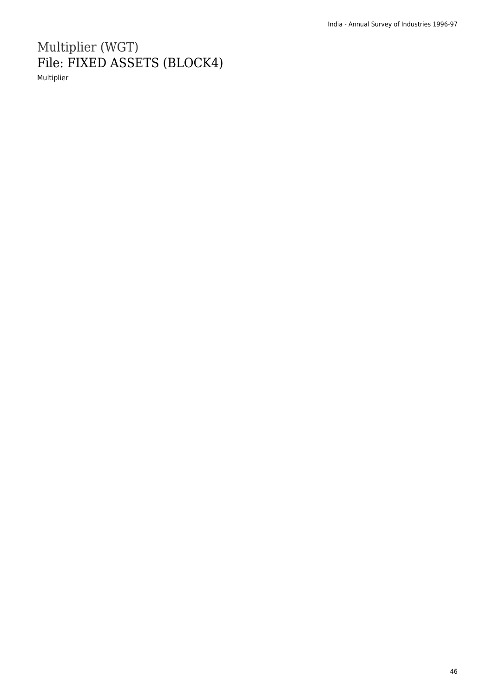# Multiplier (WGT) File: FIXED ASSETS (BLOCK4)

Multiplier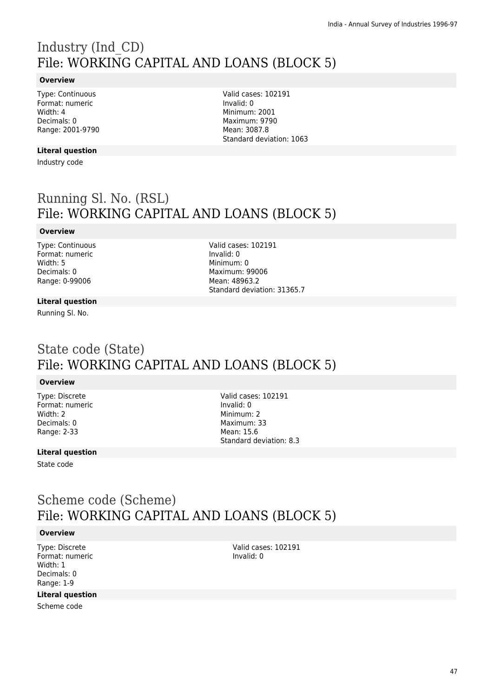# Industry (Ind\_CD) File: WORKING CAPITAL AND LOANS (BLOCK 5)

### **Overview**

Type: Continuous Format: numeric Width: 4 Decimals: 0 Range: 2001-9790

### **Literal question**

Industry code

Valid cases: 102191 Invalid: 0 Minimum: 2001 Maximum: 9790 Mean: 3087.8 Standard deviation: 1063

# Running Sl. No. (RSL) File: WORKING CAPITAL AND LOANS (BLOCK 5)

### **Overview**

Type: Continuous Format: numeric Width: 5 Decimals: 0 Range: 0-99006

Valid cases: 102191 Invalid: 0 Minimum: 0 Maximum: 99006 Mean: 48963.2 Standard deviation: 31365.7

### **Literal question**

Running Sl. No.

## State code (State) File: WORKING CAPITAL AND LOANS (BLOCK 5)

### **Overview**

Type: Discrete Format: numeric Width: 2 Decimals: 0 Range: 2-33

Valid cases: 102191 Invalid: 0 Minimum: 2 Maximum: 33 Mean: 15.6 Standard deviation: 8.3

### **Literal question**

State code

## Scheme code (Scheme) File: WORKING CAPITAL AND LOANS (BLOCK 5)

#### **Overview**

Type: Discrete Format: numeric Width: 1 Decimals: 0 Range: 1-9

### **Literal question**

Scheme code

Valid cases: 102191 Invalid: 0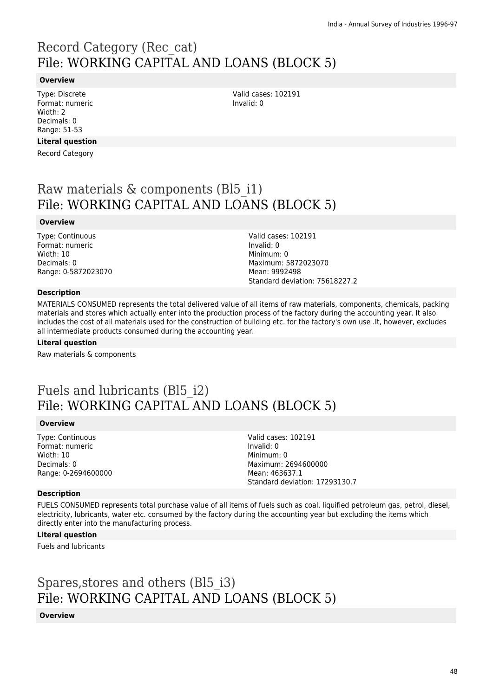# Record Category (Rec\_cat) File: WORKING CAPITAL AND LOANS (BLOCK 5)

### **Overview**

Type: Discrete Format: numeric Width: 2 Decimals: 0 Range: 51-53

### **Literal question**

Record Category

## Raw materials & components (Bl5 i1) File: WORKING CAPITAL AND LOANS (BLOCK 5)

#### **Overview**

Type: Continuous Format: numeric Width: 10 Decimals: 0 Range: 0-5872023070 Valid cases: 102191 Invalid: 0 Minimum: 0 Maximum: 5872023070 Mean: 9992498 Standard deviation: 75618227.2

Valid cases: 102191

Invalid: 0

### **Description**

MATERIALS CONSUMED represents the total delivered value of all items of raw materials, components, chemicals, packing materials and stores which actually enter into the production process of the factory during the accounting year. It also includes the cost of all materials used for the construction of building etc. for the factory's own use .It, however, excludes all intermediate products consumed during the accounting year.

#### **Literal question**

Raw materials & components

# Fuels and lubricants (Bl5\_i2) File: WORKING CAPITAL AND LOANS (BLOCK 5)

#### **Overview**

Type: Continuous Format: numeric Width: 10 Decimals: 0 Range: 0-2694600000 Valid cases: 102191 Invalid: 0 Minimum: 0 Maximum: 2694600000 Mean: 463637.1 Standard deviation: 17293130.7

### **Description**

FUELS CONSUMED represents total purchase value of all items of fuels such as coal, liquified petroleum gas, petrol, diesel, electricity, lubricants, water etc. consumed by the factory during the accounting year but excluding the items which directly enter into the manufacturing process.

## **Literal question**

Fuels and lubricants

Spares,stores and others (Bl5\_i3) File: WORKING CAPITAL AND LOANS (BLOCK 5)

### **Overview**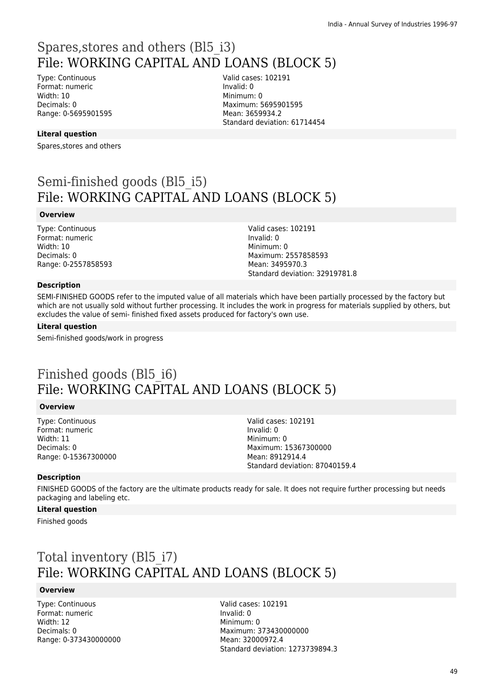# Spares,stores and others (Bl5\_i3) File: WORKING CAPITAL AND LOANS (BLOCK 5)

Type: Continuous Format: numeric Width: 10 Decimals: 0 Range: 0-5695901595 Valid cases: 102191 Invalid: 0 Minimum: 0 Maximum: 5695901595 Mean: 3659934.2 Standard deviation: 61714454

### **Literal question**

Spares,stores and others

# Semi-finished goods (Bl5\_i5) File: WORKING CAPITAL AND LOANS (BLOCK 5)

#### **Overview**

Type: Continuous Format: numeric Width: 10 Decimals: 0 Range: 0-2557858593 Valid cases: 102191 Invalid: 0 Minimum: 0 Maximum: 2557858593 Mean: 3495970.3 Standard deviation: 32919781.8

#### **Description**

SEMI-FINISHED GOODS refer to the imputed value of all materials which have been partially processed by the factory but which are not usually sold without further processing. It includes the work in progress for materials supplied by others, but excludes the value of semi- finished fixed assets produced for factory's own use.

#### **Literal question**

Semi-finished goods/work in progress

# Finished goods (Bl5\_i6) File: WORKING CAPITAL AND LOANS (BLOCK 5)

### **Overview**

Type: Continuous Format: numeric Width: 11 Decimals: 0 Range: 0-15367300000 Valid cases: 102191 Invalid: 0 Minimum: 0 Maximum: 15367300000 Mean: 8912914.4 Standard deviation: 87040159.4

#### **Description**

FINISHED GOODS of the factory are the ultimate products ready for sale. It does not require further processing but needs packaging and labeling etc.

#### **Literal question**

Finished goods

# Total inventory (Bl5\_i7) File: WORKING CAPITAL AND LOANS (BLOCK 5)

#### **Overview**

Type: Continuous Format: numeric Width: 12 Decimals: 0 Range: 0-373430000000 Valid cases: 102191 Invalid: 0 Minimum: 0 Maximum: 373430000000 Mean: 32000972.4 Standard deviation: 1273739894.3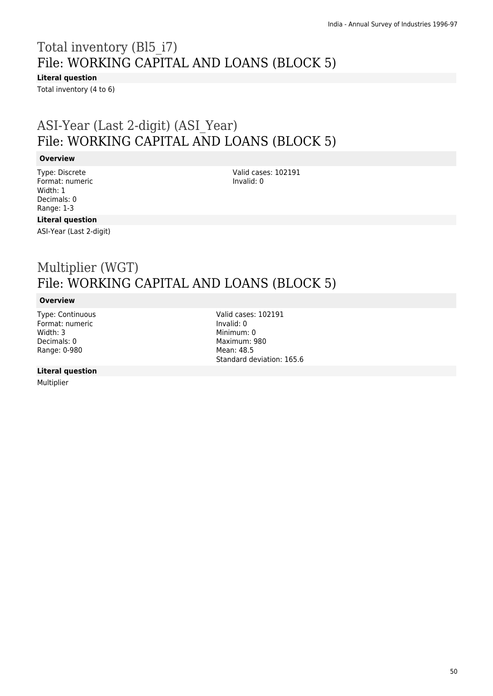# Total inventory (Bl5\_i7) File: WORKING CAPITAL AND LOANS (BLOCK 5)

**Literal question**

Total inventory (4 to 6)

# ASI-Year (Last 2-digit) (ASI\_Year) File: WORKING CAPITAL AND LOANS (BLOCK 5)

### **Overview**

Type: Discrete Format: numeric Width: 1 Decimals: 0 Range: 1-3

Valid cases: 102191 Invalid: 0

### **Literal question**

ASI-Year (Last 2-digit)

# Multiplier (WGT) File: WORKING CAPITAL AND LOANS (BLOCK 5)

### **Overview**

Type: Continuous Format: numeric Width: 3 Decimals: 0 Range: 0-980

### **Literal question**

Multiplier

Valid cases: 102191 Invalid: 0 Minimum: 0 Maximum: 980 Mean: 48.5 Standard deviation: 165.6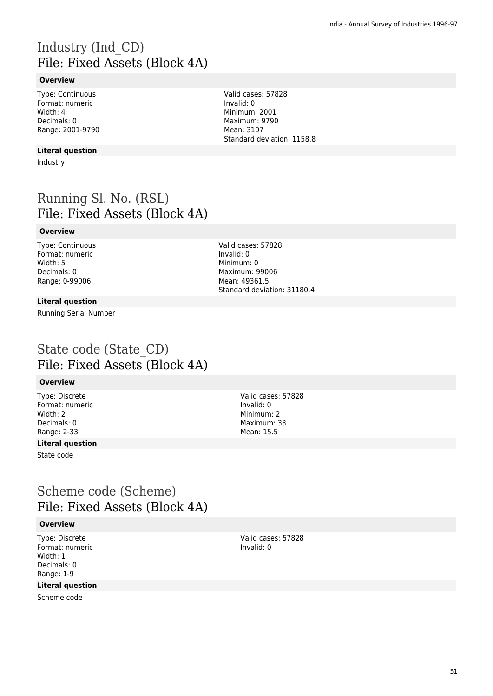# Industry (Ind\_CD) File: Fixed Assets (Block 4A)

### **Overview**

Type: Continuous Format: numeric Width: 4 Decimals: 0 Range: 2001-9790

### **Literal question**

Industry

## Running Sl. No. (RSL) File: Fixed Assets (Block 4A)

### **Overview**

Type: Continuous Format: numeric Width: 5 Decimals: 0 Range: 0-99006

Valid cases: 57828 Invalid: 0 Minimum: 0 Maximum: 99006 Mean: 49361.5 Standard deviation: 31180.4

### **Literal question**

Running Serial Number

## State code (State\_CD) File: Fixed Assets (Block 4A)

#### **Overview**

Type: Discrete Format: numeric Width: 2 Decimals: 0 Range: 2-33

## **Literal question**

State code

# Scheme code (Scheme) File: Fixed Assets (Block 4A)

#### **Overview**

Type: Discrete Format: numeric Width: 1 Decimals: 0 Range: 1-9

### **Literal question**

Scheme code

Valid cases: 57828 Invalid: 0 Minimum: 2 Maximum: 33 Mean: 15.5

Valid cases: 57828 Invalid: 0 Minimum: 2001 Maximum: 9790 Mean: 3107 Standard deviation: 1158.8

> Valid cases: 57828 Invalid: 0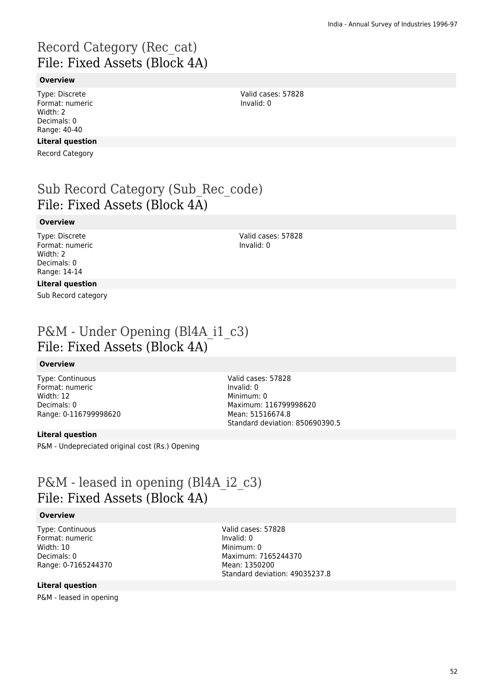# Record Category (Rec\_cat) File: Fixed Assets (Block 4A)

### **Overview**

Type: Discrete Format: numeric Width: 2 Decimals: 0 Range: 40-40

### **Literal question**

Record Category

# Sub Record Category (Sub\_Rec\_code) File: Fixed Assets (Block 4A)

### **Overview**

Type: Discrete Format: numeric Width: 2 Decimals: 0 Range: 14-14

Valid cases: 57828 Invalid: 0

Valid cases: 57828

Invalid: 0

### **Literal question**

Sub Record category

## P&M - Under Opening (Bl4A\_i1\_c3) File: Fixed Assets (Block 4A)

### **Overview**

Type: Continuous Format: numeric Width: 12 Decimals: 0 Range: 0-116799998620

### **Literal question**

P&M - Undepreciated original cost (Rs.) Opening

Valid cases: 57828 Invalid: 0 Minimum: 0 Maximum: 116799998620 Mean: 51516674.8 Standard deviation: 850690390.5

## P&M - leased in opening (Bl4A\_i2\_c3) File: Fixed Assets (Block 4A)

### **Overview**

Type: Continuous Format: numeric Width: 10 Decimals: 0 Range: 0-7165244370

Valid cases: 57828 Invalid: 0 Minimum: 0 Maximum: 7165244370 Mean: 1350200 Standard deviation: 49035237.8

### **Literal question**

P&M - leased in opening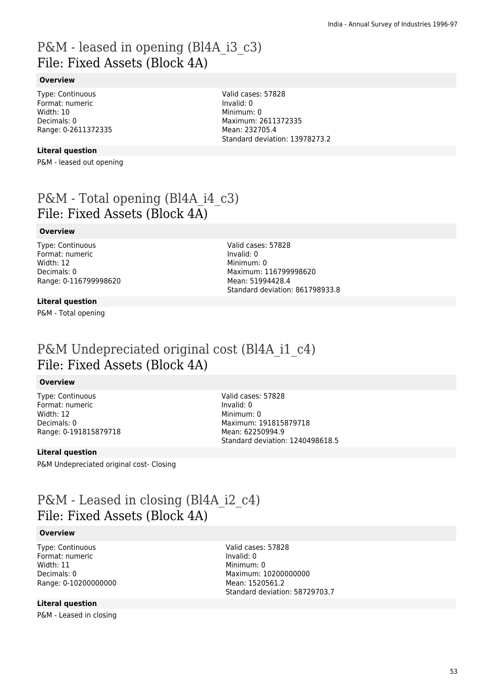## P&M - leased in opening (Bl4A\_i3\_c3) File: Fixed Assets (Block 4A)

### **Overview**

Type: Continuous Format: numeric Width: 10 Decimals: 0 Range: 0-2611372335

### **Literal question**

P&M - leased out opening

P&M - Total opening (Bl4A\_i4\_c3) File: Fixed Assets (Block 4A)

### **Overview**

Type: Continuous Format: numeric Width: 12 Decimals: 0 Range: 0-116799998620 Valid cases: 57828 Invalid: 0 Minimum: 0 Maximum: 116799998620 Mean: 51994428.4 Standard deviation: 861798933.8

Valid cases: 57828

Maximum: 2611372335 Mean: 232705.4

Standard deviation: 13978273.2

Invalid: 0 Minimum: 0

## **Literal question**

P&M - Total opening

## P&M Undepreciated original cost (Bl4A\_i1\_c4) File: Fixed Assets (Block 4A)

### **Overview**

Type: Continuous Format: numeric Width: 12 Decimals: 0 Range: 0-191815879718 Valid cases: 57828 Invalid: 0 Minimum: 0 Maximum: 191815879718 Mean: 62250994.9 Standard deviation: 1240498618.5

### **Literal question**

P&M Undepreciated original cost- Closing

## P&M - Leased in closing (Bl4A\_i2\_c4) File: Fixed Assets (Block 4A)

### **Overview**

Type: Continuous Format: numeric Width: 11 Decimals: 0 Range: 0-10200000000 Valid cases: 57828 Invalid: 0 Minimum: 0 Maximum: 10200000000 Mean: 1520561.2 Standard deviation: 58729703.7

### **Literal question**

P&M - Leased in closing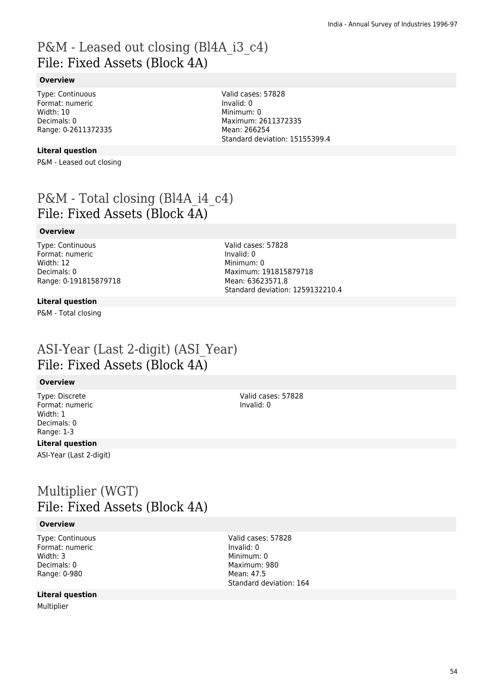## P&M - Leased out closing (Bl4A i3 c4) File: Fixed Assets (Block 4A)

### **Overview**

Type: Continuous Format: numeric Width: 10 Decimals: 0 Range: 0-2611372335

**Literal question**

P&M - Leased out closing

P&M - Total closing (Bl4A\_i4\_c4) File: Fixed Assets (Block 4A)

### **Overview**

Type: Continuous Format: numeric Width: 12 Decimals: 0 Range: 0-191815879718 Valid cases: 57828 Invalid: 0 Minimum: 0 Maximum: 191815879718 Mean: 63623571.8 Standard deviation: 1259132210.4

Valid cases: 57828

Maximum: 2611372335

Standard deviation: 15155399.4

Invalid: 0 Minimum: 0

Mean: 266254

### **Literal question**

P&M - Total closing

## ASI-Year (Last 2-digit) (ASI\_Year) File: Fixed Assets (Block 4A)

### **Overview**

Type: Discrete Format: numeric Width: 1 Decimals: 0 Range: 1-3

### **Literal question**

ASI-Year (Last 2-digit)

## Multiplier (WGT) File: Fixed Assets (Block 4A)

#### **Overview**

Type: Continuous Format: numeric Width: 3 Decimals: 0 Range: 0-980

### **Literal question**

Multiplier

Valid cases: 57828 Invalid: 0

Valid cases: 57828 Invalid: 0 Minimum: 0 Maximum: 980 Mean: 47.5 Standard deviation: 164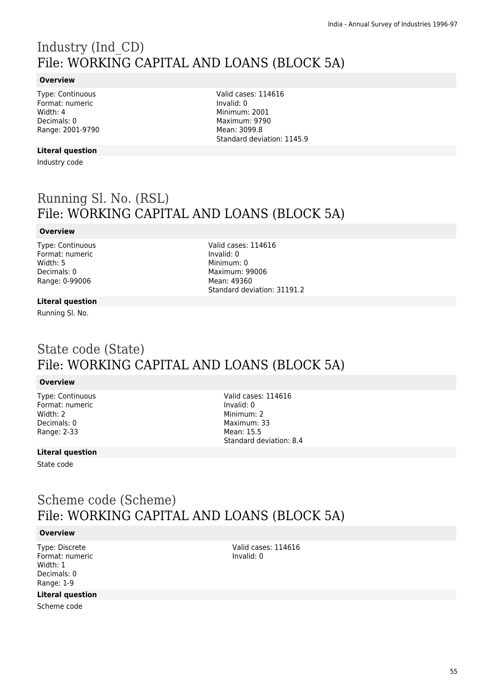# Industry (Ind\_CD) File: WORKING CAPITAL AND LOANS (BLOCK 5A)

### **Overview**

Type: Continuous Format: numeric Width: 4 Decimals: 0 Range: 2001-9790

### **Literal question**

Industry code

Valid cases: 114616 Invalid: 0 Minimum: 2001 Maximum: 9790 Mean: 3099.8 Standard deviation: 1145.9

# Running Sl. No. (RSL) File: WORKING CAPITAL AND LOANS (BLOCK 5A)

### **Overview**

Type: Continuous Format: numeric Width: 5 Decimals: 0 Range: 0-99006

Valid cases: 114616 Invalid: 0 Minimum: 0 Maximum: 99006 Mean: 49360 Standard deviation: 31191.2

### **Literal question**

Running Sl. No.

## State code (State) File: WORKING CAPITAL AND LOANS (BLOCK 5A)

### **Overview**

Type: Continuous Format: numeric Width: 2 Decimals: 0 Range: 2-33

Valid cases: 114616 Invalid: 0 Minimum: 2 Maximum: 33 Mean: 15.5 Standard deviation: 8.4

### **Literal question**

State code

## Scheme code (Scheme) File: WORKING CAPITAL AND LOANS (BLOCK 5A)

### **Overview**

Type: Discrete Format: numeric Width: 1 Decimals: 0 Range: 1-9

### **Literal question**

Scheme code

Valid cases: 114616 Invalid: 0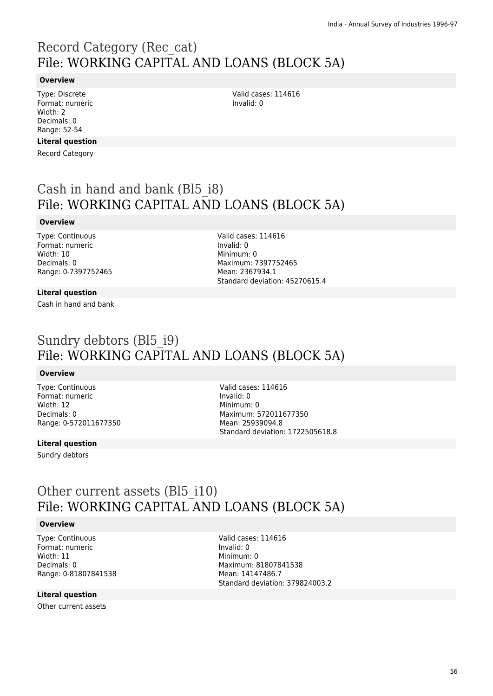# Record Category (Rec\_cat) File: WORKING CAPITAL AND LOANS (BLOCK 5A)

### **Overview**

Type: Discrete Format: numeric Width: 2 Decimals: 0 Range: 52-54

### **Literal question**

Record Category

Cash in hand and bank (Bl5\_i8) File: WORKING CAPITAL AND LOANS (BLOCK 5A)

### **Overview**

Type: Continuous Format: numeric Width: 10 Decimals: 0 Range: 0-7397752465

### **Literal question**

Cash in hand and bank

Valid cases: 114616 Invalid: 0 Minimum: 0 Maximum: 7397752465 Mean: 2367934.1 Standard deviation: 45270615.4

Valid cases: 114616

Invalid: 0

# Sundry debtors (Bl5\_i9) File: WORKING CAPITAL AND LOANS (BLOCK 5A)

### **Overview**

Type: Continuous Format: numeric Width: 12 Decimals: 0 Range: 0-572011677350

Valid cases: 114616 Invalid: 0 Minimum: 0 Maximum: 572011677350 Mean: 25939094.8 Standard deviation: 1722505618.8

### **Literal question**

Sundry debtors

## Other current assets (Bl<sub>5</sub> i10) File: WORKING CAPITAL AND LOANS (BLOCK 5A)

### **Overview**

Type: Continuous Format: numeric Width: 11 Decimals: 0 Range: 0-81807841538

### **Literal question**

Other current assets

Valid cases: 114616 Invalid: 0 Minimum: 0 Maximum: 81807841538 Mean: 14147486.7 Standard deviation: 379824003.2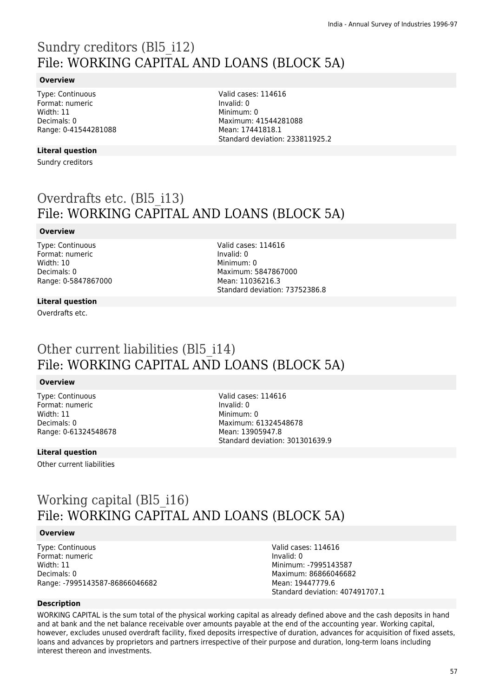# Sundry creditors (Bl5\_i12) File: WORKING CAPITAL AND LOANS (BLOCK 5A)

### **Overview**

Type: Continuous Format: numeric Width: 11 Decimals: 0 Range: 0-41544281088

### **Literal question**

Sundry creditors

Valid cases: 114616 Invalid: 0 Minimum: 0 Maximum: 41544281088 Mean: 17441818.1 Standard deviation: 233811925.2

# Overdrafts etc. (Bl5\_i13) File: WORKING CAPITAL AND LOANS (BLOCK 5A)

### **Overview**

Type: Continuous Format: numeric Width: 10 Decimals: 0 Range: 0-5847867000 Valid cases: 114616 Invalid: 0 Minimum: 0 Maximum: 5847867000 Mean: 11036216.3 Standard deviation: 73752386.8

### **Literal question**

Overdrafts etc.

# Other current liabilities (Bl<sub>5</sub> i14) File: WORKING CAPITAL AND LOANS (BLOCK 5A)

### **Overview**

Type: Continuous Format: numeric Width: 11 Decimals: 0 Range: 0-61324548678

### **Literal question**

Other current liabilities

Valid cases: 114616 Invalid: 0 Minimum: 0 Maximum: 61324548678 Mean: 13905947.8 Standard deviation: 301301639.9

# Working capital (Bl5\_i16) File: WORKING CAPITAL AND LOANS (BLOCK 5A)

### **Overview**

Type: Continuous Format: numeric Width: 11 Decimals: 0 Range: -7995143587-86866046682 Valid cases: 114616 Invalid: 0 Minimum: -7995143587 Maximum: 86866046682 Mean: 19447779.6 Standard deviation: 407491707.1

### **Description**

WORKING CAPITAL is the sum total of the physical working capital as already defined above and the cash deposits in hand and at bank and the net balance receivable over amounts payable at the end of the accounting year. Working capital, however, excludes unused overdraft facility, fixed deposits irrespective of duration, advances for acquisition of fixed assets, loans and advances by proprietors and partners irrespective of their purpose and duration, long-term loans including interest thereon and investments.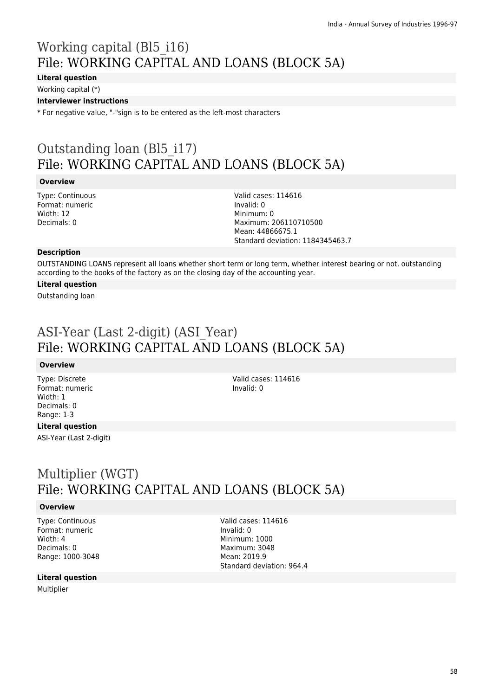# Working capital (Bl5\_i16) File: WORKING CAPITAL AND LOANS (BLOCK 5A)

## **Literal question**

Working capital (\*)

### **Interviewer instructions**

\* For negative value, "-"sign is to be entered as the left-most characters

# Outstanding loan (Bl5\_i17) File: WORKING CAPITAL AND LOANS (BLOCK 5A)

### **Overview**

Type: Continuous Format: numeric Width: 12 Decimals: 0

Valid cases: 114616 Invalid: 0 Minimum: 0 Maximum: 206110710500 Mean: 44866675.1 Standard deviation: 1184345463.7

#### **Description**

OUTSTANDING LOANS represent all loans whether short term or long term, whether interest bearing or not, outstanding according to the books of the factory as on the closing day of the accounting year.

### **Literal question**

Outstanding loan

# ASI-Year (Last 2-digit) (ASI\_Year) File: WORKING CAPITAL AND LOANS (BLOCK 5A)

#### **Overview**

Type: Discrete Format: numeric Width: 1 Decimals: 0 Range: 1-3

**Literal question** ASI-Year (Last 2-digit) Valid cases: 114616 Invalid: 0

# Multiplier (WGT) File: WORKING CAPITAL AND LOANS (BLOCK 5A)

### **Overview**

Type: Continuous Format: numeric Width: 4 Decimals: 0 Range: 1000-3048 Valid cases: 114616 Invalid: 0 Minimum: 1000 Maximum: 3048 Mean: 2019.9 Standard deviation: 964.4

#### **Literal question**

Multiplier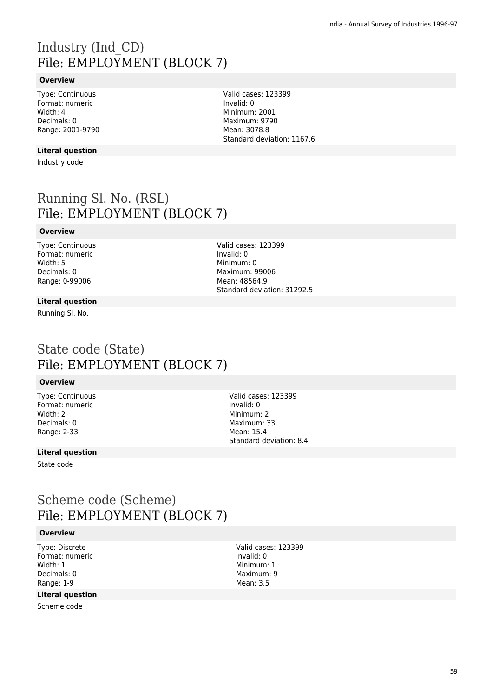# Industry (Ind\_CD) File: EMPLOYMENT (BLOCK 7)

### **Overview**

Type: Continuous Format: numeric Width: 4 Decimals: 0 Range: 2001-9790

### **Literal question**

Industry code

Running Sl. No. (RSL) File: EMPLOYMENT (BLOCK 7)

### **Overview**

Type: Continuous Format: numeric Width: 5 Decimals: 0 Range: 0-99006

Valid cases: 123399 Invalid: 0 Minimum: 0 Maximum: 99006 Mean: 48564.9 Standard deviation: 31292.5

Valid cases: 123399

Standard deviation: 1167.6

Invalid: 0 Minimum: 2001 Maximum: 9790 Mean: 3078.8

#### **Literal question**

Running Sl. No.

## State code (State) File: EMPLOYMENT (BLOCK 7)

### **Overview**

Type: Continuous Format: numeric Width: 2 Decimals: 0 Range: 2-33

Valid cases: 123399 Invalid: 0 Minimum: 2 Maximum: 33 Mean: 15.4 Standard deviation: 8.4

### **Literal question**

State code

## Scheme code (Scheme) File: EMPLOYMENT (BLOCK 7)

#### **Overview**

Type: Discrete Format: numeric Width: 1 Decimals: 0 Range: 1-9

### **Literal question**

Scheme code

Valid cases: 123399 Invalid: 0 Minimum: 1 Maximum: 9 Mean: 3.5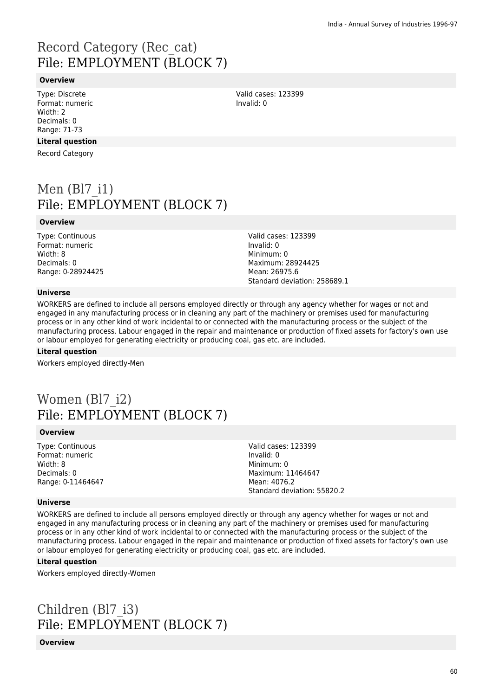# Record Category (Rec\_cat) File: EMPLOYMENT (BLOCK 7)

### **Overview**

Type: Discrete Format: numeric Width: 2 Decimals: 0 Range: 71-73

### **Literal question**

Record Category

# Men  $(B17 i1)$ File: EMPLOYMENT (BLOCK 7)

#### **Overview**

Type: Continuous Format: numeric Width: 8 Decimals: 0 Range: 0-28924425 Valid cases: 123399 Invalid: 0 Minimum: 0 Maximum: 28924425 Mean: 26975.6 Standard deviation: 258689.1

### **Universe**

WORKERS are defined to include all persons employed directly or through any agency whether for wages or not and engaged in any manufacturing process or in cleaning any part of the machinery or premises used for manufacturing process or in any other kind of work incidental to or connected with the manufacturing process or the subject of the manufacturing process. Labour engaged in the repair and maintenance or production of fixed assets for factory's own use or labour employed for generating electricity or producing coal, gas etc. are included.

#### **Literal question**

Workers employed directly-Men

## Women (Bl7 i2) File: EMPLOYMENT (BLOCK 7)

#### **Overview**

Type: Continuous Format: numeric Width: 8 Decimals: 0 Range: 0-11464647

Valid cases: 123399 Invalid: 0 Minimum: 0 Maximum: 11464647 Mean: 4076.2 Standard deviation: 55820.2

### **Universe**

WORKERS are defined to include all persons employed directly or through any agency whether for wages or not and engaged in any manufacturing process or in cleaning any part of the machinery or premises used for manufacturing process or in any other kind of work incidental to or connected with the manufacturing process or the subject of the manufacturing process. Labour engaged in the repair and maintenance or production of fixed assets for factory's own use or labour employed for generating electricity or producing coal, gas etc. are included.

#### **Literal question**

Workers employed directly-Women

# Children (Bl7\_i3) File: EMPLOYMENT (BLOCK 7)

**Overview**

60

Valid cases: 123399 Invalid: 0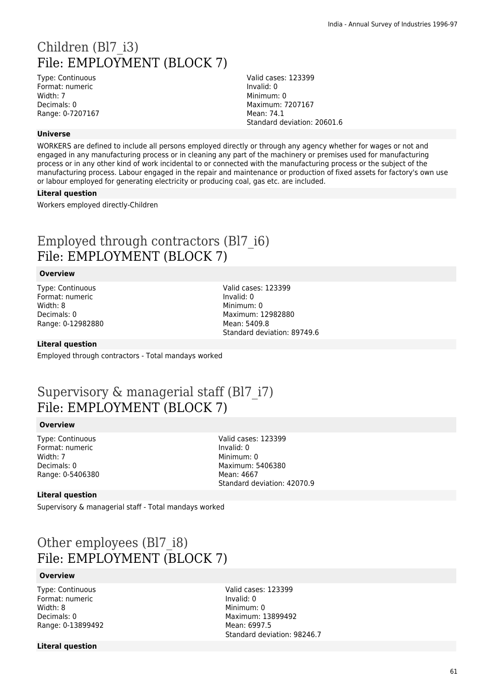# Children (Bl7 i3) File: EMPLOYMENT (BLOCK 7)

Type: Continuous Format: numeric Width: 7 Decimals: 0 Range: 0-7207167 Valid cases: 123399 Invalid: 0 Minimum: 0 Maximum: 7207167 Mean: 74.1 Standard deviation: 20601.6

### **Universe**

WORKERS are defined to include all persons employed directly or through any agency whether for wages or not and engaged in any manufacturing process or in cleaning any part of the machinery or premises used for manufacturing process or in any other kind of work incidental to or connected with the manufacturing process or the subject of the manufacturing process. Labour engaged in the repair and maintenance or production of fixed assets for factory's own use or labour employed for generating electricity or producing coal, gas etc. are included.

#### **Literal question**

Workers employed directly-Children

## Employed through contractors (Bl7\_i6) File: EMPLOYMENT (BLOCK 7)

#### **Overview**

Type: Continuous Format: numeric Width: 8 Decimals: 0 Range: 0-12982880 Valid cases: 123399 Invalid: 0 Minimum: 0 Maximum: 12982880 Mean: 5409.8 Standard deviation: 89749.6

### **Literal question**

Employed through contractors - Total mandays worked

## Supervisory & managerial staff (Bl7\_i7) File: EMPLOYMENT (BLOCK 7)

### **Overview**

Type: Continuous Format: numeric Width: 7 Decimals: 0 Range: 0-5406380

Valid cases: 123399 Invalid: 0 Minimum: 0 Maximum: 5406380 Mean: 4667 Standard deviation: 42070.9

#### **Literal question**

Supervisory & managerial staff - Total mandays worked

# Other employees (Bl7\_i8) File: EMPLOYMENT (BLOCK 7)

### **Overview**

Type: Continuous Format: numeric Width: 8 Decimals: 0 Range: 0-13899492 Valid cases: 123399 Invalid: 0 Minimum: 0 Maximum: 13899492 Mean: 6997.5 Standard deviation: 98246.7

#### **Literal question**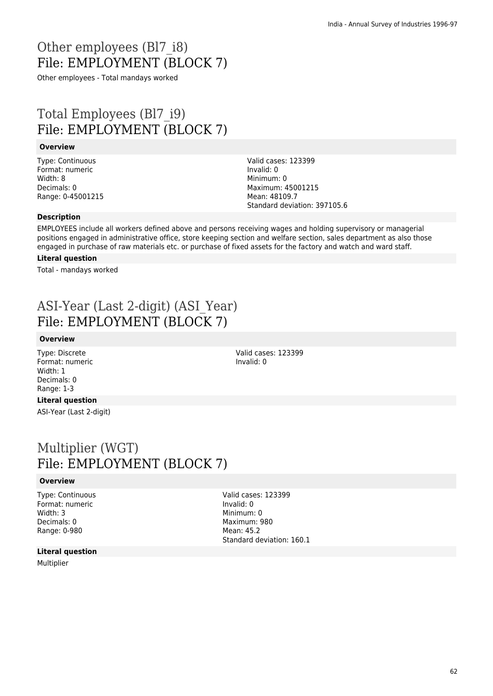# Other employees (Bl7\_i8) File: EMPLOYMENT (BLOCK 7)

Other employees - Total mandays worked

# Total Employees (Bl7\_i9) File: EMPLOYMENT (BLOCK 7)

### **Overview**

Type: Continuous Format: numeric Width: 8 Decimals: 0 Range: 0-45001215 Valid cases: 123399 Invalid: 0 Minimum: 0 Maximum: 45001215 Mean: 48109.7 Standard deviation: 397105.6

### **Description**

EMPLOYEES include all workers defined above and persons receiving wages and holding supervisory or managerial positions engaged in administrative office, store keeping section and welfare section, sales department as also those engaged in purchase of raw materials etc. or purchase of fixed assets for the factory and watch and ward staff.

### **Literal question**

Total - mandays worked

# ASI-Year (Last 2-digit) (ASI\_Year) File: EMPLOYMENT (BLOCK 7)

### **Overview**

Type: Discrete Format: numeric Width: 1 Decimals: 0 Range: 1-3

Valid cases: 123399 Invalid: 0

## **Literal question**

ASI-Year (Last 2-digit)

## Multiplier (WGT) File: EMPLOYMENT (BLOCK 7)

### **Overview**

Type: Continuous Format: numeric Width: 3 Decimals: 0 Range: 0-980

Valid cases: 123399 Invalid: 0 Minimum: 0 Maximum: 980 Mean: 45.2 Standard deviation: 160.1

#### **Literal question**

Multiplier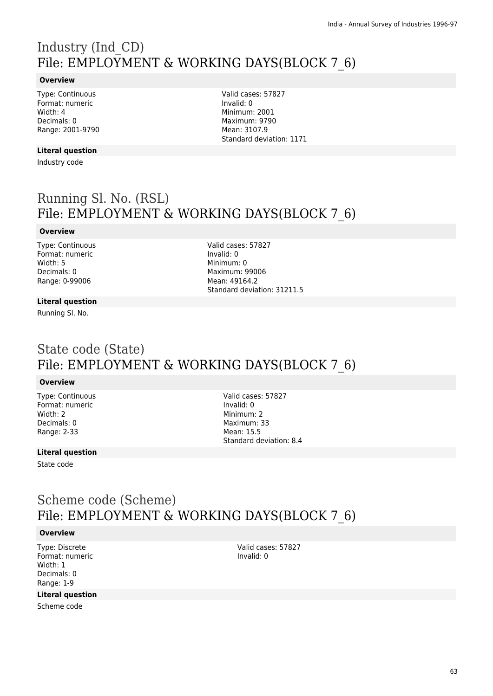# Industry (Ind\_CD) File: EMPLOYMENT & WORKING DAYS(BLOCK 7\_6)

### **Overview**

Type: Continuous Format: numeric Width: 4 Decimals: 0 Range: 2001-9790

### **Literal question**

Industry code

Valid cases: 57827 Invalid: 0 Minimum: 2001 Maximum: 9790 Mean: 3107.9 Standard deviation: 1171

# Running Sl. No. (RSL) File: EMPLOYMENT & WORKING DAYS(BLOCK 7\_6)

### **Overview**

Type: Continuous Format: numeric Width: 5 Decimals: 0 Range: 0-99006

Valid cases: 57827 Invalid: 0 Minimum: 0 Maximum: 99006 Mean: 49164.2 Standard deviation: 31211.5

### **Literal question**

Running Sl. No.

## State code (State) File: EMPLOYMENT & WORKING DAYS(BLOCK 7\_6)

### **Overview**

Type: Continuous Format: numeric Width: 2 Decimals: 0 Range: 2-33

Valid cases: 57827 Invalid: 0 Minimum: 2 Maximum: 33 Mean: 15.5 Standard deviation: 8.4

### **Literal question**

State code

## Scheme code (Scheme) File: EMPLOYMENT & WORKING DAYS(BLOCK 7\_6)

### **Overview**

Type: Discrete Format: numeric Width: 1 Decimals: 0 Range: 1-9

### **Literal question**

Scheme code

Valid cases: 57827 Invalid: 0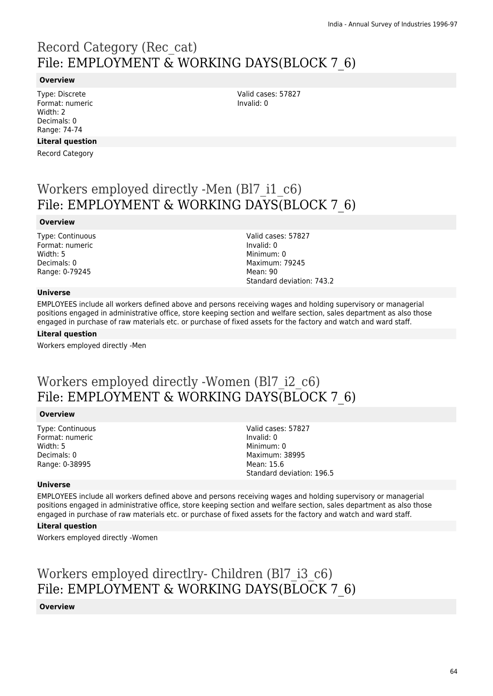# Record Category (Rec\_cat) File: EMPLOYMENT & WORKING DAYS(BLOCK 7\_6)

### **Overview**

Type: Discrete Format: numeric Width: 2 Decimals: 0 Range: 74-74

### **Literal question**

Record Category

Workers employed directly -Men (Bl7\_i1\_c6) File: EMPLOYMENT & WORKING DAYS(BLOCK 7\_6)

#### **Overview**

Type: Continuous Format: numeric Width: 5 Decimals: 0 Range: 0-79245

Valid cases: 57827 Invalid: 0 Minimum: 0 Maximum: 79245 Mean: 90 Standard deviation: 743.2

Valid cases: 57827

Invalid: 0

### **Universe**

EMPLOYEES include all workers defined above and persons receiving wages and holding supervisory or managerial positions engaged in administrative office, store keeping section and welfare section, sales department as also those engaged in purchase of raw materials etc. or purchase of fixed assets for the factory and watch and ward staff.

#### **Literal question**

Workers employed directly -Men

## Workers employed directly -Women (Bl7\_i2\_c6) File: EMPLOYMENT & WORKING DAYS(BLOCK 7\_6)

#### **Overview**

Type: Continuous Format: numeric Width: 5 Decimals: 0 Range: 0-38995

Valid cases: 57827 Invalid: 0 Minimum: 0 Maximum: 38995 Mean: 15.6 Standard deviation: 196.5

#### **Universe**

EMPLOYEES include all workers defined above and persons receiving wages and holding supervisory or managerial positions engaged in administrative office, store keeping section and welfare section, sales department as also those engaged in purchase of raw materials etc. or purchase of fixed assets for the factory and watch and ward staff.

#### **Literal question**

Workers employed directly -Women

Workers employed directlry- Children (Bl7\_i3\_c6) File: EMPLOYMENT & WORKING DAYS(BLOCK 7\_6)

#### **Overview**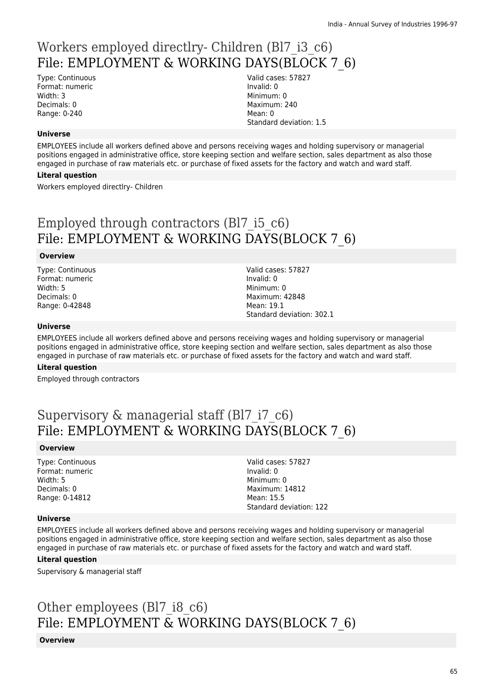# Workers employed directlry- Children (Bl7\_i3\_c6) File: EMPLOYMENT & WORKING DAYS(BLOCK 7\_6)

Type: Continuous Format: numeric Width: 3 Decimals: 0 Range: 0-240

Valid cases: 57827 Invalid: 0 Minimum: 0 Maximum: 240 Mean: 0 Standard deviation: 1.5

### **Universe**

EMPLOYEES include all workers defined above and persons receiving wages and holding supervisory or managerial positions engaged in administrative office, store keeping section and welfare section, sales department as also those engaged in purchase of raw materials etc. or purchase of fixed assets for the factory and watch and ward staff.

### **Literal question**

Workers employed directlry- Children

# Employed through contractors (Bl7\_i5\_c6) File: EMPLOYMENT & WORKING DAYS(BLOCK 7\_6)

### **Overview**

Type: Continuous Format: numeric Width: 5 Decimals: 0 Range: 0-42848

Valid cases: 57827 Invalid: 0 Minimum: 0 Maximum: 42848 Mean: 19.1 Standard deviation: 302.1

### **Universe**

EMPLOYEES include all workers defined above and persons receiving wages and holding supervisory or managerial positions engaged in administrative office, store keeping section and welfare section, sales department as also those engaged in purchase of raw materials etc. or purchase of fixed assets for the factory and watch and ward staff.

### **Literal question**

Employed through contractors

# Supervisory & managerial staff (Bl7 i7 c6) File: EMPLOYMENT & WORKING DAYS(BLOCK 7\_6)

### **Overview**

Type: Continuous Format: numeric Width: 5 Decimals: 0 Range: 0-14812

#### Valid cases: 57827 Invalid: 0 Minimum: 0 Maximum: 14812 Mean: 15.5 Standard deviation: 122

#### **Universe**

EMPLOYEES include all workers defined above and persons receiving wages and holding supervisory or managerial positions engaged in administrative office, store keeping section and welfare section, sales department as also those engaged in purchase of raw materials etc. or purchase of fixed assets for the factory and watch and ward staff.

### **Literal question**

Supervisory & managerial staff

# Other employees (Bl7 i8 c6) File: EMPLOYMENT & WORKING DAYS(BLOCK 7\_6)

**Overview**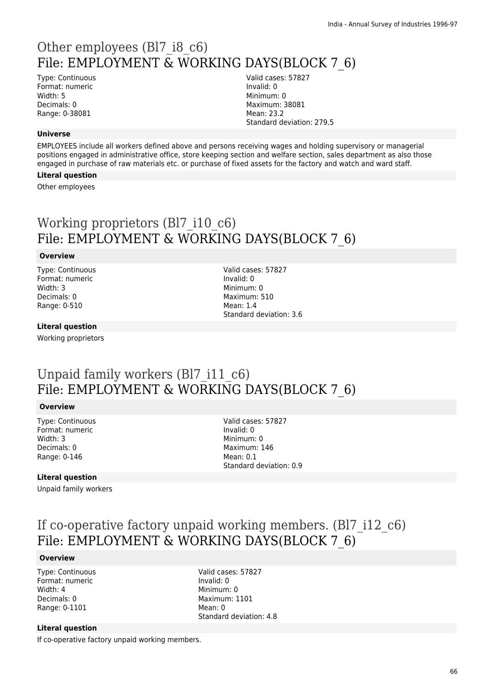# Other employees (Bl7\_i8\_c6) File: EMPLOYMENT & WORKING DAYS(BLOCK 7\_6)

Type: Continuous Format: numeric Width: 5 Decimals: 0 Range: 0-38081

Valid cases: 57827 Invalid: 0 Minimum: 0 Maximum: 38081 Mean: 23.2 Standard deviation: 279.5

### **Universe**

EMPLOYEES include all workers defined above and persons receiving wages and holding supervisory or managerial positions engaged in administrative office, store keeping section and welfare section, sales department as also those engaged in purchase of raw materials etc. or purchase of fixed assets for the factory and watch and ward staff.

### **Literal question**

Other employees

# Working proprietors (Bl7 i10 c6) File: EMPLOYMENT & WORKING DAYS(BLOCK 7\_6)

### **Overview**

Type: Continuous Format: numeric Width: 3 Decimals: 0 Range: 0-510

Valid cases: 57827 Invalid: 0 Minimum: 0 Maximum: 510 Mean: 1.4 Standard deviation: 3.6

### **Literal question**

Working proprietors

# Unpaid family workers (Bl7 i11 c6) File: EMPLOYMENT & WORKING DAYS(BLOCK 7\_6)

### **Overview**

Type: Continuous Format: numeric Width: 3 Decimals: 0 Range: 0-146

Valid cases: 57827 Invalid: 0 Minimum: 0 Maximum: 146 Mean: 0.1 Standard deviation: 0.9

### **Literal question**

Unpaid family workers

# If co-operative factory unpaid working members. (Bl7\_i12\_c6) File: EMPLOYMENT & WORKING DAYS(BLOCK 7\_6)

### **Overview**

Type: Continuous Format: numeric Width: 4 Decimals: 0 Range: 0-1101

Valid cases: 57827 Invalid: 0 Minimum: 0 Maximum: 1101 Mean: 0 Standard deviation: 4.8

### **Literal question**

If co-operative factory unpaid working members.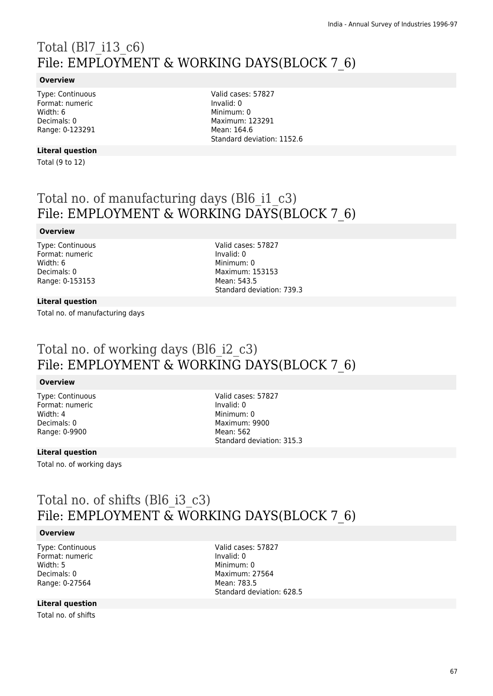# Total (Bl7\_i13\_c6) File: EMPLOYMENT & WORKING DAYS(BLOCK 7\_6)

### **Overview**

Type: Continuous Format: numeric Width: 6 Decimals: 0 Range: 0-123291

**Literal question**

Total (9 to 12)

Valid cases: 57827 Invalid: 0 Minimum: 0 Maximum: 123291 Mean: 164.6 Standard deviation: 1152.6

# Total no. of manufacturing days (Bl6\_i1\_c3) File: EMPLOYMENT & WORKING DAYS(BLOCK 7\_6)

### **Overview**

Type: Continuous Format: numeric Width: 6 Decimals: 0 Range: 0-153153

Valid cases: 57827 Invalid: 0 Minimum: 0 Maximum: 153153 Mean: 543.5 Standard deviation: 739.3

### **Literal question**

Total no. of manufacturing days

## Total no. of working days (Bl6\_i2\_c3) File: EMPLOYMENT & WORKING DAYS(BLOCK 7\_6)

### **Overview**

Type: Continuous Format: numeric Width: 4 Decimals: 0 Range: 0-9900

Valid cases: 57827 Invalid: 0 Minimum: 0 Maximum: 9900 Mean: 562 Standard deviation: 315.3

### **Literal question**

Total no. of working days

## Total no. of shifts (Bl6\_i3\_c3) File: EMPLOYMENT & WORKING DAYS(BLOCK 7\_6)

#### **Overview**

Type: Continuous Format: numeric Width: 5 Decimals: 0 Range: 0-27564

Valid cases: 57827 Invalid: 0 Minimum: 0 Maximum: 27564 Mean: 783.5 Standard deviation: 628.5

### **Literal question**

Total no. of shifts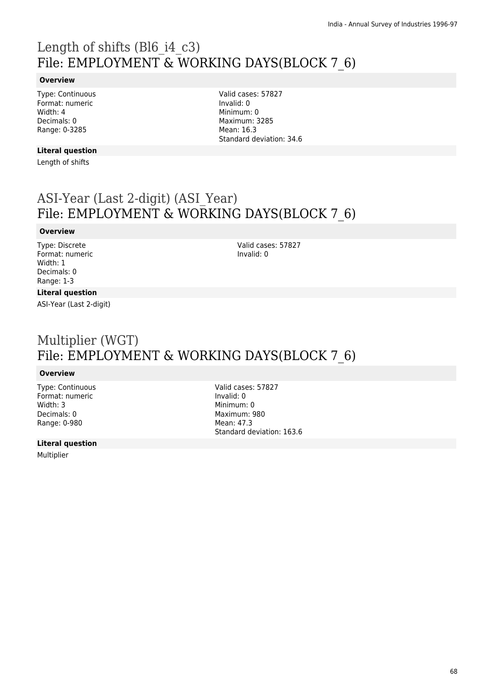# Length of shifts (Bl6\_i4\_c3) File: EMPLOYMENT & WORKING DAYS(BLOCK 7\_6)

### **Overview**

Type: Continuous Format: numeric Width: 4 Decimals: 0 Range: 0-3285

Valid cases: 57827 Invalid: 0 Minimum: 0 Maximum: 3285 Mean: 16.3 Standard deviation: 34.6

## **Literal question**

Length of shifts

## ASI-Year (Last 2-digit) (ASI\_Year) File: EMPLOYMENT & WORKING DAYS(BLOCK 7\_6)

### **Overview**

Type: Discrete Format: numeric Width: 1 Decimals: 0 Range: 1-3

Valid cases: 57827 Invalid: 0

### **Literal question**

ASI-Year (Last 2-digit)

# Multiplier (WGT) File: EMPLOYMENT & WORKING DAYS(BLOCK 7\_6)

### **Overview**

Type: Continuous Format: numeric Width: 3 Decimals: 0 Range: 0-980

**Literal question**

Multiplier

Valid cases: 57827 Invalid: 0 Minimum: 0 Maximum: 980 Mean: 47.3 Standard deviation: 163.6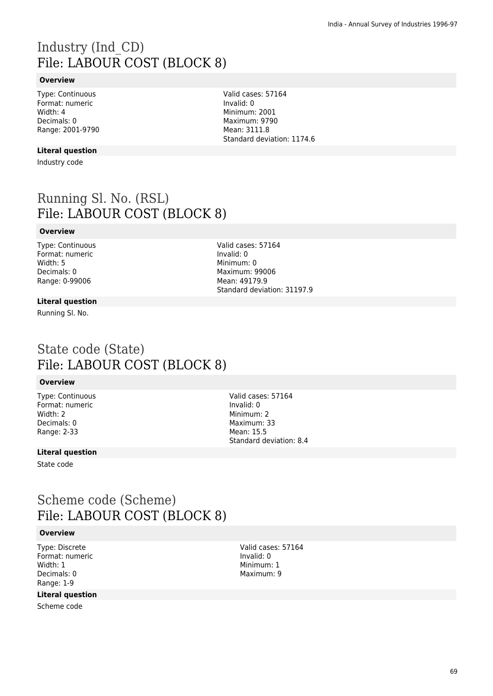# Industry (Ind\_CD) File: LABOUR COST (BLOCK 8)

### **Overview**

Type: Continuous Format: numeric Width: 4 Decimals: 0 Range: 2001-9790

### **Literal question**

Industry code

Running Sl. No. (RSL) File: LABOUR COST (BLOCK 8)

### **Overview**

Type: Continuous Format: numeric Width: 5 Decimals: 0 Range: 0-99006

Valid cases: 57164 Invalid: 0 Minimum: 0 Maximum: 99006 Mean: 49179.9 Standard deviation: 31197.9

#### **Literal question**

Running Sl. No.

## State code (State) File: LABOUR COST (BLOCK 8)

### **Overview**

Type: Continuous Format: numeric Width: 2 Decimals: 0 Range: 2-33

Valid cases: 57164 Invalid: 0 Minimum: 2 Maximum: 33 Mean: 15.5 Standard deviation: 8.4

### **Literal question**

State code

## Scheme code (Scheme) File: LABOUR COST (BLOCK 8)

#### **Overview**

Type: Discrete Format: numeric Width: 1 Decimals: 0 Range: 1-9

### **Literal question**

Scheme code

Valid cases: 57164 Invalid: 0 Minimum: 1 Maximum: 9

Valid cases: 57164 Invalid: 0 Minimum: 2001 Maximum: 9790 Mean: 3111.8 Standard deviation: 1174.6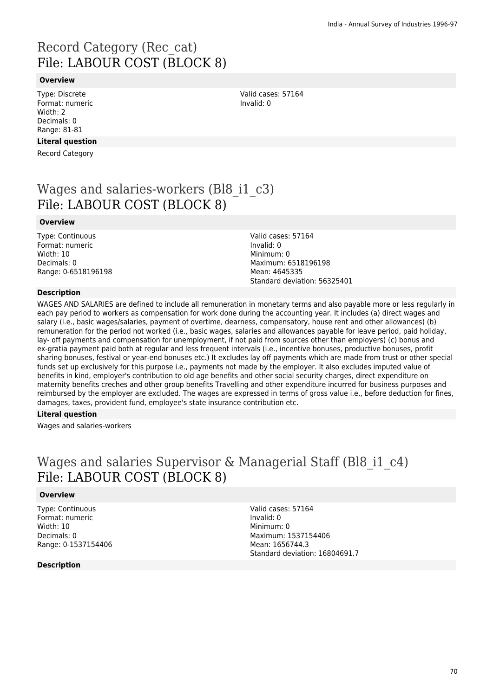# Record Category (Rec\_cat) File: LABOUR COST (BLOCK 8)

### **Overview**

Type: Discrete Format: numeric Width: 2 Decimals: 0 Range: 81-81

### **Literal question**

Record Category

# Wages and salaries-workers (Bl8 i1 c3) File: LABOUR COST (BLOCK 8)

#### **Overview**

Type: Continuous Format: numeric Width: 10 Decimals: 0 Range: 0-6518196198 Valid cases: 57164 Invalid: 0 Minimum: 0 Maximum: 6518196198 Mean: 4645335 Standard deviation: 56325401

### **Description**

WAGES AND SALARIES are defined to include all remuneration in monetary terms and also payable more or less regularly in each pay period to workers as compensation for work done during the accounting year. It includes (a) direct wages and salary (i.e., basic wages/salaries, payment of overtime, dearness, compensatory, house rent and other allowances) (b) remuneration for the period not worked (i.e., basic wages, salaries and allowances payable for leave period, paid holiday, lay- off payments and compensation for unemployment, if not paid from sources other than employers) (c) bonus and ex-gratia payment paid both at regular and less frequent intervals (i.e., incentive bonuses, productive bonuses, profit sharing bonuses, festival or year-end bonuses etc.) It excludes lay off payments which are made from trust or other special funds set up exclusively for this purpose i.e., payments not made by the employer. It also excludes imputed value of benefits in kind, employer's contribution to old age benefits and other social security charges, direct expenditure on maternity benefits creches and other group benefits Travelling and other expenditure incurred for business purposes and reimbursed by the employer are excluded. The wages are expressed in terms of gross value i.e., before deduction for fines, damages, taxes, provident fund, employee's state insurance contribution etc.

### **Literal question**

Wages and salaries-workers

## Wages and salaries Supervisor & Managerial Staff (Bl8 i1 c4) File: LABOUR COST (BLOCK 8)

### **Overview**

Type: Continuous Format: numeric Width: 10 Decimals: 0 Range: 0-1537154406

**Description**

Valid cases: 57164 Invalid: 0 Minimum: 0 Maximum: 1537154406 Mean: 1656744.3 Standard deviation: 16804691.7

Valid cases: 57164 Invalid: 0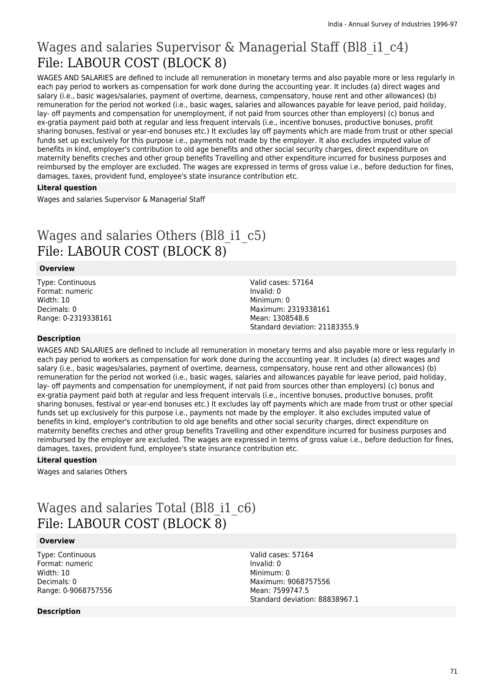# Wages and salaries Supervisor & Managerial Staff (Bl8 i1 c4) File: LABOUR COST (BLOCK 8)

WAGES AND SALARIES are defined to include all remuneration in monetary terms and also payable more or less regularly in each pay period to workers as compensation for work done during the accounting year. It includes (a) direct wages and salary (i.e., basic wages/salaries, payment of overtime, dearness, compensatory, house rent and other allowances) (b) remuneration for the period not worked (i.e., basic wages, salaries and allowances payable for leave period, paid holiday, lay- off payments and compensation for unemployment, if not paid from sources other than employers) (c) bonus and ex-gratia payment paid both at regular and less frequent intervals (i.e., incentive bonuses, productive bonuses, profit sharing bonuses, festival or year-end bonuses etc.) It excludes lay off payments which are made from trust or other special funds set up exclusively for this purpose i.e., payments not made by the employer. It also excludes imputed value of benefits in kind, employer's contribution to old age benefits and other social security charges, direct expenditure on maternity benefits creches and other group benefits Travelling and other expenditure incurred for business purposes and reimbursed by the employer are excluded. The wages are expressed in terms of gross value i.e., before deduction for fines, damages, taxes, provident fund, employee's state insurance contribution etc.

### **Literal question**

Wages and salaries Supervisor & Managerial Staff

# Wages and salaries Others (Bl8 i1 c5) File: LABOUR COST (BLOCK 8)

### **Overview**

Type: Continuous Format: numeric Width: 10 Decimals: 0 Range: 0-2319338161 Valid cases: 57164 Invalid: 0 Minimum: 0 Maximum: 2319338161 Mean: 1308548.6 Standard deviation: 21183355.9

### **Description**

WAGES AND SALARIES are defined to include all remuneration in monetary terms and also payable more or less regularly in each pay period to workers as compensation for work done during the accounting year. It includes (a) direct wages and salary (i.e., basic wages/salaries, payment of overtime, dearness, compensatory, house rent and other allowances) (b) remuneration for the period not worked (i.e., basic wages, salaries and allowances payable for leave period, paid holiday, lay- off payments and compensation for unemployment, if not paid from sources other than employers) (c) bonus and ex-gratia payment paid both at regular and less frequent intervals (i.e., incentive bonuses, productive bonuses, profit sharing bonuses, festival or year-end bonuses etc.) It excludes lay off payments which are made from trust or other special funds set up exclusively for this purpose i.e., payments not made by the employer. It also excludes imputed value of benefits in kind, employer's contribution to old age benefits and other social security charges, direct expenditure on maternity benefits creches and other group benefits Travelling and other expenditure incurred for business purposes and reimbursed by the employer are excluded. The wages are expressed in terms of gross value i.e., before deduction for fines, damages, taxes, provident fund, employee's state insurance contribution etc.

### **Literal question**

Wages and salaries Others

# Wages and salaries Total (Bl8\_i1\_c6) File: LABOUR COST (BLOCK 8)

### **Overview**

Type: Continuous Format: numeric Width: 10 Decimals: 0 Range: 0-9068757556

### **Description**

Valid cases: 57164 Invalid: 0 Minimum: 0 Maximum: 9068757556 Mean: 7599747.5 Standard deviation: 88838967.1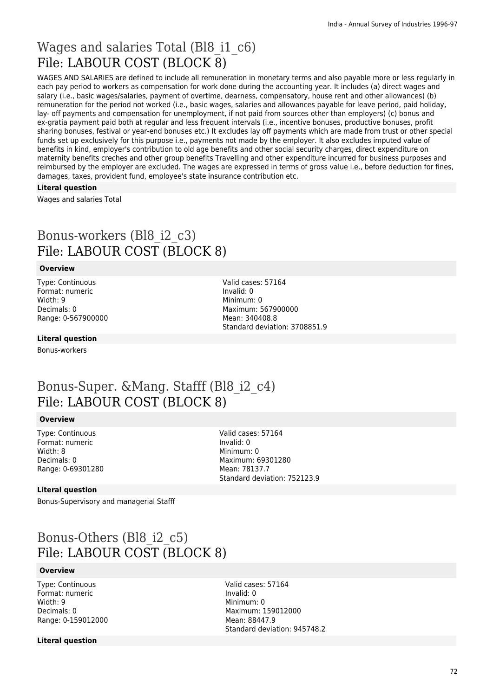# Wages and salaries Total (Bl8\_i1\_c6) File: LABOUR COST (BLOCK 8)

WAGES AND SALARIES are defined to include all remuneration in monetary terms and also payable more or less regularly in each pay period to workers as compensation for work done during the accounting year. It includes (a) direct wages and salary (i.e., basic wages/salaries, payment of overtime, dearness, compensatory, house rent and other allowances) (b) remuneration for the period not worked (i.e., basic wages, salaries and allowances payable for leave period, paid holiday, lay- off payments and compensation for unemployment, if not paid from sources other than employers) (c) bonus and ex-gratia payment paid both at regular and less frequent intervals (i.e., incentive bonuses, productive bonuses, profit sharing bonuses, festival or year-end bonuses etc.) It excludes lay off payments which are made from trust or other special funds set up exclusively for this purpose i.e., payments not made by the employer. It also excludes imputed value of benefits in kind, employer's contribution to old age benefits and other social security charges, direct expenditure on maternity benefits creches and other group benefits Travelling and other expenditure incurred for business purposes and reimbursed by the employer are excluded. The wages are expressed in terms of gross value i.e., before deduction for fines, damages, taxes, provident fund, employee's state insurance contribution etc.

#### **Literal question**

Wages and salaries Total

## Bonus-workers (Bl8\_i2\_c3) File: LABOUR COST (BLOCK 8)

### **Overview**

Type: Continuous Format: numeric Width: 9 Decimals: 0 Range: 0-567900000 Valid cases: 57164 Invalid: 0 Minimum: 0 Maximum: 567900000 Mean: 340408.8 Standard deviation: 3708851.9

### **Literal question**

Bonus-workers

## Bonus-Super. &Mang. Stafff (Bl8\_i2\_c4) File: LABOUR COST (BLOCK 8)

#### **Overview**

Type: Continuous Format: numeric Width: 8 Decimals: 0 Range: 0-69301280

Valid cases: 57164 Invalid: 0 Minimum: 0 Maximum: 69301280 Mean: 78137.7 Standard deviation: 752123.9

#### **Literal question**

Bonus-Supervisory and managerial Stafff

# Bonus-Others (Bl8\_i2\_c5) File: LABOUR COST (BLOCK 8)

### **Overview**

Type: Continuous Format: numeric Width: 9 Decimals: 0 Range: 0-159012000 Valid cases: 57164 Invalid: 0 Minimum: 0 Maximum: 159012000 Mean: 88447.9 Standard deviation: 945748.2

#### **Literal question**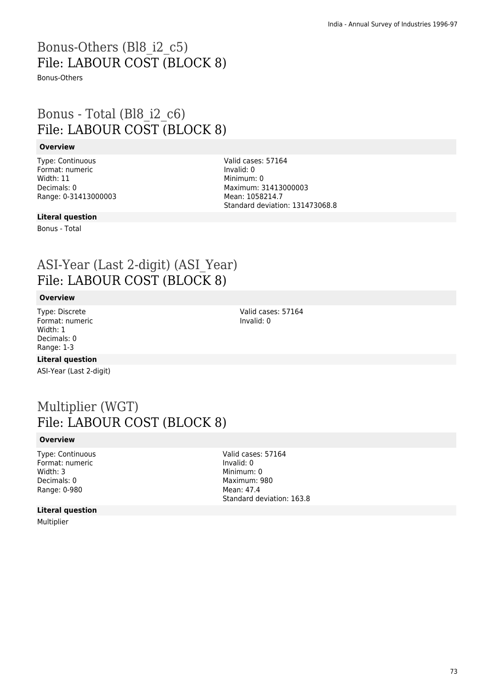# Bonus-Others (Bl8\_i2\_c5) File: LABOUR COST (BLOCK 8)

Bonus-Others

## Bonus - Total (Bl8\_i2\_c6) File: LABOUR COST (BLOCK 8)

#### **Overview**

Type: Continuous Format: numeric Width: 11 Decimals: 0 Range: 0-31413000003 Valid cases: 57164 Invalid: 0 Minimum: 0 Maximum: 31413000003 Mean: 1058214.7 Standard deviation: 131473068.8

### **Literal question**

Bonus - Total

## ASI-Year (Last 2-digit) (ASI\_Year) File: LABOUR COST (BLOCK 8)

#### **Overview**

Type: Discrete Format: numeric Width: 1 Decimals: 0 Range: 1-3

#### **Literal question**

ASI-Year (Last 2-digit)

## Multiplier (WGT) File: LABOUR COST (BLOCK 8)

#### **Overview**

Type: Continuous Format: numeric Width: 3 Decimals: 0 Range: 0-980

Valid cases: 57164 Invalid: 0 Minimum: 0 Maximum: 980 Mean: 47.4 Standard deviation: 163.8

### **Literal question**

Multiplier

Valid cases: 57164 Invalid: 0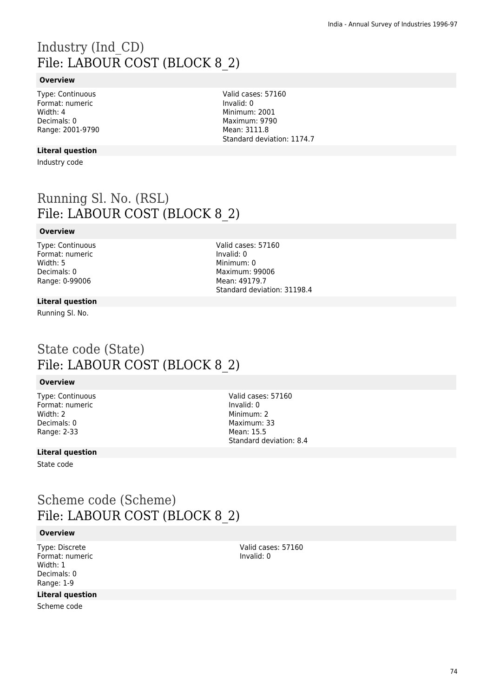# Industry (Ind\_CD) File: LABOUR COST (BLOCK 8\_2)

### **Overview**

Type: Continuous Format: numeric Width: 4 Decimals: 0 Range: 2001-9790

#### **Literal question**

Industry code

Running Sl. No. (RSL) File: LABOUR COST (BLOCK 8\_2)

#### **Overview**

Type: Continuous Format: numeric Width: 5 Decimals: 0 Range: 0-99006

Valid cases: 57160 Invalid: 0 Minimum: 0 Maximum: 99006 Mean: 49179.7 Standard deviation: 31198.4

#### **Literal question**

Running Sl. No.

### State code (State) File: LABOUR COST (BLOCK 8\_2)

#### **Overview**

Type: Continuous Format: numeric Width: 2 Decimals: 0 Range: 2-33

Valid cases: 57160 Invalid: 0 Minimum: 2 Maximum: 33 Mean: 15.5 Standard deviation: 8.4

#### **Literal question**

State code

### Scheme code (Scheme) File: LABOUR COST (BLOCK 8\_2)

#### **Overview**

Type: Discrete Format: numeric Width: 1 Decimals: 0 Range: 1-9

#### **Literal question**

Scheme code

Valid cases: 57160 Invalid: 0

Valid cases: 57160 Invalid: 0 Minimum: 2001 Maximum: 9790 Mean: 3111.8 Standard deviation: 1174.7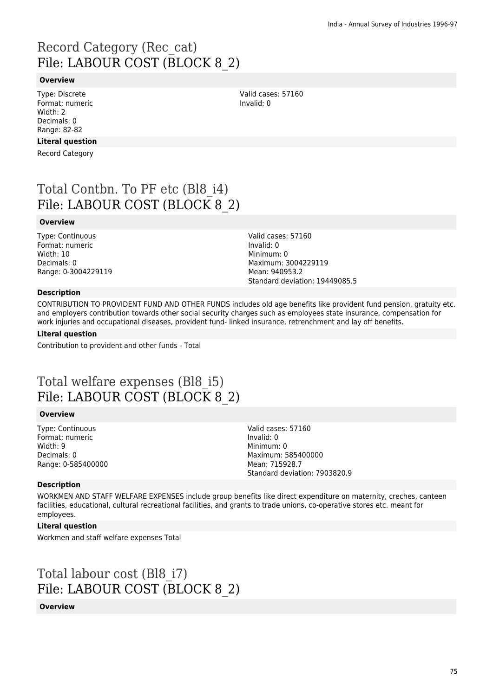# Record Category (Rec\_cat) File: LABOUR COST (BLOCK 8\_2)

#### **Overview**

Type: Discrete Format: numeric Width: 2 Decimals: 0 Range: 82-82

### **Literal question**

Record Category

# Total Contbn. To PF etc (Bl8\_i4) File: LABOUR COST (BLOCK 8\_2)

#### **Overview**

Type: Continuous Format: numeric Width: 10 Decimals: 0 Range: 0-3004229119 Valid cases: 57160 Invalid: 0 Minimum: 0 Maximum: 3004229119 Mean: 940953.2 Standard deviation: 19449085.5

Valid cases: 57160

Invalid: 0

### **Description**

CONTRIBUTION TO PROVIDENT FUND AND OTHER FUNDS includes old age benefits like provident fund pension, gratuity etc. and employers contribution towards other social security charges such as employees state insurance, compensation for work injuries and occupational diseases, provident fund- linked insurance, retrenchment and lay off benefits.

#### **Literal question**

Contribution to provident and other funds - Total

## Total welfare expenses (Bl8\_i5) File: LABOUR COST (BLOCK 8\_2)

#### **Overview**

Type: Continuous Format: numeric Width: 9 Decimals: 0 Range: 0-585400000 Valid cases: 57160 Invalid: 0 Minimum: 0 Maximum: 585400000 Mean: 715928.7 Standard deviation: 7903820.9

#### **Description**

WORKMEN AND STAFF WELFARE EXPENSES include group benefits like direct expenditure on maternity, creches, canteen facilities, educational, cultural recreational facilities, and grants to trade unions, co-operative stores etc. meant for employees.

#### **Literal question**

Workmen and staff welfare expenses Total

# Total labour cost (Bl8\_i7) File: LABOUR COST (BLOCK 8\_2)

#### **Overview**

75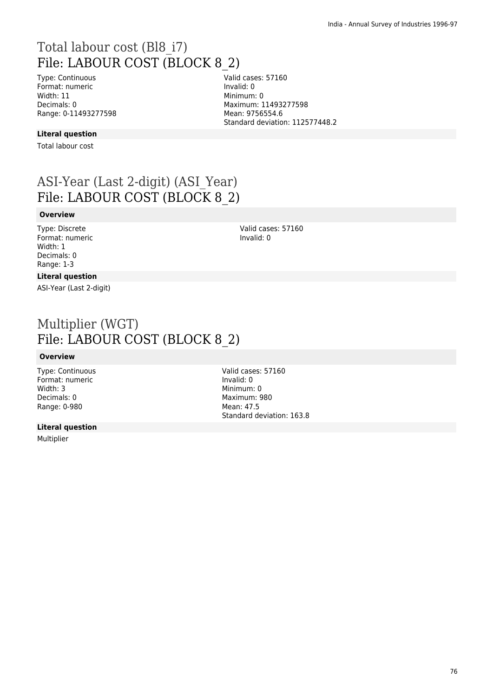# Total labour cost (Bl8\_i7) File: LABOUR COST (BLOCK 8\_2)

Type: Continuous Format: numeric Width: 11 Decimals: 0 Range: 0-11493277598 Valid cases: 57160 Invalid: 0 Minimum: 0 Maximum: 11493277598 Mean: 9756554.6 Standard deviation: 112577448.2

#### **Literal question**

Total labour cost

# ASI-Year (Last 2-digit) (ASI\_Year) File: LABOUR COST (BLOCK 8\_2)

#### **Overview**

Type: Discrete Format: numeric Width: 1 Decimals: 0 Range: 1-3

#### Valid cases: 57160 Invalid: 0

### **Literal question**

ASI-Year (Last 2-digit)

## Multiplier (WGT) File: LABOUR COST (BLOCK 8\_2)

#### **Overview**

Type: Continuous Format: numeric Width: 3 Decimals: 0 Range: 0-980

#### **Literal question**

Multiplier

Valid cases: 57160 Invalid: 0 Minimum: 0 Maximum: 980 Mean: 47.5 Standard deviation: 163.8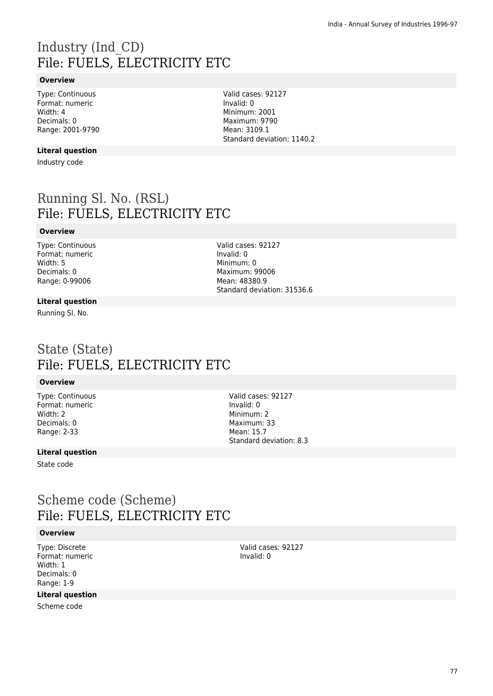# Industry (Ind\_CD) File: FUELS, ELECTRICITY ETC

### **Overview**

Type: Continuous Format: numeric Width: 4 Decimals: 0 Range: 2001-9790

#### **Literal question**

Industry code

Running Sl. No. (RSL) File: FUELS, ELECTRICITY ETC

#### **Overview**

Type: Continuous Format: numeric Width: 5 Decimals: 0 Range: 0-99006

Valid cases: 92127 Invalid: 0 Minimum: 0 Maximum: 99006 Mean: 48380.9 Standard deviation: 31536.6

#### **Literal question**

Running Sl. No.

### State (State) File: FUELS, ELECTRICITY ETC

#### **Overview**

Type: Continuous Format: numeric Width: 2 Decimals: 0 Range: 2-33

Valid cases: 92127 Invalid: 0 Minimum: 2 Maximum: 33 Mean: 15.7 Standard deviation: 8.3

### **Literal question**

State code

## Scheme code (Scheme) File: FUELS, ELECTRICITY ETC

### **Overview**

Type: Discrete Format: numeric Width: 1 Decimals: 0 Range: 1-9

### **Literal question**

Scheme code

Valid cases: 92127 Invalid: 0

Valid cases: 92127 Invalid: 0 Minimum: 2001 Maximum: 9790 Mean: 3109.1 Standard deviation: 1140.2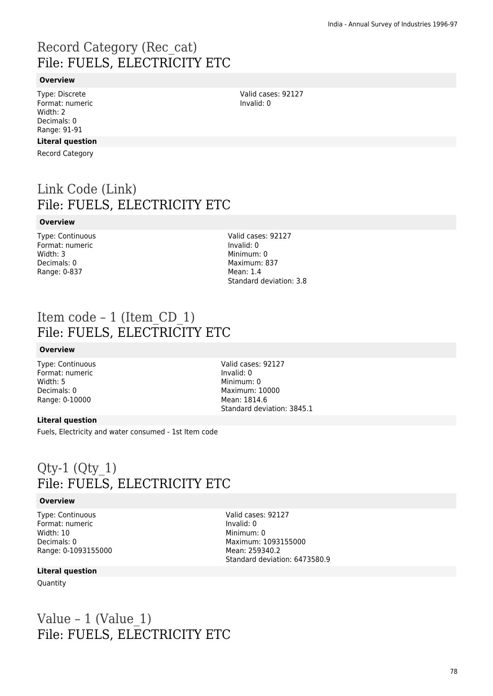# Record Category (Rec\_cat) File: FUELS, ELECTRICITY ETC

### **Overview**

Type: Discrete Format: numeric Width: 2 Decimals: 0 Range: 91-91

#### **Literal question**

Record Category

# Link Code (Link) File: FUELS, ELECTRICITY ETC

#### **Overview**

Type: Continuous Format: numeric Width: 3 Decimals: 0 Range: 0-837

Valid cases: 92127 Invalid: 0 Minimum: 0 Maximum: 837 Mean: 1.4 Standard deviation: 3.8

### Item code – 1 (Item\_CD\_1) File: FUELS, ELECTRICITY ETC

#### **Overview**

Type: Continuous Format: numeric Width: 5 Decimals: 0 Range: 0-10000

Valid cases: 92127 Invalid: 0 Minimum: 0 Maximum: 10000 Mean: 1814.6 Standard deviation: 3845.1

#### **Literal question**

Fuels, Electricity and water consumed - 1st Item code

## $Qty-1$   $(Qty 1)$ File: FUELS, ELECTRICITY ETC

#### **Overview**

Type: Continuous Format: numeric Width: 10 Decimals: 0 Range: 0-1093155000 Valid cases: 92127 Invalid: 0 Minimum: 0 Maximum: 1093155000 Mean: 259340.2 Standard deviation: 6473580.9

#### **Literal question**

Quantity

## Value – 1 (Value  $1$ ) File: FUELS, ELECTRICITY ETC

Valid cases: 92127 Invalid: 0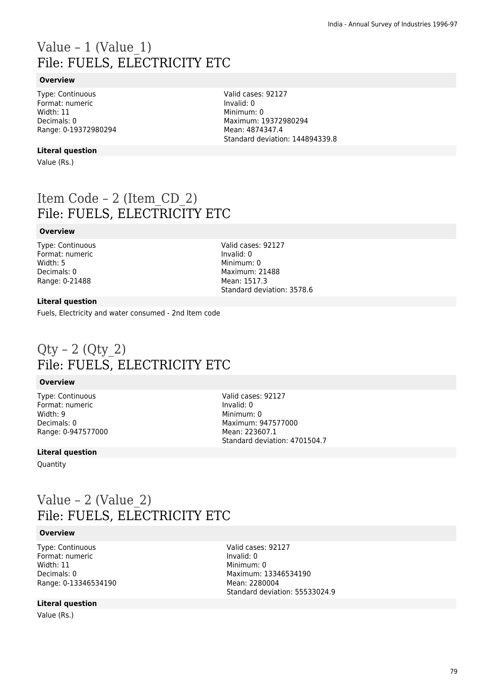# Value – 1 (Value\_1) File: FUELS, ELECTRICITY ETC

### **Overview**

Type: Continuous Format: numeric Width: 11 Decimals: 0 Range: 0-19372980294

**Literal question**

Value (Rs.)

Item Code – 2 (Item\_CD\_2) File: FUELS, ELECTRICITY ETC

#### **Overview**

Type: Continuous Format: numeric Width: 5 Decimals: 0 Range: 0-21488

Valid cases: 92127 Invalid: 0 Minimum: 0 Maximum: 21488 Mean: 1517.3 Standard deviation: 3578.6

Valid cases: 92127

Maximum: 19372980294 Mean: 4874347.4

Standard deviation: 144894339.8

Invalid: 0 Minimum: 0

#### **Literal question**

Fuels, Electricity and water consumed - 2nd Item code

## $Qty - 2 (Qty 2)$ File: FUELS, ELECTRICITY ETC

#### **Overview**

Type: Continuous Format: numeric Width: 9 Decimals: 0 Range: 0-947577000 Valid cases: 92127 Invalid: 0 Minimum: 0 Maximum: 947577000 Mean: 223607.1 Standard deviation: 4701504.7

#### **Literal question**

**Quantity** 

## Value – 2 (Value\_2) File: FUELS, ELECTRICITY ETC

#### **Overview**

Type: Continuous Format: numeric Width: 11 Decimals: 0 Range: 0-13346534190

Valid cases: 92127 Invalid: 0 Minimum: 0 Maximum: 13346534190 Mean: 2280004 Standard deviation: 55533024.9

#### **Literal question**

Value (Rs.)

79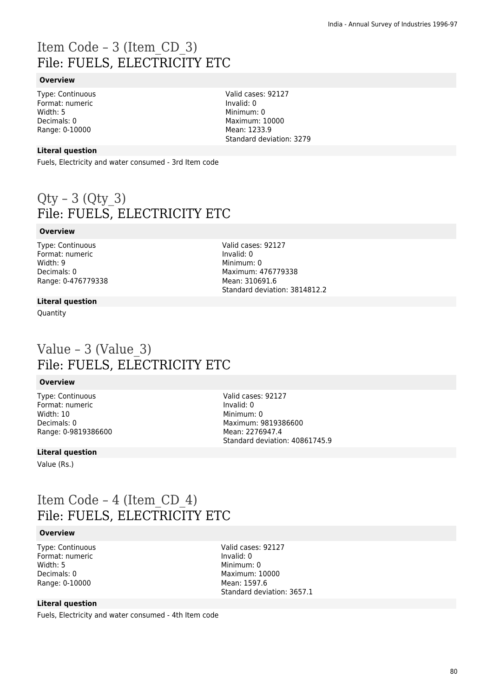# Item Code – 3 (Item\_CD\_3) File: FUELS, ELECTRICITY ETC

#### **Overview**

Type: Continuous Format: numeric Width: 5 Decimals: 0 Range: 0-10000

Valid cases: 92127 Invalid: 0 Minimum: 0 Maximum: 10000 Mean: 1233.9 Standard deviation: 3279

#### **Literal question**

Fuels, Electricity and water consumed - 3rd Item code

## $Qty - 3 (Qty 3)$ File: FUELS, ELECTRICITY ETC

### **Overview**

Type: Continuous Format: numeric Width: 9 Decimals: 0 Range: 0-476779338 Valid cases: 92127 Invalid: 0 Minimum: 0 Maximum: 476779338 Mean: 310691.6 Standard deviation: 3814812.2

#### **Literal question**

Quantity

### Value – 3 (Value\_3) File: FUELS, ELECTRICITY ETC

#### **Overview**

Type: Continuous Format: numeric Width: 10 Decimals: 0 Range: 0-9819386600

#### Valid cases: 92127 Invalid: 0 Minimum: 0 Maximum: 9819386600 Mean: 2276947.4 Standard deviation: 40861745.9

#### **Literal question**

Value (Rs.)

## Item Code – 4 (Item\_CD\_4) File: FUELS, ELECTRICITY ETC

### **Overview**

Type: Continuous Format: numeric Width: 5 Decimals: 0 Range: 0-10000

Valid cases: 92127 Invalid: 0 Minimum: 0 Maximum: 10000 Mean: 1597.6 Standard deviation: 3657.1

### **Literal question**

Fuels, Electricity and water consumed - 4th Item code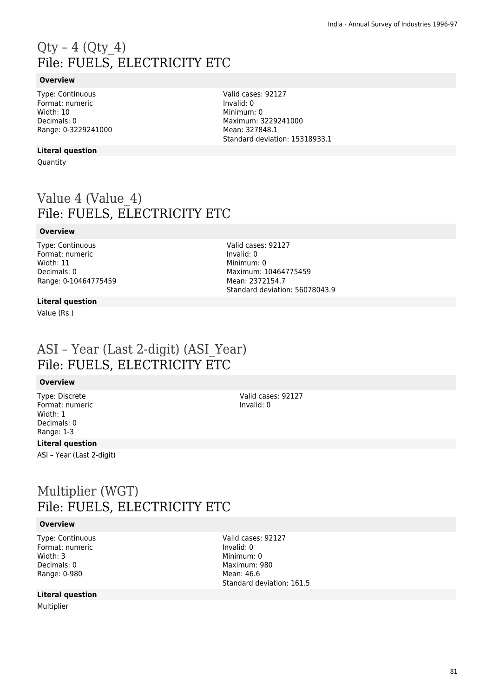# $Qty - 4$  ( $Qty 4$ ) File: FUELS, ELECTRICITY ETC

### **Overview**

Type: Continuous Format: numeric Width: 10 Decimals: 0 Range: 0-3229241000

#### **Literal question**

**Quantity** 

# Value 4 (Value 4) File: FUELS, ELECTRICITY ETC

#### **Overview**

Type: Continuous Format: numeric Width: 11 Decimals: 0 Range: 0-10464775459 Valid cases: 92127 Invalid: 0 Minimum: 0 Maximum: 10464775459 Mean: 2372154.7 Standard deviation: 56078043.9

Valid cases: 92127

Maximum: 3229241000 Mean: 327848.1

Standard deviation: 15318933.1

Invalid: 0 Minimum: 0

### **Literal question**

Value (Rs.)

### ASI – Year (Last 2-digit) (ASI\_Year) File: FUELS, ELECTRICITY ETC

#### **Overview**

Type: Discrete Format: numeric Width: 1 Decimals: 0 Range: 1-3

#### **Literal question**

ASI – Year (Last 2-digit)

## Multiplier (WGT) File: FUELS, ELECTRICITY ETC

#### **Overview**

Type: Continuous Format: numeric Width: 3 Decimals: 0 Range: 0-980

#### **Literal question**

Multiplier

Valid cases: 92127 Invalid: 0

Valid cases: 92127 Invalid: 0 Minimum: 0 Maximum: 980 Mean: 46.6 Standard deviation: 161.5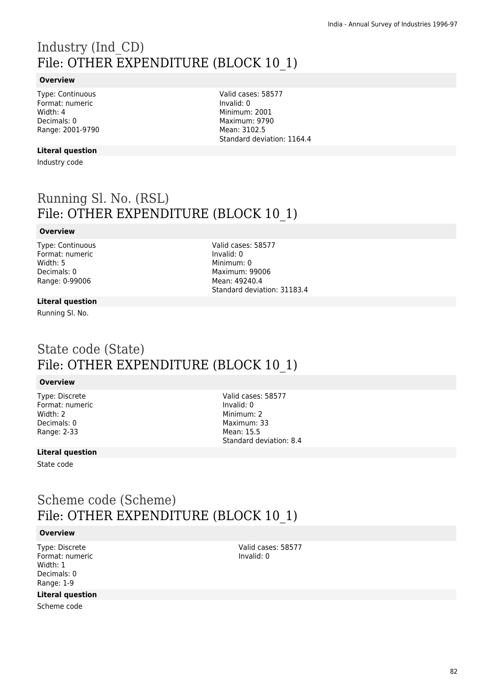# Industry (Ind\_CD) File: OTHER EXPENDITURE (BLOCK 10\_1)

#### **Overview**

Type: Continuous Format: numeric Width: 4 Decimals: 0 Range: 2001-9790

**Literal question**

Industry code

Valid cases: 58577 Invalid: 0 Minimum: 2001 Maximum: 9790 Mean: 3102.5 Standard deviation: 1164.4

# Running Sl. No. (RSL) File: OTHER EXPENDITURE (BLOCK 10\_1)

### **Overview**

Type: Continuous Format: numeric Width: 5 Decimals: 0 Range: 0-99006

Valid cases: 58577 Invalid: 0 Minimum: 0 Maximum: 99006 Mean: 49240.4 Standard deviation: 31183.4

#### **Literal question**

Running Sl. No.

## State code (State) File: OTHER EXPENDITURE (BLOCK 10\_1)

#### **Overview**

Type: Discrete Format: numeric Width: 2 Decimals: 0 Range: 2-33

Valid cases: 58577 Invalid: 0 Minimum<sup>.</sup> 2 Maximum: 33 Mean: 15.5 Standard deviation: 8.4

### **Literal question**

State code

## Scheme code (Scheme) File: OTHER EXPENDITURE (BLOCK 10\_1)

#### **Overview**

Type: Discrete Format: numeric Width: 1 Decimals: 0 Range: 1-9

#### **Literal question**

Scheme code

Valid cases: 58577 Invalid: 0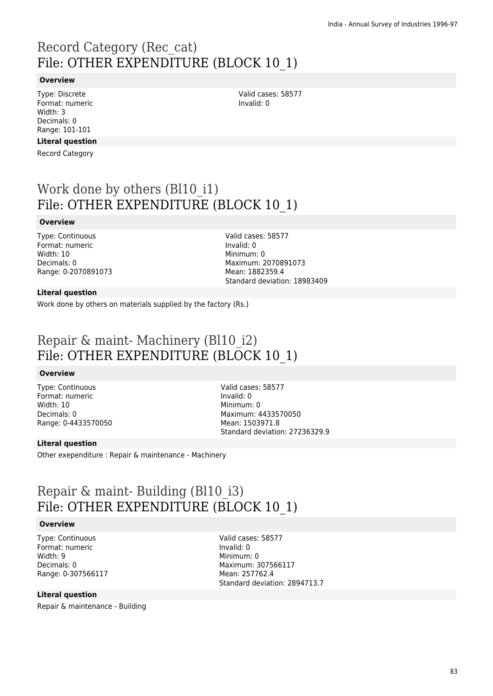# Record Category (Rec\_cat) File: OTHER EXPENDITURE (BLOCK 10\_1)

#### **Overview**

Type: Discrete Format: numeric Width: 3 Decimals: 0 Range: 101-101

### **Literal question**

Record Category

## Work done by others (Bl10\_i1) File: OTHER EXPENDITURE (BLOCK 10\_1)

#### **Overview**

Type: Continuous Format: numeric Width: 10 Decimals: 0 Range: 0-2070891073 Valid cases: 58577 Invalid: 0 Minimum: 0 Maximum: 2070891073 Mean: 1882359.4 Standard deviation: 18983409

#### **Literal question**

Work done by others on materials supplied by the factory (Rs.)

## Repair & maint- Machinery (Bl10\_i2) File: OTHER EXPENDITURE (BLOCK 10\_1)

#### **Overview**

Type: Continuous Format: numeric Width: 10 Decimals: 0 Range: 0-4433570050 Valid cases: 58577 Invalid: 0 Minimum: 0 Maximum: 4433570050 Mean: 1503971.8 Standard deviation: 27236329.9

#### **Literal question**

Other exependiture : Repair & maintenance - Machinery

## Repair & maint- Building (Bl10\_i3) File: OTHER EXPENDITURE (BLOCK 10\_1)

#### **Overview**

Type: Continuous Format: numeric Width: 9 Decimals: 0 Range: 0-307566117

#### **Literal question**

Repair & maintenance - Building

Valid cases: 58577 Invalid: 0 Minimum: 0 Maximum: 307566117 Mean: 257762.4 Standard deviation: 2894713.7

Valid cases: 58577 Invalid: 0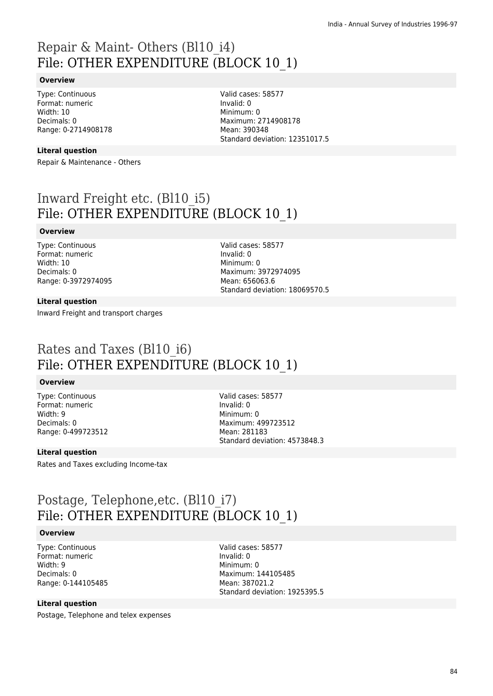## Repair & Maint- Others (Bl10\_i4) File: OTHER EXPENDITURE (BLOCK 10\_1)

#### **Overview**

Type: Continuous Format: numeric Width: 10 Decimals: 0 Range: 0-2714908178 Valid cases: 58577 Invalid: 0 Minimum: 0 Maximum: 2714908178 Mean: 390348 Standard deviation: 12351017.5

#### **Literal question**

Repair & Maintenance - Others

## Inward Freight etc. (Bl10\_i5) File: OTHER EXPENDITURE (BLOCK 10\_1)

#### **Overview**

Type: Continuous Format: numeric Width: 10 Decimals: 0 Range: 0-3972974095 Valid cases: 58577 Invalid: 0 Minimum: 0 Maximum: 3972974095 Mean: 656063.6 Standard deviation: 18069570.5

#### **Literal question**

Inward Freight and transport charges

## Rates and Taxes (Bl10\_i6) File: OTHER EXPENDITURE (BLOCK 10\_1)

#### **Overview**

Type: Continuous Format: numeric Width: 9 Decimals: 0 Range: 0-499723512 Valid cases: 58577 Invalid: 0 Minimum: 0 Maximum: 499723512 Mean: 281183 Standard deviation: 4573848.3

#### **Literal question**

Rates and Taxes excluding Income-tax

## Postage, Telephone,etc. (Bl10\_i7) File: OTHER EXPENDITURE (BLOCK 10\_1)

#### **Overview**

Type: Continuous Format: numeric Width: 9 Decimals: 0 Range: 0-144105485

Valid cases: 58577 Invalid: 0 Minimum: 0 Maximum: 144105485 Mean: 387021.2 Standard deviation: 1925395.5

#### **Literal question**

Postage, Telephone and telex expenses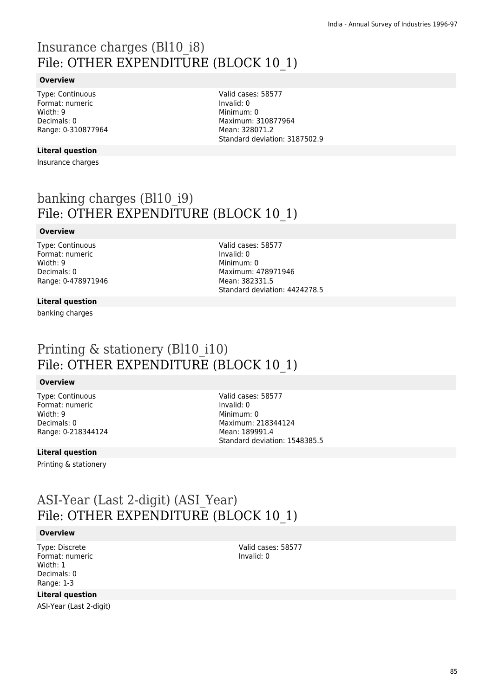## Insurance charges (Bl10\_i8) File: OTHER EXPENDITURE (BLOCK 10\_1)

#### **Overview**

Type: Continuous Format: numeric Width: 9 Decimals: 0 Range: 0-310877964

#### **Literal question**

Insurance charges

Valid cases: 58577 Invalid: 0 Minimum: 0 Maximum: 310877964 Mean: 328071.2 Standard deviation: 3187502.9

# banking charges (Bl10\_i9) File: OTHER EXPENDITURE (BLOCK 10\_1)

#### **Overview**

Type: Continuous Format: numeric Width: 9 Decimals: 0 Range: 0-478971946 Valid cases: 58577 Invalid: 0 Minimum: 0 Maximum: 478971946 Mean: 382331.5 Standard deviation: 4424278.5

#### **Literal question**

banking charges

## Printing & stationery (Bl10 i10) File: OTHER EXPENDITURE (BLOCK 10\_1)

#### **Overview**

Type: Continuous Format: numeric Width: 9 Decimals: 0 Range: 0-218344124 Valid cases: 58577 Invalid: 0 Minimum: 0 Maximum: 218344124 Mean: 189991.4 Standard deviation: 1548385.5

#### **Literal question**

Printing & stationery

## ASI-Year (Last 2-digit) (ASI\_Year) File: OTHER EXPENDITURE (BLOCK 10\_1)

#### **Overview**

Type: Discrete Format: numeric Width: 1 Decimals: 0 Range: 1-3

**Literal question**

ASI-Year (Last 2-digit)

Valid cases: 58577 Invalid: 0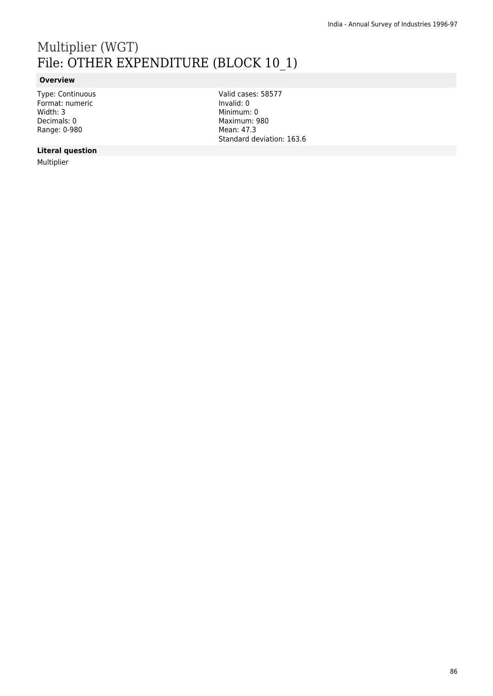# Multiplier (WGT) File: OTHER EXPENDITURE (BLOCK 10\_1)

### **Overview**

Type: Continuous Format: numeric Width: 3 Decimals: 0 Range: 0-980

Valid cases: 58577 Invalid: 0 Minimum: 0 Maximum: 980 Mean: 47.3 Standard deviation: 163.6

### **Literal question**

Multiplier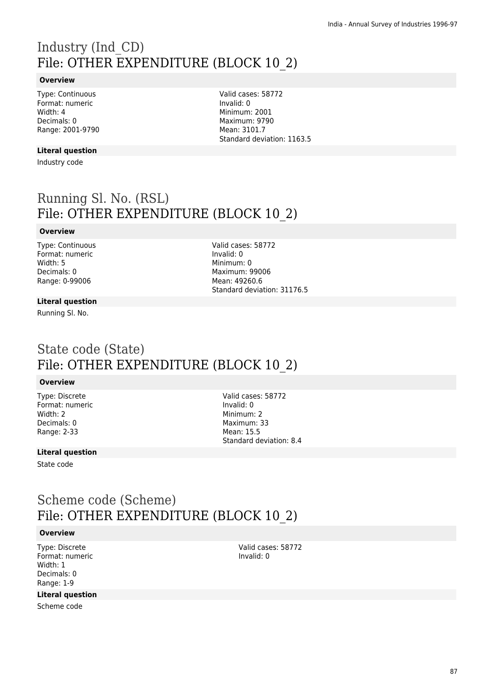# Industry (Ind\_CD) File: OTHER EXPENDITURE (BLOCK 10\_2)

#### **Overview**

Type: Continuous Format: numeric Width: 4 Decimals: 0 Range: 2001-9790

**Literal question**

Industry code

Valid cases: 58772 Invalid: 0 Minimum: 2001 Maximum: 9790 Mean: 3101.7 Standard deviation: 1163.5

# Running Sl. No. (RSL) File: OTHER EXPENDITURE (BLOCK 10\_2)

#### **Overview**

Type: Continuous Format: numeric Width: 5 Decimals: 0 Range: 0-99006

Valid cases: 58772 Invalid: 0 Minimum: 0 Maximum: 99006 Mean: 49260.6 Standard deviation: 31176.5

#### **Literal question**

Running Sl. No.

## State code (State) File: OTHER EXPENDITURE (BLOCK 10\_2)

#### **Overview**

Type: Discrete Format: numeric Width: 2 Decimals: 0 Range: 2-33

Valid cases: 58772 Invalid: 0 Minimum<sup>.</sup> 2 Maximum: 33 Mean: 15.5 Standard deviation: 8.4

### **Literal question**

State code

## Scheme code (Scheme) File: OTHER EXPENDITURE (BLOCK 10\_2)

#### **Overview**

Type: Discrete Format: numeric Width: 1 Decimals: 0 Range: 1-9

#### **Literal question**

Scheme code

Valid cases: 58772 Invalid: 0

87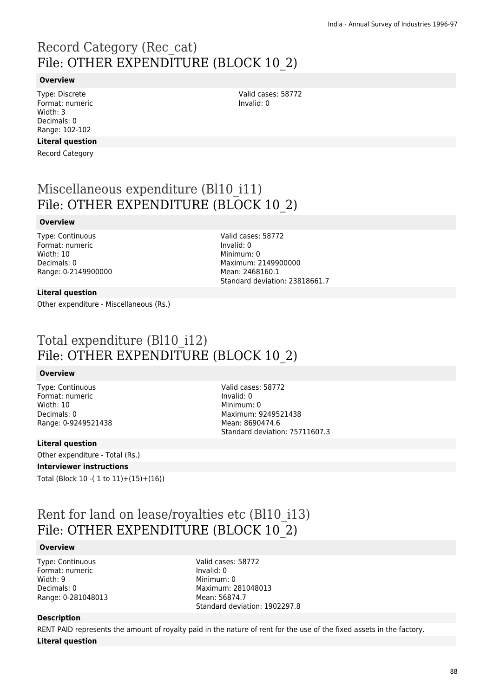# Record Category (Rec\_cat) File: OTHER EXPENDITURE (BLOCK 10\_2)

#### **Overview**

Type: Discrete Format: numeric Width: 3 Decimals: 0 Range: 102-102

#### **Literal question**

Record Category

## Miscellaneous expenditure (Bl10\_i11) File: OTHER EXPENDITURE (BLOCK 10\_2)

#### **Overview**

Type: Continuous Format: numeric Width: 10 Decimals: 0 Range: 0-2149900000 Valid cases: 58772 Invalid: 0 Minimum: 0 Maximum: 2149900000 Mean: 2468160.1 Standard deviation: 23818661.7

Valid cases: 58772

Invalid: 0

#### **Literal question**

Other expenditure - Miscellaneous (Rs.)

## Total expenditure (Bl10\_i12) File: OTHER EXPENDITURE (BLOCK 10\_2)

#### **Overview**

Type: Continuous Format: numeric Width: 10 Decimals: 0 Range: 0-9249521438

Valid cases: 58772 Invalid: 0 Minimum: 0 Maximum: 9249521438 Mean: 8690474.6 Standard deviation: 75711607.3

#### **Literal question**

Other expenditure - Total (Rs.)

#### **Interviewer instructions**

Total (Block 10 -( 1 to 11)+(15)+(16))

## Rent for land on lease/royalties etc (Bl10\_i13) File: OTHER EXPENDITURE (BLOCK 10\_2)

#### **Overview**

Type: Continuous Format: numeric Width: 9 Decimals: 0 Range: 0-281048013 Valid cases: 58772 Invalid: 0 Minimum: 0 Maximum: 281048013 Mean: 56874.7 Standard deviation: 1902297.8

#### **Description**

RENT PAID represents the amount of royalty paid in the nature of rent for the use of the fixed assets in the factory. **Literal question**

88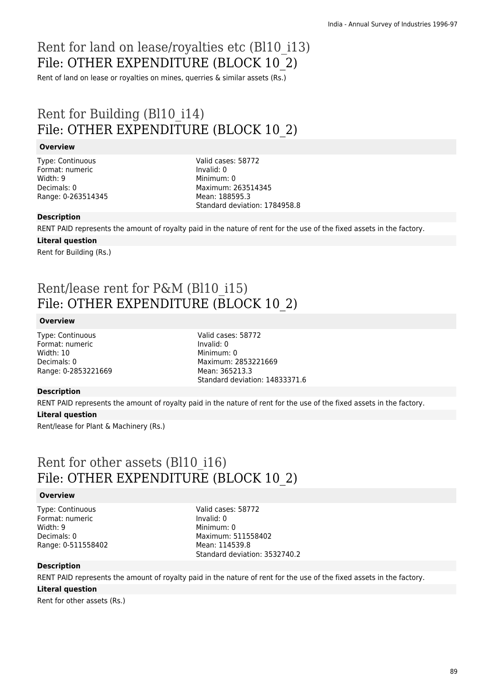# Rent for land on lease/royalties etc (Bl10\_i13) File: OTHER EXPENDITURE (BLOCK 10\_2)

Rent of land on lease or royalties on mines, querries & similar assets (Rs.)

## Rent for Building (Bl10\_i14) File: OTHER EXPENDITURE (BLOCK 10\_2)

#### **Overview**

Type: Continuous Format: numeric Width: 9 Decimals: 0 Range: 0-263514345 Valid cases: 58772 Invalid: 0 Minimum: 0 Maximum: 263514345 Mean: 188595.3 Standard deviation: 1784958.8

#### **Description**

RENT PAID represents the amount of royalty paid in the nature of rent for the use of the fixed assets in the factory.

#### **Literal question**

Rent for Building (Rs.)

# Rent/lease rent for P&M (Bl10\_i15) File: OTHER EXPENDITURE (BLOCK 10\_2)

#### **Overview**

Type: Continuous Format: numeric Width: 10 Decimals: 0 Range: 0-2853221669 Valid cases: 58772 Invalid: 0 Minimum: 0 Maximum: 2853221669 Mean: 365213.3 Standard deviation: 14833371.6

#### **Description**

RENT PAID represents the amount of royalty paid in the nature of rent for the use of the fixed assets in the factory.

#### **Literal question**

Rent/lease for Plant & Machinery (Rs.)

### Rent for other assets (Bl10\_i16) File: OTHER EXPENDITURE (BLOCK 10\_2)

#### **Overview**

Type: Continuous Format: numeric Width: 9 Decimals: 0 Range: 0-511558402 Valid cases: 58772 Invalid: 0 Minimum: 0 Maximum: 511558402 Mean: 114539.8 Standard deviation: 3532740.2

#### **Description**

RENT PAID represents the amount of royalty paid in the nature of rent for the use of the fixed assets in the factory.

#### **Literal question**

Rent for other assets (Rs.)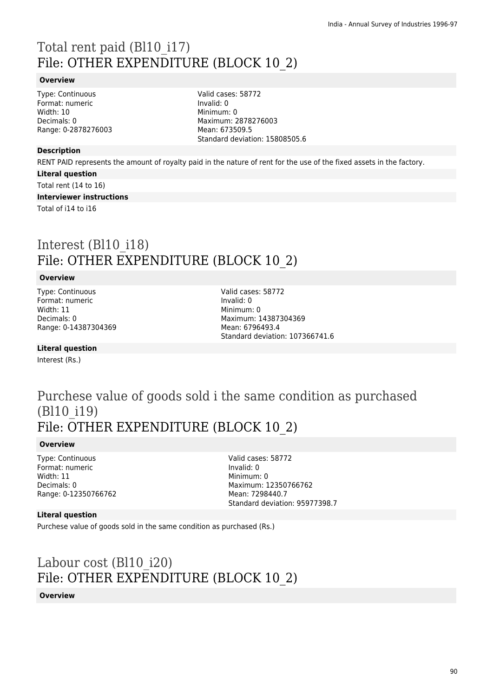# Total rent paid (Bl10\_i17) File: OTHER EXPENDITURE (BLOCK 10\_2)

#### **Overview**

Type: Continuous Format: numeric Width: 10 Decimals: 0 Range: 0-2878276003 Valid cases: 58772 Invalid: 0 Minimum: 0 Maximum: 2878276003 Mean: 673509.5 Standard deviation: 15808505.6

#### **Description**

RENT PAID represents the amount of royalty paid in the nature of rent for the use of the fixed assets in the factory.

**Literal question**

Total rent (14 to 16)

**Interviewer instructions**

Total of i14 to i16

## Interest (Bl10\_i18) File: OTHER EXPENDITURE (BLOCK 10\_2)

#### **Overview**

Type: Continuous Format: numeric Width: 11 Decimals: 0 Range: 0-14387304369 Valid cases: 58772 Invalid: 0 Minimum: 0 Maximum: 14387304369 Mean: 6796493.4 Standard deviation: 107366741.6

**Literal question**

Interest (Rs.)

### Purchese value of goods sold i the same condition as purchased (Bl10\_i19) File: OTHER EXPENDITURE (BLOCK 10\_2)

#### **Overview**

Type: Continuous Format: numeric Width: 11 Decimals: 0 Range: 0-12350766762

Valid cases: 58772 Invalid: 0 Minimum: 0 Maximum: 12350766762 Mean: 7298440.7 Standard deviation: 95977398.7

#### **Literal question**

Purchese value of goods sold in the same condition as purchased (Rs.)

# Labour cost (Bl10\_i20) File: OTHER EXPENDITURE (BLOCK 10\_2)

#### **Overview**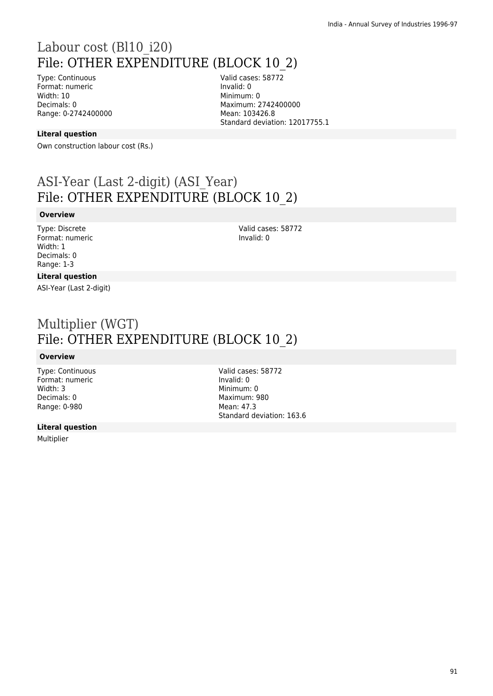## Labour cost (Bl10\_i20) File: OTHER EXPENDITURE (BLOCK 10\_2)

Type: Continuous Format: numeric Width: 10 Decimals: 0 Range: 0-2742400000 Valid cases: 58772 Invalid: 0 Minimum: 0 Maximum: 2742400000 Mean: 103426.8 Standard deviation: 12017755.1

#### **Literal question**

Own construction labour cost (Rs.)

## ASI-Year (Last 2-digit) (ASI\_Year) File: OTHER EXPENDITURE (BLOCK 10\_2)

#### **Overview**

Type: Discrete Format: numeric Width: 1 Decimals: 0 Range: 1-3

Valid cases: 58772 Invalid: 0

#### **Literal question**

ASI-Year (Last 2-digit)

## Multiplier (WGT) File: OTHER EXPENDITURE (BLOCK 10\_2)

#### **Overview**

Type: Continuous Format: numeric Width: 3 Decimals: 0 Range: 0-980

#### **Literal question**

Multiplier

Valid cases: 58772 Invalid: 0 Minimum: 0 Maximum: 980 Mean: 47.3 Standard deviation: 163.6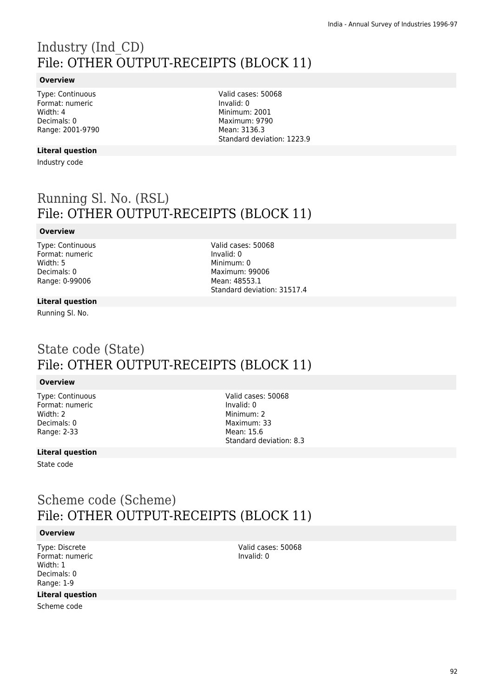# Industry (Ind\_CD) File: OTHER OUTPUT-RECEIPTS (BLOCK 11)

#### **Overview**

Type: Continuous Format: numeric Width: 4 Decimals: 0 Range: 2001-9790

**Literal question**

Industry code

Valid cases: 50068 Invalid: 0 Minimum: 2001 Maximum: 9790 Mean: 3136.3 Standard deviation: 1223.9

# Running Sl. No. (RSL) File: OTHER OUTPUT-RECEIPTS (BLOCK 11)

### **Overview**

Type: Continuous Format: numeric Width: 5 Decimals: 0 Range: 0-99006

Valid cases: 50068 Invalid: 0 Minimum: 0 Maximum: 99006 Mean: 48553.1 Standard deviation: 31517.4

#### **Literal question**

Running Sl. No.

## State code (State) File: OTHER OUTPUT-RECEIPTS (BLOCK 11)

#### **Overview**

Type: Continuous Format: numeric Width: 2 Decimals: 0 Range: 2-33

Valid cases: 50068 Invalid: 0 Minimum: 2 Maximum: 33 Mean: 15.6 Standard deviation: 8.3

### **Literal question**

State code

## Scheme code (Scheme) File: OTHER OUTPUT-RECEIPTS (BLOCK 11)

#### **Overview**

Type: Discrete Format: numeric Width: 1 Decimals: 0 Range: 1-9

#### **Literal question**

Scheme code

Valid cases: 50068 Invalid: 0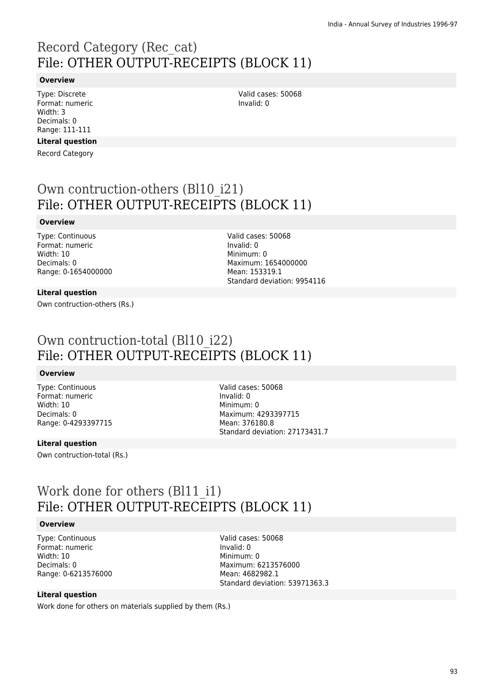# Record Category (Rec\_cat) File: OTHER OUTPUT-RECEIPTS (BLOCK 11)

#### **Overview**

Type: Discrete Format: numeric Width: 3 Decimals: 0 Range: 111-111

### **Literal question**

Record Category

Valid cases: 50068 Invalid: 0

## Own contruction-others (Bl10\_i21) File: OTHER OUTPUT-RECEIPTS (BLOCK 11)

#### **Overview**

Type: Continuous Format: numeric Width: 10 Decimals: 0 Range: 0-1654000000

#### Valid cases: 50068 Invalid: 0 Minimum: 0 Maximum: 1654000000 Mean: 153319.1 Standard deviation: 9954116

#### **Literal question**

Own contruction-others (Rs.)

## Own contruction-total (Bl10\_i22) File: OTHER OUTPUT-RECEIPTS (BLOCK 11)

#### **Overview**

Type: Continuous Format: numeric Width: 10 Decimals: 0 Range: 0-4293397715

Valid cases: 50068 Invalid: 0 Minimum: 0 Maximum: 4293397715 Mean: 376180.8 Standard deviation: 27173431.7

### **Literal question**

Own contruction-total (Rs.)

## Work done for others (Bl11 i1) File: OTHER OUTPUT-RECEIPTS (BLOCK 11)

#### **Overview**

Type: Continuous Format: numeric Width: 10 Decimals: 0 Range: 0-6213576000 Valid cases: 50068 Invalid: 0 Minimum: 0 Maximum: 6213576000 Mean: 4682982.1 Standard deviation: 53971363.3

### **Literal question**

Work done for others on materials supplied by them (Rs.)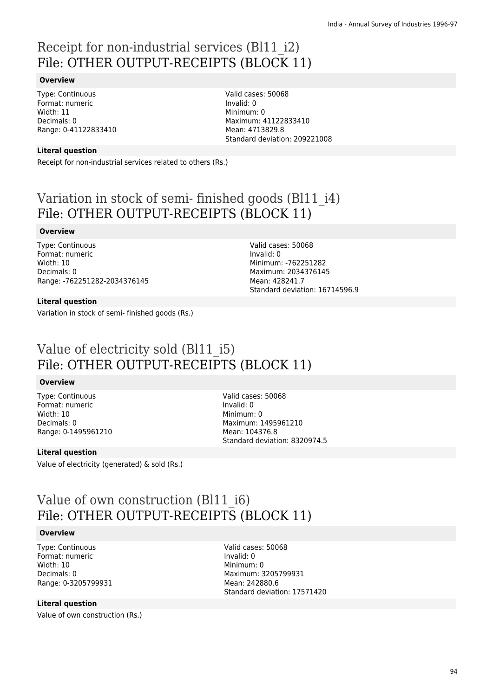# Receipt for non-industrial services (Bl11\_i2) File: OTHER OUTPUT-RECEIPTS (BLOCK 11)

#### **Overview**

Type: Continuous Format: numeric Width: 11 Decimals: 0 Range: 0-41122833410 Valid cases: 50068 Invalid: 0 Minimum: 0 Maximum: 41122833410 Mean: 4713829.8 Standard deviation: 209221008

#### **Literal question**

Receipt for non-industrial services related to others (Rs.)

# Variation in stock of semi- finished goods (Bl11\_i4) File: OTHER OUTPUT-RECEIPTS (BLOCK 11)

#### **Overview**

Type: Continuous Format: numeric Width: 10 Decimals: 0 Range: -762251282-2034376145

Valid cases: 50068 Invalid: 0 Minimum: -762251282 Maximum: 2034376145 Mean: 428241.7 Standard deviation: 16714596.9

#### **Literal question**

Variation in stock of semi- finished goods (Rs.)

## Value of electricity sold (Bl11\_i5) File: OTHER OUTPUT-RECEIPTS (BLOCK 11)

#### **Overview**

Type: Continuous Format: numeric Width: 10 Decimals: 0 Range: 0-1495961210 Valid cases: 50068 Invalid: 0 Minimum: 0 Maximum: 1495961210 Mean: 104376.8 Standard deviation: 8320974.5

#### **Literal question**

Value of electricity (generated) & sold (Rs.)

## Value of own construction (Bl11\_i6) File: OTHER OUTPUT-RECEIPTS (BLOCK 11)

#### **Overview**

Type: Continuous Format: numeric Width: 10 Decimals: 0 Range: 0-3205799931 Valid cases: 50068 Invalid: 0 Minimum: 0 Maximum: 3205799931 Mean: 242880.6 Standard deviation: 17571420

#### **Literal question**

Value of own construction (Rs.)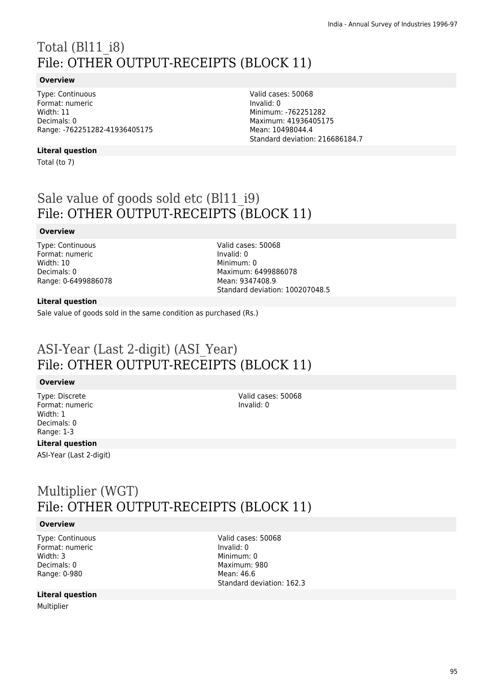# Total (Bl11\_i8) File: OTHER OUTPUT-RECEIPTS (BLOCK 11)

#### **Overview**

Type: Continuous Format: numeric Width: 11 Decimals: 0 Range: -762251282-41936405175

#### **Literal question**

Total (to 7)

Invalid: 0 Minimum: -762251282 Maximum: 41936405175 Mean: 10498044.4 Standard deviation: 216686184.7

Valid cases: 50068

# Sale value of goods sold etc (Bl11 i9) File: OTHER OUTPUT-RECEIPTS (BLOCK 11)

#### **Overview**

Type: Continuous Format: numeric Width: 10 Decimals: 0 Range: 0-6499886078 Valid cases: 50068 Invalid: 0 Minimum: 0 Maximum: 6499886078 Mean: 9347408.9 Standard deviation: 100207048.5

#### **Literal question**

Sale value of goods sold in the same condition as purchased (Rs.)

## ASI-Year (Last 2-digit) (ASI\_Year) File: OTHER OUTPUT-RECEIPTS (BLOCK 11)

#### **Overview**

Type: Discrete Format: numeric Width: 1 Decimals: 0 Range: 1-3

Valid cases: 50068 Invalid: 0

### **Literal question**

ASI-Year (Last 2-digit)

## Multiplier (WGT) File: OTHER OUTPUT-RECEIPTS (BLOCK 11)

#### **Overview**

Type: Continuous Format: numeric Width: 3 Decimals: 0 Range: 0-980

#### **Literal question**

Multiplier

Valid cases: 50068 Invalid: 0 Minimum: 0 Maximum: 980 Mean: 46.6 Standard deviation: 162.3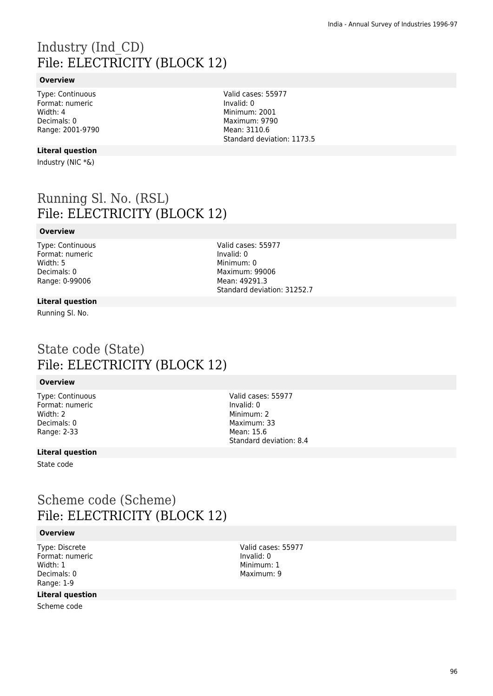# Industry (Ind\_CD) File: ELECTRICITY (BLOCK 12)

### **Overview**

Type: Continuous Format: numeric Width: 4 Decimals: 0 Range: 2001-9790

#### **Literal question**

Industry (NIC \*&)

## Running Sl. No. (RSL) File: ELECTRICITY (BLOCK 12)

#### **Overview**

Type: Continuous Format: numeric Width: 5 Decimals: 0 Range: 0-99006

Valid cases: 55977 Invalid: 0 Minimum: 0 Maximum: 99006 Mean: 49291.3 Standard deviation: 31252.7

#### **Literal question**

Running Sl. No.

### State code (State) File: ELECTRICITY (BLOCK 12)

#### **Overview**

Type: Continuous Format: numeric Width: 2 Decimals: 0 Range: 2-33

Valid cases: 55977 Invalid: 0 Minimum: 2 Maximum: 33 Mean: 15.6 Standard deviation: 8.4

#### **Literal question**

State code

## Scheme code (Scheme) File: ELECTRICITY (BLOCK 12)

### **Overview**

Type: Discrete Format: numeric Width: 1 Decimals: 0 Range: 1-9

### **Literal question**

Scheme code

Valid cases: 55977 Invalid: 0 Minimum: 1 Maximum: 9

Valid cases: 55977 Invalid: 0 Minimum: 2001 Maximum: 9790 Mean: 3110.6 Standard deviation: 1173.5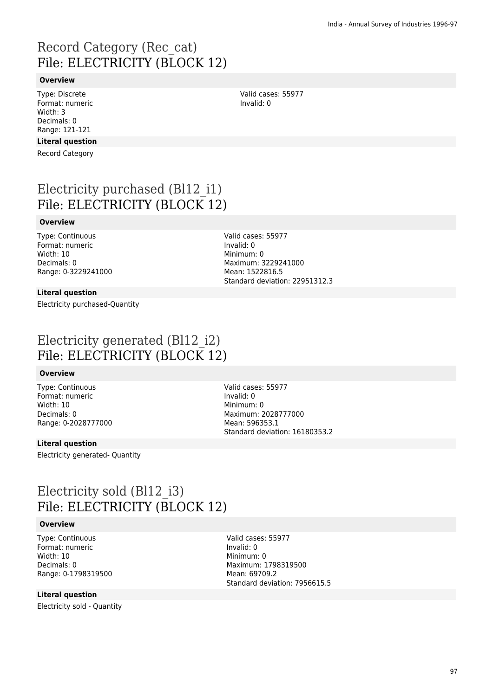# Record Category (Rec\_cat) File: ELECTRICITY (BLOCK 12)

#### **Overview**

Type: Discrete Format: numeric Width: 3 Decimals: 0 Range: 121-121

### **Literal question**

Record Category

# Electricity purchased (Bl12\_i1) File: ELECTRICITY (BLOCK 12)

#### **Overview**

Type: Continuous Format: numeric Width: 10 Decimals: 0 Range: 0-3229241000

#### **Literal question**

Electricity purchased-Quantity

Valid cases: 55977 Invalid: 0 Minimum: 0 Maximum: 3229241000 Mean: 1522816.5 Standard deviation: 22951312.3

Valid cases: 55977

Invalid: 0

## Electricity generated (Bl12\_i2) File: ELECTRICITY (BLOCK 12)

#### **Overview**

Type: Continuous Format: numeric Width: 10 Decimals: 0 Range: 0-2028777000 Valid cases: 55977 Invalid: 0 Minimum: 0 Maximum: 2028777000 Mean: 596353.1 Standard deviation: 16180353.2

#### **Literal question**

Electricity generated- Quantity

## Electricity sold (Bl12\_i3) File: ELECTRICITY (BLOCK 12)

#### **Overview**

Type: Continuous Format: numeric Width: 10 Decimals: 0 Range: 0-1798319500

### **Literal question**

Electricity sold - Quantity

Valid cases: 55977 Invalid: 0 Minimum: 0 Maximum: 1798319500 Mean: 69709.2 Standard deviation: 7956615.5

97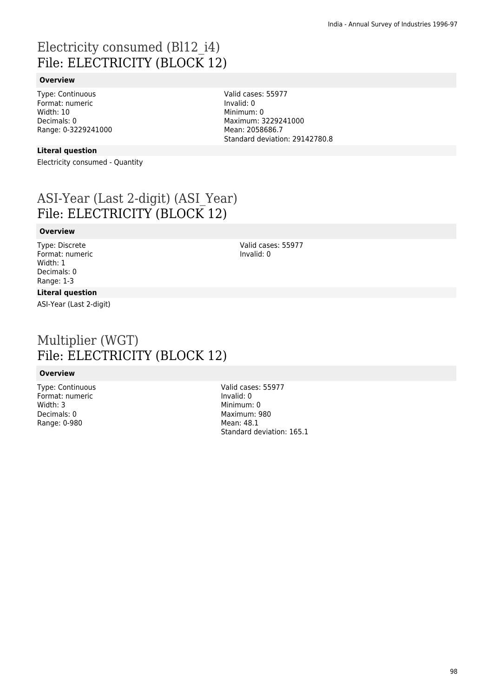# Electricity consumed (Bl12\_i4) File: ELECTRICITY (BLOCK 12)

### **Overview**

Type: Continuous Format: numeric Width: 10 Decimals: 0 Range: 0-3229241000

#### **Literal question**

Electricity consumed - Quantity

# ASI-Year (Last 2-digit) (ASI\_Year) File: ELECTRICITY (BLOCK 12)

#### **Overview**

Type: Discrete Format: numeric Width: 1 Decimals: 0 Range: 1-3

### **Literal question**

ASI-Year (Last 2-digit)

## Multiplier (WGT) File: ELECTRICITY (BLOCK 12)

#### **Overview**

Type: Continuous Format: numeric Width: 3 Decimals: 0 Range: 0-980

Valid cases: 55977 Invalid: 0 Minimum: 0 Maximum: 980 Mean: 48.1 Standard deviation: 165.1

Valid cases: 55977 Invalid: 0 Minimum: 0 Maximum: 3229241000 Mean: 2058686.7 Standard deviation: 29142780.8

> Valid cases: 55977 Invalid: 0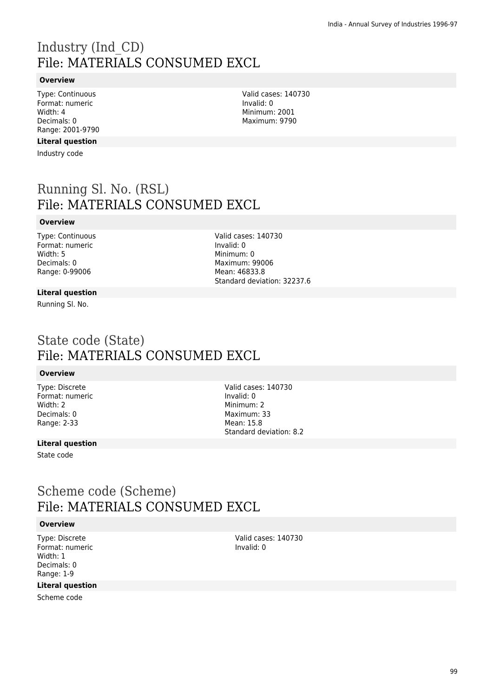# Industry (Ind\_CD) File: MATERIALS CONSUMED EXCL

#### **Overview**

Type: Continuous Format: numeric Width: 4 Decimals: 0 Range: 2001-9790

### **Literal question**

Industry code

## Running Sl. No. (RSL) File: MATERIALS CONSUMED EXCL

#### **Overview**

Type: Continuous Format: numeric Width: 5 Decimals: 0 Range: 0-99006

#### Valid cases: 140730 Invalid: 0 Minimum: 0 Maximum: 99006 Mean: 46833.8 Standard deviation: 32237.6

#### **Literal question**

Running Sl. No.

## State code (State) File: MATERIALS CONSUMED EXCL

#### **Overview**

Type: Discrete Format: numeric Width: 2 Decimals: 0 Range: 2-33

Valid cases: 140730 Invalid: 0 Minimum: 2 Maximum: 33 Mean: 15.8 Standard deviation: 8.2

### **Literal question**

State code

### Scheme code (Scheme) File: MATERIALS CONSUMED EXCL

#### **Overview**

Type: Discrete Format: numeric Width: 1 Decimals: 0 Range: 1-9

Valid cases: 140730 Invalid: 0

### **Literal question**

Scheme code

99

Valid cases: 140730 Invalid: 0 Minimum: 2001 Maximum: 9790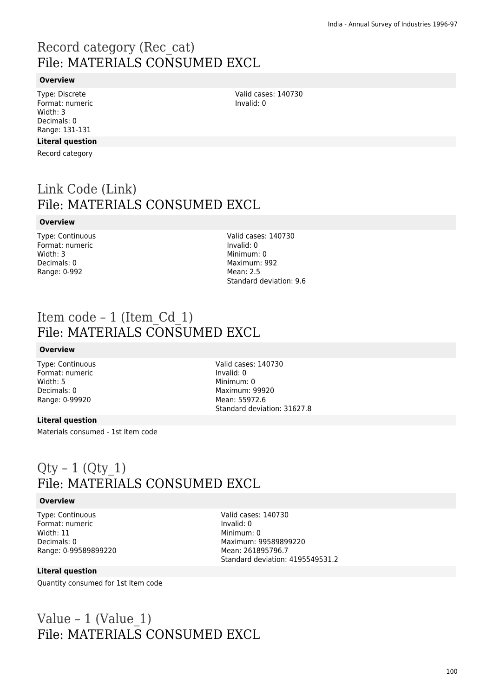# Record category (Rec\_cat) File: MATERIALS CONSUMED EXCL

#### **Overview**

Type: Discrete Format: numeric Width: 3 Decimals: 0 Range: 131-131

#### **Literal question**

Record category

## Link Code (Link) File: MATERIALS CONSUMED EXCL

#### **Overview**

Type: Continuous Format: numeric Width: 3 Decimals: 0 Range: 0-992

Valid cases: 140730 Invalid: 0 Minimum: 0 Maximum: 992 Mean: 2.5 Standard deviation: 9.6

Valid cases: 140730

Invalid: 0

### Item code – 1 (Item\_Cd\_1) File: MATERIALS CONSUMED EXCL

#### **Overview**

Type: Continuous Format: numeric Width: 5 Decimals: 0 Range: 0-99920

Valid cases: 140730 Invalid: 0 Minimum: 0 Maximum: 99920 Mean: 55972.6 Standard deviation: 31627.8

#### **Literal question**

Materials consumed - 1st Item code

### $Qty - 1$  ( $Qty$  1) File: MATERIALS CONSUMED EXCL

#### **Overview**

Type: Continuous Format: numeric Width: 11 Decimals: 0 Range: 0-99589899220 Valid cases: 140730 Invalid: 0 Minimum: 0 Maximum: 99589899220 Mean: 261895796.7 Standard deviation: 4195549531.2

#### **Literal question**

Quantity consumed for 1st Item code

## Value – 1 (Value  $1$ ) File: MATERIALS CONSUMED EXCL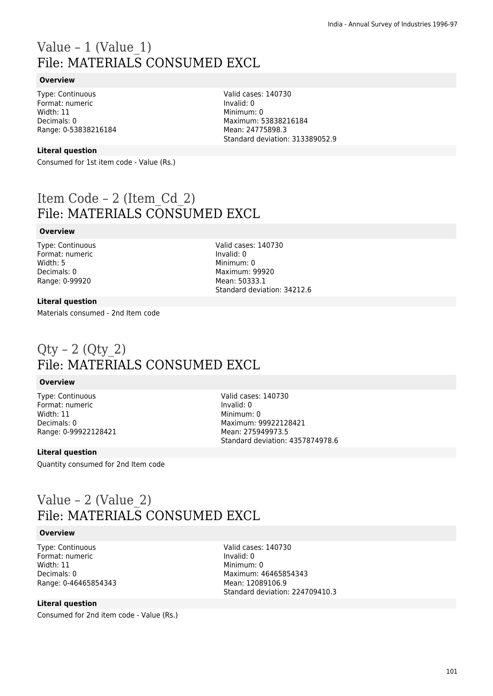# Value – 1 (Value  $1$ ) File: MATERIALS CONSUMED EXCL

#### **Overview**

Type: Continuous Format: numeric Width: 11 Decimals: 0 Range: 0-53838216184

### **Literal question**

Consumed for 1st item code - Value (Rs.)

Item Code – 2 (Item\_Cd\_2) File: MATERIALS CONSUMED EXCL

#### **Overview**

Type: Continuous Format: numeric Width: 5 Decimals: 0 Range: 0-99920

Valid cases: 140730 Invalid: 0 Minimum: 0 Maximum: 99920 Mean: 50333.1 Standard deviation: 34212.6

Valid cases: 140730

Maximum: 53838216184 Mean: 24775898.3

Standard deviation: 313389052.9

Invalid: 0 Minimum: 0

#### **Literal question**

Materials consumed - 2nd Item code

## $Qty - 2 (Qty 2)$ File: MATERIALS CONSUMED EXCL

#### **Overview**

Type: Continuous Format: numeric Width: 11 Decimals: 0 Range: 0-99922128421 Valid cases: 140730 Invalid: 0 Minimum: 0 Maximum: 99922128421 Mean: 275949973.5 Standard deviation: 4357874978.6

#### **Literal question**

Quantity consumed for 2nd Item code

## Value – 2 (Value\_2) File: MATERIALS CONSUMED EXCL

#### **Overview**

Type: Continuous Format: numeric Width: 11 Decimals: 0 Range: 0-46465854343

#### **Literal question**

Consumed for 2nd item code - Value (Rs.)

Valid cases: 140730 Invalid: 0 Minimum: 0 Maximum: 46465854343 Mean: 12089106.9 Standard deviation: 224709410.3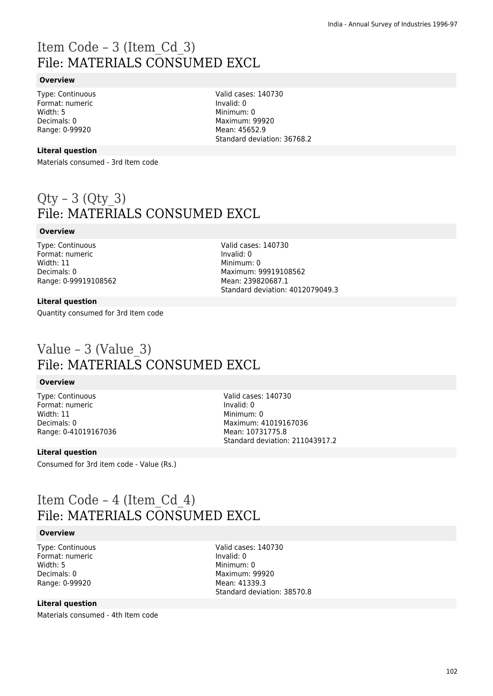# Item Code – 3 (Item\_Cd\_3) File: MATERIALS CONSUMED EXCL

#### **Overview**

Type: Continuous Format: numeric Width: 5 Decimals: 0 Range: 0-99920

Valid cases: 140730 Invalid: 0 Minimum: 0 Maximum: 99920 Mean: 45652.9 Standard deviation: 36768.2

#### **Literal question**

Materials consumed - 3rd Item code

# $Qty - 3 (Qty 3)$ File: MATERIALS CONSUMED EXCL

#### **Overview**

Type: Continuous Format: numeric Width: 11 Decimals: 0 Range: 0-99919108562

Valid cases: 140730 Invalid: 0 Minimum: 0 Maximum: 99919108562 Mean: 239820687.1 Standard deviation: 4012079049.3

#### **Literal question**

Quantity consumed for 3rd Item code

## Value – 3 (Value\_3) File: MATERIALS CONSUMED EXCL

#### **Overview**

Type: Continuous Format: numeric Width: 11 Decimals: 0 Range: 0-41019167036 Valid cases: 140730 Invalid: 0 Minimum: 0 Maximum: 41019167036 Mean: 10731775.8 Standard deviation: 211043917.2

#### **Literal question**

Consumed for 3rd item code - Value (Rs.)

### Item Code – 4 (Item\_Cd\_4) File: MATERIALS CONSUMED EXCL

#### **Overview**

Type: Continuous Format: numeric Width: 5 Decimals: 0 Range: 0-99920

Valid cases: 140730 Invalid: 0 Minimum: 0 Maximum: 99920 Mean: 41339.3 Standard deviation: 38570.8

#### **Literal question**

Materials consumed - 4th Item code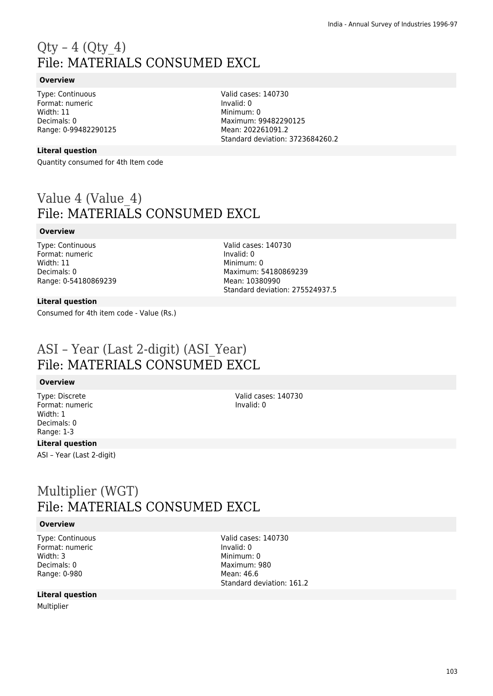# $Qty - 4$  ( $Qty 4$ ) File: MATERIALS CONSUMED EXCL

#### **Overview**

Type: Continuous Format: numeric Width: 11 Decimals: 0 Range: 0-99482290125

#### **Literal question**

Quantity consumed for 4th Item code

Value 4 (Value 4) File: MATERIALS CONSUMED EXCL

#### **Overview**

Type: Continuous Format: numeric Width: 11 Decimals: 0 Range: 0-54180869239

#### **Literal question**

Consumed for 4th item code - Value (Rs.)

Valid cases: 140730 Invalid: 0 Minimum: 0 Maximum: 54180869239 Mean: 10380990 Standard deviation: 275524937.5

## ASI – Year (Last 2-digit) (ASI\_Year) File: MATERIALS CONSUMED EXCL

#### **Overview**

Type: Discrete Format: numeric Width: 1 Decimals: 0 Range: 1-3

#### **Literal question**

ASI – Year (Last 2-digit)

## Multiplier (WGT) File: MATERIALS CONSUMED EXCL

#### **Overview**

Type: Continuous Format: numeric Width: 3 Decimals: 0 Range: 0-980

#### **Literal question**

Multiplier

Valid cases: 140730 Invalid: 0

Valid cases: 140730 Invalid: 0 Minimum: 0 Maximum: 99482290125 Mean: 202261091.2 Standard deviation: 3723684260.2

Valid cases: 140730 Invalid: 0 Minimum: 0 Maximum: 980 Mean: 46.6 Standard deviation: 161.2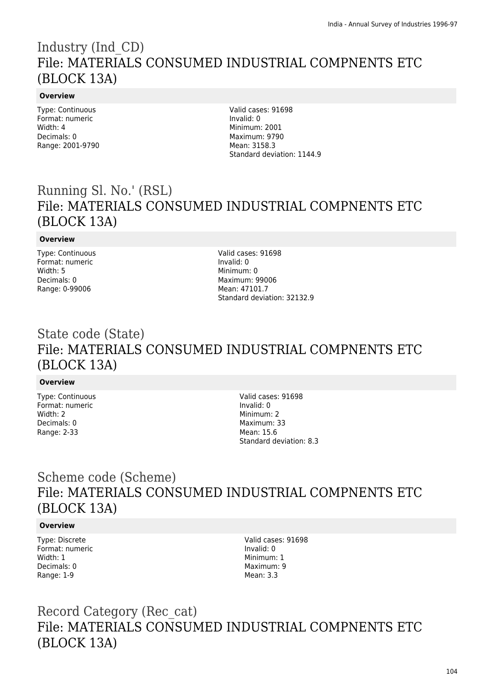## Industry (Ind\_CD) File: MATERIALS CONSUMED INDUSTRIAL COMPNENTS ETC (BLOCK 13A)

### **Overview**

Type: Continuous Format: numeric Width: 4 Decimals: 0 Range: 2001-9790

Valid cases: 91698 Invalid: 0 Minimum: 2001 Maximum: 9790 Mean: 3158.3 Standard deviation: 1144.9

## Running Sl. No.' (RSL) File: MATERIALS CONSUMED INDUSTRIAL COMPNENTS ETC (BLOCK 13A)

### **Overview**

Type: Continuous Format: numeric Width: 5 Decimals: 0 Range: 0-99006

Valid cases: 91698 Invalid: 0 Minimum: 0 Maximum: 99006 Mean: 47101.7 Standard deviation: 32132.9

## State code (State) File: MATERIALS CONSUMED INDUSTRIAL COMPNENTS ETC (BLOCK 13A)

### **Overview**

Type: Continuous Format: numeric Width: 2 Decimals: 0 Range: 2-33

Valid cases: 91698 Invalid: 0 Minimum: 2 Maximum: 33 Mean: 15.6 Standard deviation: 8.3

# Scheme code (Scheme) File: MATERIALS CONSUMED INDUSTRIAL COMPNENTS ETC (BLOCK 13A)

### **Overview**

Type: Discrete Format: numeric Width: 1 Decimals: 0 Range: 1-9

Valid cases: 91698 Invalid: 0 Minimum: 1 Maximum: 9 Mean: 3.3

# Record Category (Rec\_cat) File: MATERIALS CONSUMED INDUSTRIAL COMPNENTS ETC (BLOCK 13A)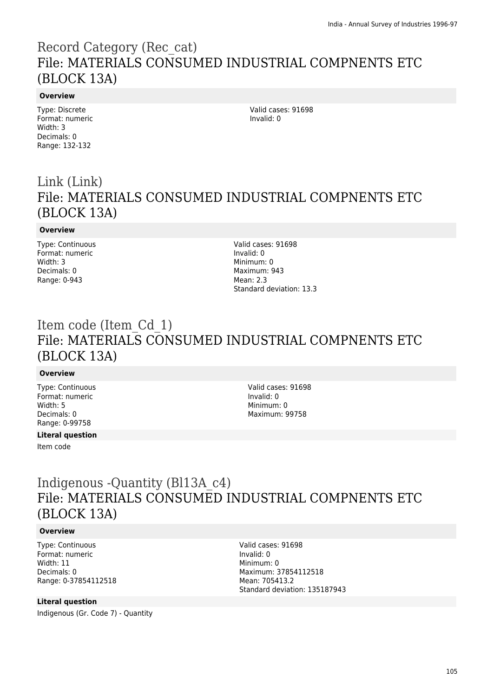## Record Category (Rec\_cat) File: MATERIALS CONSUMED INDUSTRIAL COMPNENTS ETC (BLOCK 13A)

#### **Overview**

Type: Discrete Format: numeric Width: 3 Decimals: 0 Range: 132-132

Valid cases: 91698 Invalid: 0

# Link (Link) File: MATERIALS CONSUMED INDUSTRIAL COMPNENTS ETC (BLOCK 13A)

#### **Overview**

Type: Continuous Format: numeric Width: 3 Decimals: 0 Range: 0-943

Valid cases: 91698 Invalid: 0 Minimum: 0 Maximum: 943 Mean: 2.3 Standard deviation: 13.3

# Item code (Item\_Cd\_1) File: MATERIALS CONSUMED INDUSTRIAL COMPNENTS ETC (BLOCK 13A)

### **Overview**

Type: Continuous Format: numeric Width: 5 Decimals: 0 Range: 0-99758

#### **Literal question**

Item code

Valid cases: 91698 Invalid: 0 Minimum: 0 Maximum: 99758

# Indigenous -Quantity (Bl13A\_c4) File: MATERIALS CONSUMED INDUSTRIAL COMPNENTS ETC (BLOCK 13A)

#### **Overview**

Type: Continuous Format: numeric Width: 11 Decimals: 0 Range: 0-37854112518

#### **Literal question**

Indigenous (Gr. Code 7) - Quantity

Valid cases: 91698 Invalid: 0 Minimum: 0 Maximum: 37854112518 Mean: 705413.2 Standard deviation: 135187943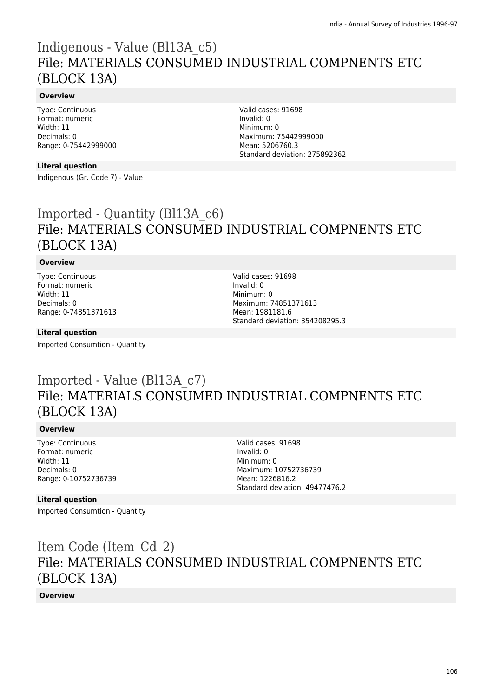## Indigenous - Value (Bl13A\_c5) File: MATERIALS CONSUMED INDUSTRIAL COMPNENTS ETC (BLOCK 13A)

### **Overview**

Type: Continuous Format: numeric Width: 11 Decimals: 0 Range: 0-75442999000

#### **Literal question**

Indigenous (Gr. Code 7) - Value

Valid cases: 91698 Invalid: 0 Minimum: 0 Maximum: 75442999000 Mean: 5206760.3 Standard deviation: 275892362

# Imported - Quantity (Bl13A\_c6) File: MATERIALS CONSUMED INDUSTRIAL COMPNENTS ETC (BLOCK 13A)

### **Overview**

Type: Continuous Format: numeric Width: 11 Decimals: 0 Range: 0-74851371613 Valid cases: 91698 Invalid: 0 Minimum: 0 Maximum: 74851371613 Mean: 1981181.6 Standard deviation: 354208295.3

#### **Literal question**

Imported Consumtion - Quantity

## Imported - Value (Bl13A\_c7) File: MATERIALS CONSUMED INDUSTRIAL COMPNENTS ETC (BLOCK 13A)

### **Overview**

Type: Continuous Format: numeric Width: 11 Decimals: 0 Range: 0-10752736739 Valid cases: 91698 Invalid: 0 Minimum: 0 Maximum: 10752736739 Mean: 1226816.2 Standard deviation: 49477476.2

#### **Literal question**

Imported Consumtion - Quantity

Item Code (Item\_Cd\_2) File: MATERIALS CONSUMED INDUSTRIAL COMPNENTS ETC (BLOCK 13A)

**Overview**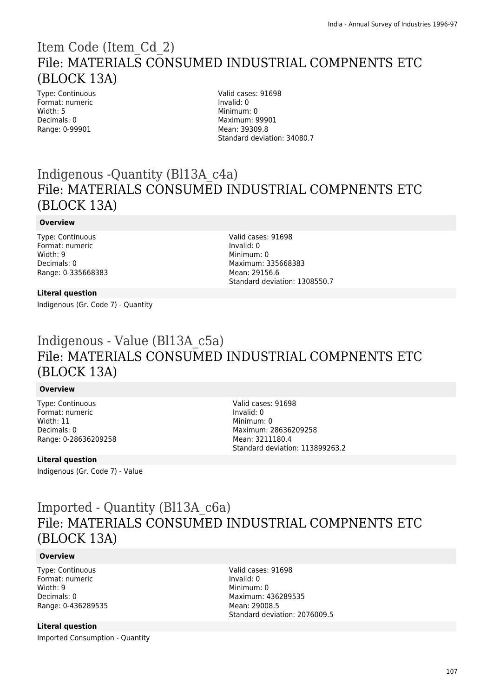## Item Code (Item\_Cd\_2) File: MATERIALS CONSUMED INDUSTRIAL COMPNENTS ETC (BLOCK 13A)

Type: Continuous Format: numeric Width: 5 Decimals: 0 Range: 0-99901

Valid cases: 91698 Invalid: 0 Minimum: 0 Maximum: 99901 Mean: 39309.8 Standard deviation: 34080.7

# Indigenous -Quantity (Bl13A\_c4a) File: MATERIALS CONSUMED INDUSTRIAL COMPNENTS ETC (BLOCK 13A)

#### **Overview**

Type: Continuous Format: numeric Width: 9 Decimals: 0 Range: 0-335668383

#### Valid cases: 91698 Invalid: 0 Minimum: 0 Maximum: 335668383 Mean: 29156.6 Standard deviation: 1308550.7

### **Literal question**

Indigenous (Gr. Code 7) - Quantity

## Indigenous - Value (Bl13A\_c5a) File: MATERIALS CONSUMED INDUSTRIAL COMPNENTS ETC (BLOCK 13A)

### **Overview**

Type: Continuous Format: numeric Width: 11 Decimals: 0 Range: 0-28636209258 Valid cases: 91698 Invalid: 0 Minimum: 0 Maximum: 28636209258 Mean: 3211180.4 Standard deviation: 113899263.2

### **Literal question**

Indigenous (Gr. Code 7) - Value

# Imported - Quantity (Bl13A\_c6a) File: MATERIALS CONSUMED INDUSTRIAL COMPNENTS ETC (BLOCK 13A)

#### **Overview**

Type: Continuous Format: numeric Width: 9 Decimals: 0 Range: 0-436289535

### **Literal question**

Imported Consumption - Quantity

Valid cases: 91698 Invalid: 0 Minimum: 0 Maximum: 436289535 Mean: 29008.5 Standard deviation: 2076009.5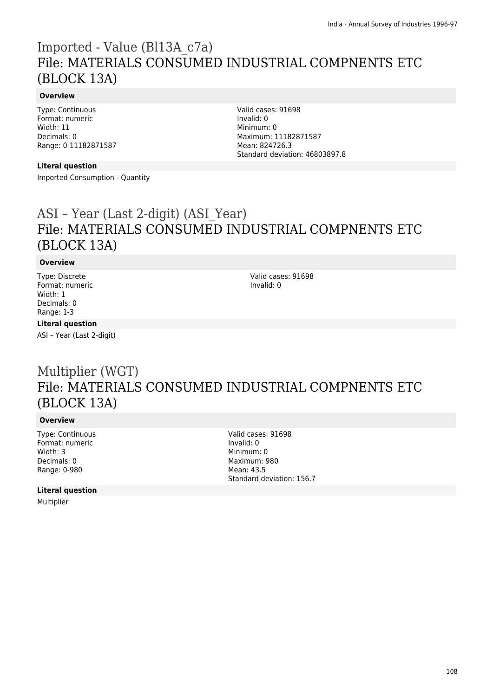## Imported - Value (Bl13A\_c7a) File: MATERIALS CONSUMED INDUSTRIAL COMPNENTS ETC (BLOCK 13A)

### **Overview**

Type: Continuous Format: numeric Width: 11 Decimals: 0 Range: 0-11182871587

#### **Literal question**

Imported Consumption - Quantity

Valid cases: 91698 Invalid: 0 Minimum: 0 Maximum: 11182871587 Mean: 824726.3 Standard deviation: 46803897.8

# ASI – Year (Last 2-digit) (ASI\_Year) File: MATERIALS CONSUMED INDUSTRIAL COMPNENTS ETC (BLOCK 13A)

### **Overview**

Type: Discrete Format: numeric Width: 1 Decimals: 0 Range: 1-3

Valid cases: 91698 Invalid: 0

### **Literal question**

ASI – Year (Last 2-digit)

## Multiplier (WGT) File: MATERIALS CONSUMED INDUSTRIAL COMPNENTS ETC (BLOCK 13A)

### **Overview**

Type: Continuous Format: numeric Width: 3 Decimals: 0 Range: 0-980

Valid cases: 91698 Invalid: 0 Minimum: 0 Maximum: 980 Mean: 43.5 Standard deviation: 156.7

#### **Literal question**

Multiplier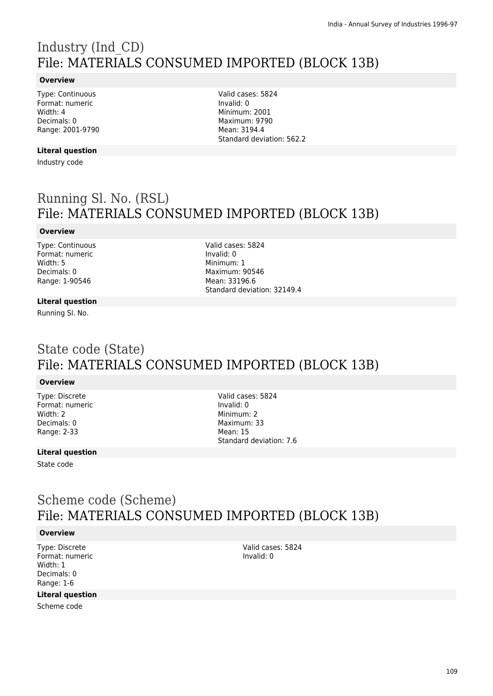# Industry (Ind\_CD) File: MATERIALS CONSUMED IMPORTED (BLOCK 13B)

#### **Overview**

Type: Continuous Format: numeric Width: 4 Decimals: 0 Range: 2001-9790

#### **Literal question**

Industry code

Valid cases: 5824 Invalid: 0 Minimum: 2001 Maximum: 9790 Mean: 3194.4 Standard deviation: 562.2

## Running Sl. No. (RSL) File: MATERIALS CONSUMED IMPORTED (BLOCK 13B)

#### **Overview**

Type: Continuous Format: numeric Width: 5 Decimals: 0 Range: 1-90546

Valid cases: 5824 Invalid: 0 Minimum: 1 Maximum: 90546 Mean: 33196.6 Standard deviation: 32149.4

#### **Literal question**

Running Sl. No.

### State code (State) File: MATERIALS CONSUMED IMPORTED (BLOCK 13B)

#### **Overview**

Type: Discrete Format: numeric Width: 2 Decimals: 0 Range: 2-33

Valid cases: 5824 Invalid: 0 Minimum: 2 Maximum: 33 Mean: 15 Standard deviation: 7.6

#### **Literal question**

State code

### Scheme code (Scheme) File: MATERIALS CONSUMED IMPORTED (BLOCK 13B)

#### **Overview**

Type: Discrete Format: numeric Width: 1 Decimals: 0 Range: 1-6

#### **Literal question**

Scheme code

Valid cases: 5824 Invalid: 0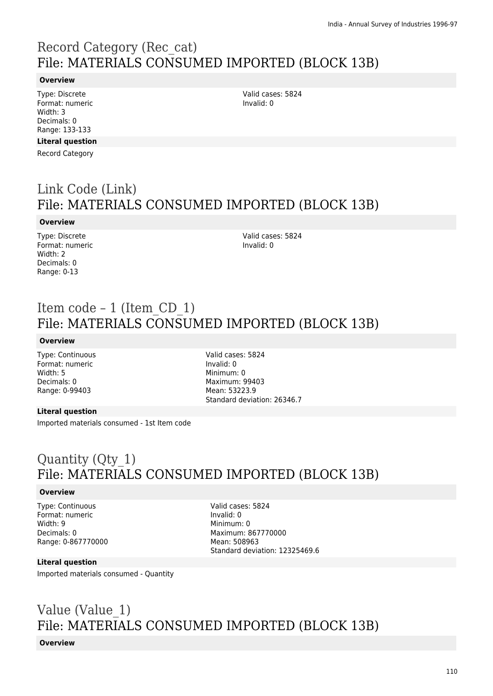# Record Category (Rec\_cat) File: MATERIALS CONSUMED IMPORTED (BLOCK 13B)

#### **Overview**

Type: Discrete Format: numeric Width: 3 Decimals: 0 Range: 133-133

#### **Literal question**

Record Category

## Link Code (Link) File: MATERIALS CONSUMED IMPORTED (BLOCK 13B)

#### **Overview**

Type: Discrete Format: numeric Width: 2 Decimals: 0 Range: 0-13

Valid cases: 5824 Invalid: 0

# Item code – 1 (Item\_CD\_1) File: MATERIALS CONSUMED IMPORTED (BLOCK 13B)

#### **Overview**

Type: Continuous Format: numeric Width: 5 Decimals: 0 Range: 0-99403

Valid cases: 5824 Invalid: 0 Minimum: 0 Maximum: 99403 Mean: 53223.9 Standard deviation: 26346.7

#### **Literal question**

Imported materials consumed - 1st Item code

## Quantity (Qty\_1) File: MATERIALS CONSUMED IMPORTED (BLOCK 13B)

#### **Overview**

Type: Continuous Format: numeric Width: 9 Decimals: 0 Range: 0-867770000 Valid cases: 5824 Invalid: 0 Minimum: 0 Maximum: 867770000 Mean: 508963 Standard deviation: 12325469.6

#### **Literal question**

Imported materials consumed - Quantity

## Value (Value\_1) File: MATERIALS CONSUMED IMPORTED (BLOCK 13B)

#### **Overview**

Valid cases: 5824 Invalid: 0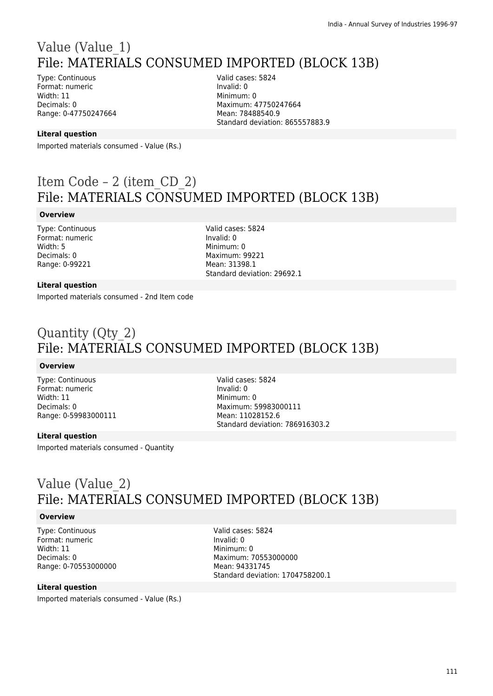## Value (Value\_1) File: MATERIALS CONSUMED IMPORTED (BLOCK 13B)

Type: Continuous Format: numeric Width: 11 Decimals: 0 Range: 0-47750247664 Valid cases: 5824 Invalid: 0 Minimum: 0 Maximum: 47750247664 Mean: 78488540.9 Standard deviation: 865557883.9

#### **Literal question**

Imported materials consumed - Value (Rs.)

## Item Code – 2 (item\_CD\_2) File: MATERIALS CONSUMED IMPORTED (BLOCK 13B)

#### **Overview**

Type: Continuous Format: numeric Width: 5 Decimals: 0 Range: 0-99221

Valid cases: 5824 Invalid: 0 Minimum: 0 Maximum: 99221 Mean: 31398.1 Standard deviation: 29692.1

#### **Literal question**

Imported materials consumed - 2nd Item code

## Quantity (Qty\_2) File: MATERIALS CONSUMED IMPORTED (BLOCK 13B)

#### **Overview**

Type: Continuous Format: numeric Width: 11 Decimals: 0 Range: 0-59983000111

Valid cases: 5824 Invalid: 0 Minimum: 0 Maximum: 59983000111 Mean: 11028152.6 Standard deviation: 786916303.2

#### **Literal question**

Imported materials consumed - Quantity

### Value (Value\_2) File: MATERIALS CONSUMED IMPORTED (BLOCK 13B)

#### **Overview**

Type: Continuous Format: numeric Width: 11 Decimals: 0 Range: 0-70553000000

Valid cases: 5824 Invalid: 0 Minimum: 0 Maximum: 70553000000 Mean: 94331745 Standard deviation: 1704758200.1

#### **Literal question**

Imported materials consumed - Value (Rs.)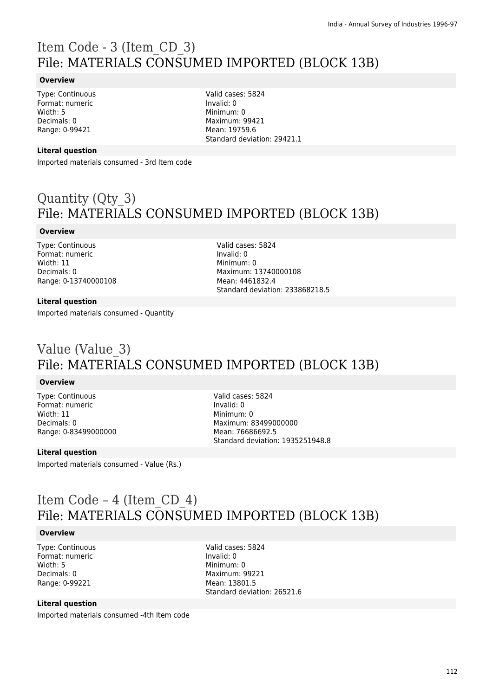# Item Code - 3 (Item\_CD\_3) File: MATERIALS CONSUMED IMPORTED (BLOCK 13B)

#### **Overview**

Type: Continuous Format: numeric Width: 5 Decimals: 0 Range: 0-99421

Valid cases: 5824 Invalid: 0 Minimum: 0 Maximum: 99421 Mean: 19759.6 Standard deviation: 29421.1

#### **Literal question**

Imported materials consumed - 3rd Item code

## Quantity (Qty\_3) File: MATERIALS CONSUMED IMPORTED (BLOCK 13B)

#### **Overview**

Type: Continuous Format: numeric Width: 11 Decimals: 0 Range: 0-13740000108 Valid cases: 5824 Invalid: 0 Minimum: 0 Maximum: 13740000108 Mean: 4461832.4 Standard deviation: 233868218.5

#### **Literal question**

Imported materials consumed - Quantity

## Value (Value\_3) File: MATERIALS CONSUMED IMPORTED (BLOCK 13B)

#### **Overview**

Type: Continuous Format: numeric Width: 11 Decimals: 0 Range: 0-83499000000 Valid cases: 5824 Invalid: 0 Minimum: 0 Maximum: 83499000000 Mean: 76686692.5 Standard deviation: 1935251948.8

#### **Literal question**

Imported materials consumed - Value (Rs.)

## Item Code – 4 (Item\_CD\_4) File: MATERIALS CONSUMED IMPORTED (BLOCK 13B)

#### **Overview**

Type: Continuous Format: numeric Width: 5 Decimals: 0 Range: 0-99221

Valid cases: 5824 Invalid: 0 Minimum: 0 Maximum: 99221 Mean: 13801.5 Standard deviation: 26521.6

#### **Literal question**

Imported materials consumed -4th Item code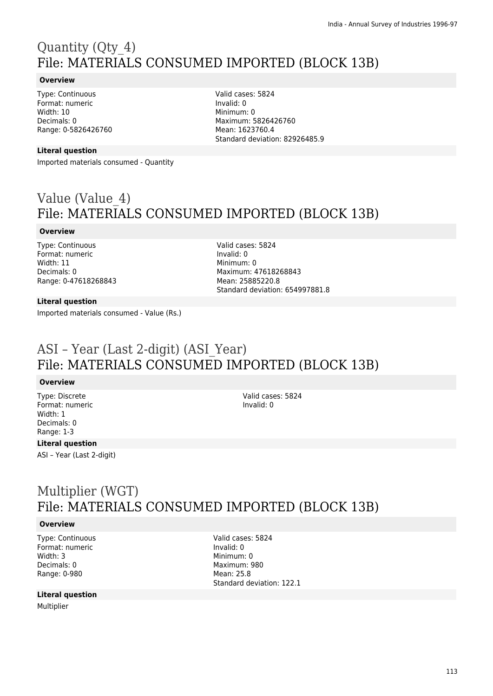# Quantity (Qty\_4) File: MATERIALS CONSUMED IMPORTED (BLOCK 13B)

#### **Overview**

Type: Continuous Format: numeric Width: 10 Decimals: 0 Range: 0-5826426760

#### **Literal question**

Imported materials consumed - Quantity

Valid cases: 5824 Invalid: 0 Minimum: 0 Maximum: 5826426760 Mean: 1623760.4 Standard deviation: 82926485.9

## Value (Value\_4) File: MATERIALS CONSUMED IMPORTED (BLOCK 13B)

#### **Overview**

Type: Continuous Format: numeric Width: 11 Decimals: 0 Range: 0-47618268843 Valid cases: 5824 Invalid: 0 Minimum: 0 Maximum: 47618268843 Mean: 25885220.8 Standard deviation: 654997881.8

#### **Literal question**

Imported materials consumed - Value (Rs.)

### ASI – Year (Last 2-digit) (ASI\_Year) File: MATERIALS CONSUMED IMPORTED (BLOCK 13B)

#### **Overview**

Type: Discrete Format: numeric Width: 1 Decimals: 0 Range: 1-3

Valid cases: 5824 Invalid: 0

#### **Literal question**

ASI – Year (Last 2-digit)

## Multiplier (WGT) File: MATERIALS CONSUMED IMPORTED (BLOCK 13B)

#### **Overview**

Type: Continuous Format: numeric Width: 3 Decimals: 0 Range: 0-980

#### **Literal question**

Multiplier

Valid cases: 5824 Invalid: 0 Minimum: 0 Maximum: 980 Mean: 25.8 Standard deviation: 122.1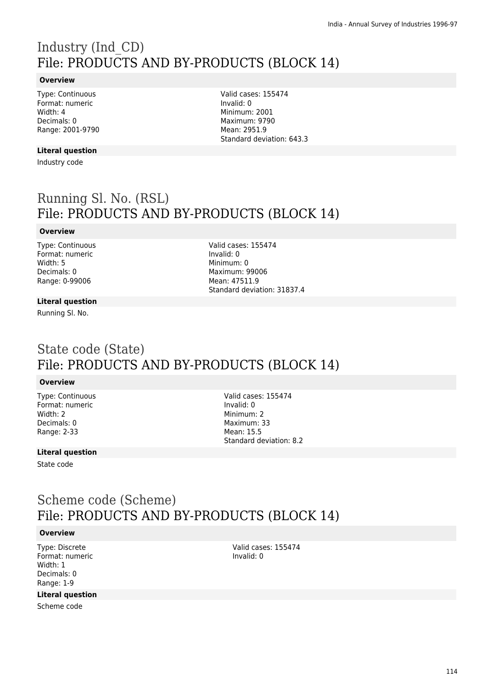# Industry (Ind\_CD) File: PRODUCTS AND BY-PRODUCTS (BLOCK 14)

#### **Overview**

Type: Continuous Format: numeric Width: 4 Decimals: 0 Range: 2001-9790

#### **Literal question**

Industry code

Valid cases: 155474 Invalid: 0 Minimum: 2001 Maximum: 9790 Mean: 2951.9 Standard deviation: 643.3

## Running Sl. No. (RSL) File: PRODUCTS AND BY-PRODUCTS (BLOCK 14)

#### **Overview**

Type: Continuous Format: numeric Width: 5 Decimals: 0 Range: 0-99006

Valid cases: 155474 Invalid: 0 Minimum: 0 Maximum: 99006 Mean: 47511.9 Standard deviation: 31837.4

#### **Literal question**

Running Sl. No.

### State code (State) File: PRODUCTS AND BY-PRODUCTS (BLOCK 14)

#### **Overview**

Type: Continuous Format: numeric Width: 2 Decimals: 0 Range: 2-33

Valid cases: 155474 Invalid: 0 Minimum: 2 Maximum: 33 Mean: 15.5 Standard deviation: 8.2

#### **Literal question**

State code

### Scheme code (Scheme) File: PRODUCTS AND BY-PRODUCTS (BLOCK 14)

#### **Overview**

Type: Discrete Format: numeric Width: 1 Decimals: 0 Range: 1-9

#### **Literal question**

Scheme code

Valid cases: 155474 Invalid: 0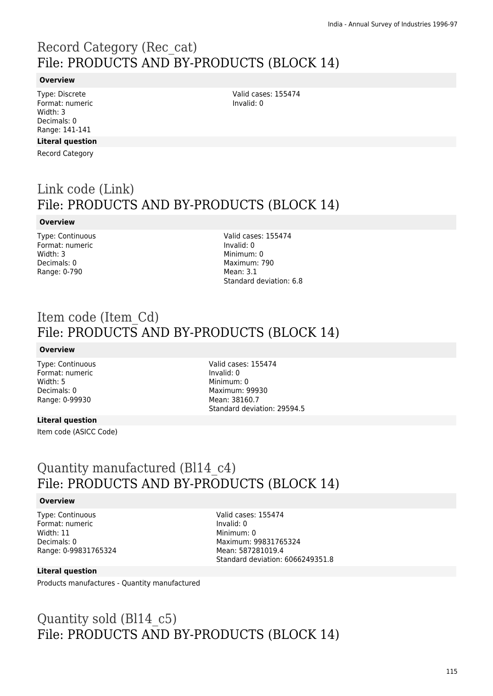## Record Category (Rec\_cat) File: PRODUCTS AND BY-PRODUCTS (BLOCK 14)

#### **Overview**

Type: Discrete Format: numeric Width: 3 Decimals: 0 Range: 141-141

#### **Literal question**

Record Category

## Link code (Link) File: PRODUCTS AND BY-PRODUCTS (BLOCK 14)

#### **Overview**

Type: Continuous Format: numeric Width: 3 Decimals: 0 Range: 0-790

Valid cases: 155474 Invalid: 0 Minimum: 0 Maximum: 790 Mean: 3.1 Standard deviation: 6.8

Valid cases: 155474

Invalid: 0

### Item code (Item\_Cd) File: PRODUCTS AND BY-PRODUCTS (BLOCK 14)

#### **Overview**

Type: Continuous Format: numeric Width: 5 Decimals: 0 Range: 0-99930

Valid cases: 155474 Invalid: 0 Minimum: 0 Maximum: 99930 Mean: 38160.7 Standard deviation: 29594.5

#### **Literal question**

Item code (ASICC Code)

### Quantity manufactured (Bl14\_c4) File: PRODUCTS AND BY-PRODUCTS (BLOCK 14)

#### **Overview**

Type: Continuous Format: numeric Width: 11 Decimals: 0 Range: 0-99831765324 Valid cases: 155474 Invalid: 0 Minimum: 0 Maximum: 99831765324 Mean: 587281019.4 Standard deviation: 6066249351.8

#### **Literal question**

Products manufactures - Quantity manufactured

## Quantity sold (Bl14\_c5) File: PRODUCTS AND BY-PRODUCTS (BLOCK 14)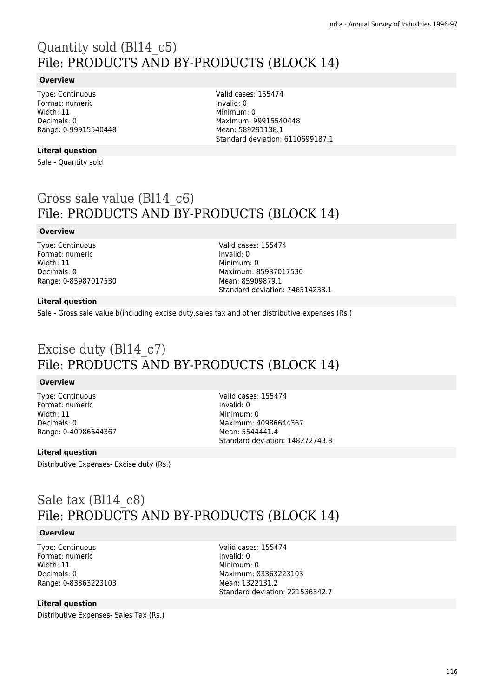# Quantity sold (Bl14\_c5) File: PRODUCTS AND BY-PRODUCTS (BLOCK 14)

#### **Overview**

Type: Continuous Format: numeric Width: 11 Decimals: 0 Range: 0-99915540448

#### **Literal question**

Sale - Quantity sold

Valid cases: 155474 Invalid: 0 Minimum: 0 Maximum: 99915540448 Mean: 589291138.1 Standard deviation: 6110699187.1

## Gross sale value (Bl14\_c6) File: PRODUCTS AND BY-PRODUCTS (BLOCK 14)

#### **Overview**

Type: Continuous Format: numeric Width: 11 Decimals: 0 Range: 0-85987017530 Valid cases: 155474 Invalid: 0 Minimum: 0 Maximum: 85987017530 Mean: 85909879.1 Standard deviation: 746514238.1

#### **Literal question**

Sale - Gross sale value b(including excise duty,sales tax and other distributive expenses (Rs.)

## Excise duty (Bl14\_c7) File: PRODUCTS AND BY-PRODUCTS (BLOCK 14)

#### **Overview**

Type: Continuous Format: numeric Width: 11 Decimals: 0 Range: 0-40986644367 Valid cases: 155474 Invalid: 0 Minimum: 0 Maximum: 40986644367 Mean: 5544441.4 Standard deviation: 148272743.8

#### **Literal question**

Distributive Expenses- Excise duty (Rs.)

### Sale tax (Bl14\_c8) File: PRODUCTS AND BY-PRODUCTS (BLOCK 14)

#### **Overview**

Type: Continuous Format: numeric Width: 11 Decimals: 0 Range: 0-83363223103

#### **Literal question**

Distributive Expenses- Sales Tax (Rs.)

Valid cases: 155474 Invalid: 0 Minimum: 0 Maximum: 83363223103 Mean: 1322131.2 Standard deviation: 221536342.7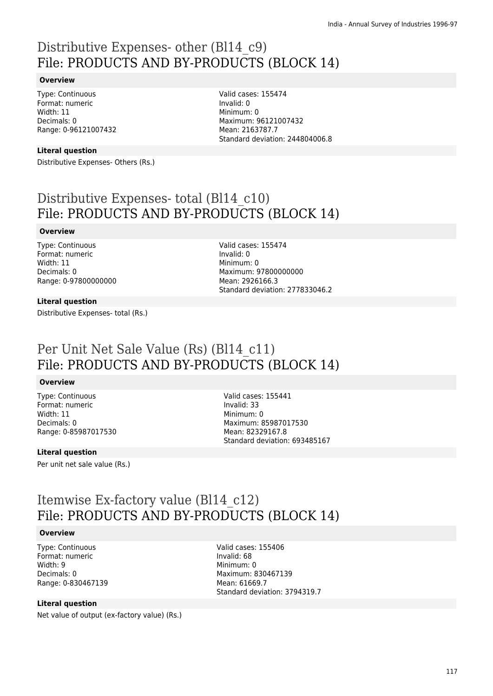## Distributive Expenses- other (Bl14\_c9) File: PRODUCTS AND BY-PRODUCTS (BLOCK 14)

#### **Overview**

Type: Continuous Format: numeric Width: 11 Decimals: 0 Range: 0-96121007432

#### **Literal question**

Distributive Expenses- Others (Rs.)

Valid cases: 155474 Invalid: 0 Minimum: 0 Maximum: 96121007432 Mean: 2163787.7 Standard deviation: 244804006.8

## Distributive Expenses- total (Bl14\_c10) File: PRODUCTS AND BY-PRODUCTS (BLOCK 14)

#### **Overview**

Type: Continuous Format: numeric Width: 11 Decimals: 0 Range: 0-97800000000 Valid cases: 155474 Invalid: 0 Minimum: 0 Maximum: 97800000000 Mean: 2926166.3 Standard deviation: 277833046.2

#### **Literal question**

Distributive Expenses- total (Rs.)

## Per Unit Net Sale Value (Rs) (Bl14\_c11) File: PRODUCTS AND BY-PRODUCTS (BLOCK 14)

#### **Overview**

Type: Continuous Format: numeric Width: 11 Decimals: 0 Range: 0-85987017530

#### **Literal question**

Per unit net sale value (Rs.)

Valid cases: 155441 Invalid: 33 Minimum: 0 Maximum: 85987017530 Mean: 82329167.8 Standard deviation: 693485167

### Itemwise Ex-factory value (Bl14\_c12) File: PRODUCTS AND BY-PRODUCTS (BLOCK 14)

#### **Overview**

Type: Continuous Format: numeric Width: 9 Decimals: 0 Range: 0-830467139 Valid cases: 155406 Invalid: 68 Minimum: 0 Maximum: 830467139 Mean: 61669.7 Standard deviation: 3794319.7

#### **Literal question**

Net value of output (ex-factory value) (Rs.)

117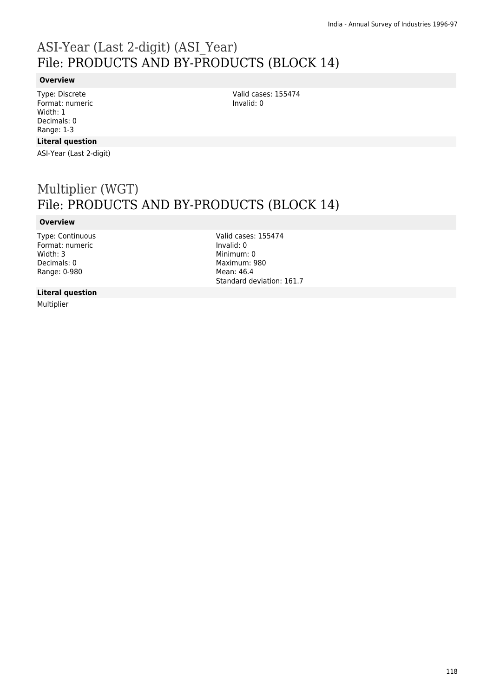## ASI-Year (Last 2-digit) (ASI\_Year) File: PRODUCTS AND BY-PRODUCTS (BLOCK 14)

#### **Overview**

Type: Discrete Format: numeric Width: 1 Decimals: 0 Range: 1-3

#### **Literal question**

ASI-Year (Last 2-digit)

## Multiplier (WGT) File: PRODUCTS AND BY-PRODUCTS (BLOCK 14)

#### **Overview**

Type: Continuous Format: numeric Width: 3 Decimals: 0 Range: 0-980

Valid cases: 155474 Invalid: 0 Minimum: 0 Maximum: 980 Mean: 46.4 Standard deviation: 161.7

Valid cases: 155474

Invalid: 0

#### **Literal question**

Multiplier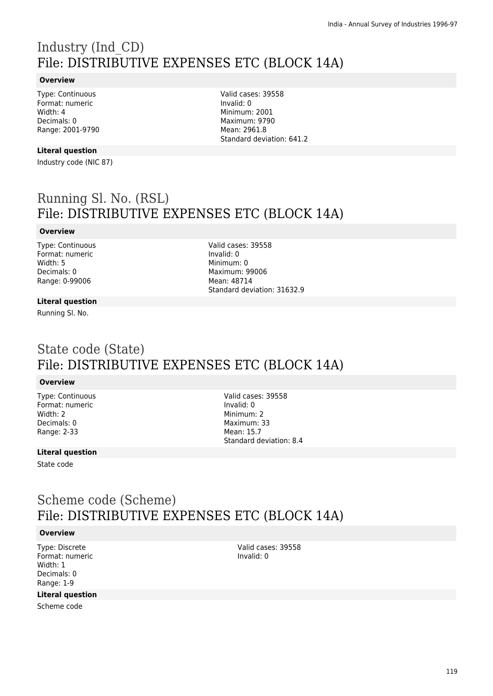# Industry (Ind\_CD) File: DISTRIBUTIVE EXPENSES ETC (BLOCK 14A)

#### **Overview**

Type: Continuous Format: numeric Width: 4 Decimals: 0 Range: 2001-9790

#### **Literal question**

Industry code (NIC 87)

Valid cases: 39558 Invalid: 0 Minimum: 2001 Maximum: 9790 Mean: 2961.8 Standard deviation: 641.2

## Running Sl. No. (RSL) File: DISTRIBUTIVE EXPENSES ETC (BLOCK 14A)

#### **Overview**

Type: Continuous Format: numeric Width: 5 Decimals: 0 Range: 0-99006

Valid cases: 39558 Invalid: 0 Minimum: 0 Maximum: 99006 Mean: 48714 Standard deviation: 31632.9

#### **Literal question**

Running Sl. No.

### State code (State) File: DISTRIBUTIVE EXPENSES ETC (BLOCK 14A)

#### **Overview**

Type: Continuous Format: numeric Width: 2 Decimals: 0 Range: 2-33

Valid cases: 39558 Invalid: 0 Minimum: 2 Maximum: 33 Mean: 15.7 Standard deviation: 8.4

#### **Literal question**

State code

### Scheme code (Scheme) File: DISTRIBUTIVE EXPENSES ETC (BLOCK 14A)

#### **Overview**

Type: Discrete Format: numeric Width: 1 Decimals: 0 Range: 1-9

#### **Literal question**

Scheme code

Valid cases: 39558 Invalid: 0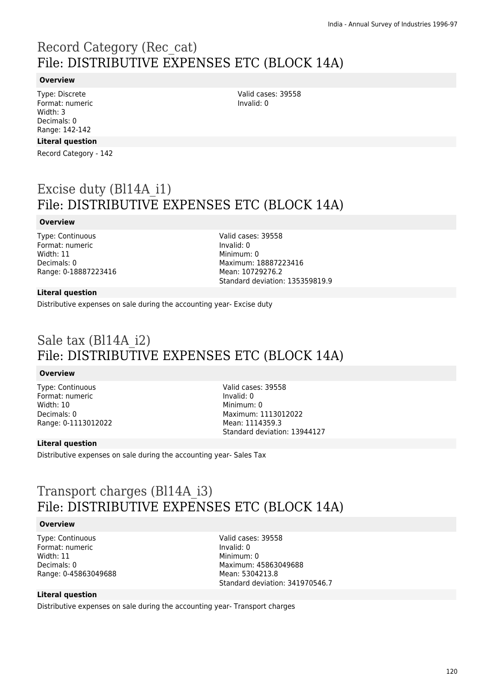## Record Category (Rec\_cat) File: DISTRIBUTIVE EXPENSES ETC (BLOCK 14A)

#### **Overview**

Type: Discrete Format: numeric Width: 3 Decimals: 0 Range: 142-142

#### **Literal question**

Record Category - 142

## Excise duty (Bl14A\_i1) File: DISTRIBUTIVE EXPENSES ETC (BLOCK 14A)

#### **Overview**

Type: Continuous Format: numeric Width: 11 Decimals: 0 Range: 0-18887223416 Valid cases: 39558 Invalid: 0 Minimum: 0 Maximum: 18887223416 Mean: 10729276.2 Standard deviation: 135359819.9

#### **Literal question**

Distributive expenses on sale during the accounting year- Excise duty

## Sale tax (Bl14A\_i2) File: DISTRIBUTIVE EXPENSES ETC (BLOCK 14A)

#### **Overview**

Type: Continuous Format: numeric Width: 10 Decimals: 0 Range: 0-1113012022 Valid cases: 39558 Invalid: 0 Minimum: 0 Maximum: 1113012022 Mean: 1114359.3 Standard deviation: 13944127

#### **Literal question**

Distributive expenses on sale during the accounting year- Sales Tax

### Transport charges (Bl14A\_i3) File: DISTRIBUTIVE EXPENSES ETC (BLOCK 14A)

#### **Overview**

Type: Continuous Format: numeric Width: 11 Decimals: 0 Range: 0-45863049688 Valid cases: 39558 Invalid: 0 Minimum: 0 Maximum: 45863049688 Mean: 5304213.8 Standard deviation: 341970546.7

#### **Literal question**

Distributive expenses on sale during the accounting year- Transport charges

Valid cases: 39558 Invalid: 0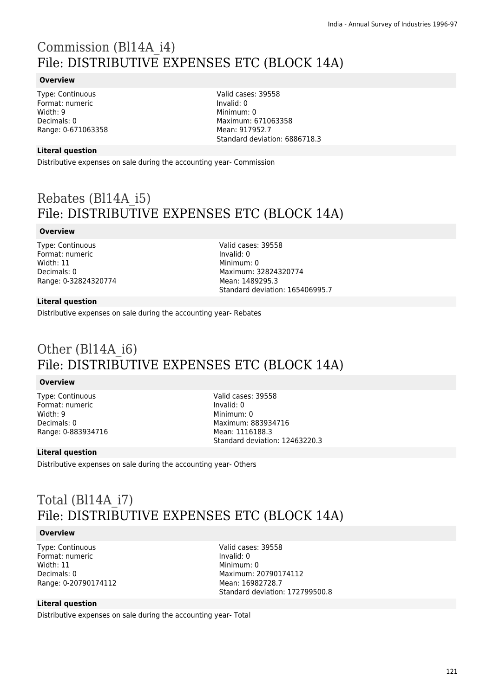# Commission (Bl14A\_i4) File: DISTRIBUTIVE EXPENSES ETC (BLOCK 14A)

#### **Overview**

Type: Continuous Format: numeric Width: 9 Decimals: 0 Range: 0-671063358 Valid cases: 39558 Invalid: 0 Minimum: 0 Maximum: 671063358 Mean: 917952.7 Standard deviation: 6886718.3

#### **Literal question**

Distributive expenses on sale during the accounting year- Commission

## Rebates (Bl14A\_i5) File: DISTRIBUTIVE EXPENSES ETC (BLOCK 14A)

#### **Overview**

Type: Continuous Format: numeric Width: 11 Decimals: 0 Range: 0-32824320774 Valid cases: 39558 Invalid: 0 Minimum: 0 Maximum: 32824320774 Mean: 1489295.3 Standard deviation: 165406995.7

#### **Literal question**

Distributive expenses on sale during the accounting year- Rebates

## Other (Bl14A\_i6) File: DISTRIBUTIVE EXPENSES ETC (BLOCK 14A)

#### **Overview**

Type: Continuous Format: numeric Width: 9 Decimals: 0 Range: 0-883934716 Valid cases: 39558 Invalid: 0 Minimum: 0 Maximum: 883934716 Mean: 1116188.3 Standard deviation: 12463220.3

#### **Literal question**

Distributive expenses on sale during the accounting year- Others

## Total (Bl14A\_i7) File: DISTRIBUTIVE EXPENSES ETC (BLOCK 14A)

#### **Overview**

Type: Continuous Format: numeric Width: 11 Decimals: 0 Range: 0-20790174112 Valid cases: 39558 Invalid: 0 Minimum: 0 Maximum: 20790174112 Mean: 16982728.7 Standard deviation: 172799500.8

#### **Literal question**

Distributive expenses on sale during the accounting year- Total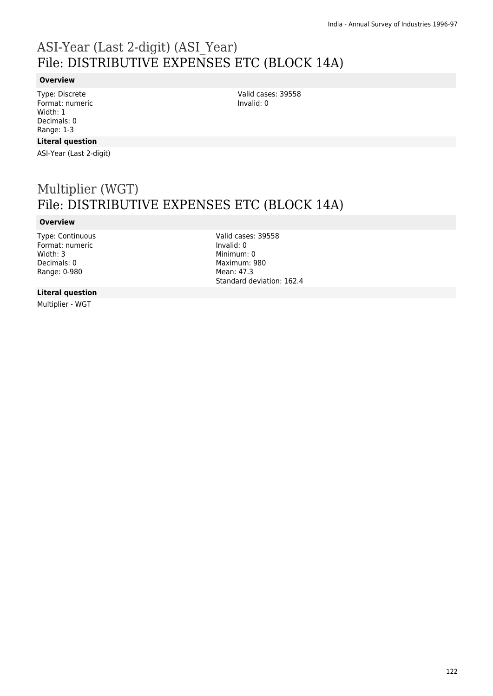# ASI-Year (Last 2-digit) (ASI\_Year) File: DISTRIBUTIVE EXPENSES ETC (BLOCK 14A)

#### **Overview**

Type: Discrete Format: numeric Width: 1 Decimals: 0 Range: 1-3

#### **Literal question**

ASI-Year (Last 2-digit)

## Multiplier (WGT) File: DISTRIBUTIVE EXPENSES ETC (BLOCK 14A)

#### **Overview**

Type: Continuous Format: numeric Width: 3 Decimals: 0 Range: 0-980

Valid cases: 39558 Invalid: 0 Minimum: 0 Maximum: 980 Mean: 47.3 Standard deviation: 162.4

Valid cases: 39558

Invalid: 0

#### **Literal question**

Multiplier - WGT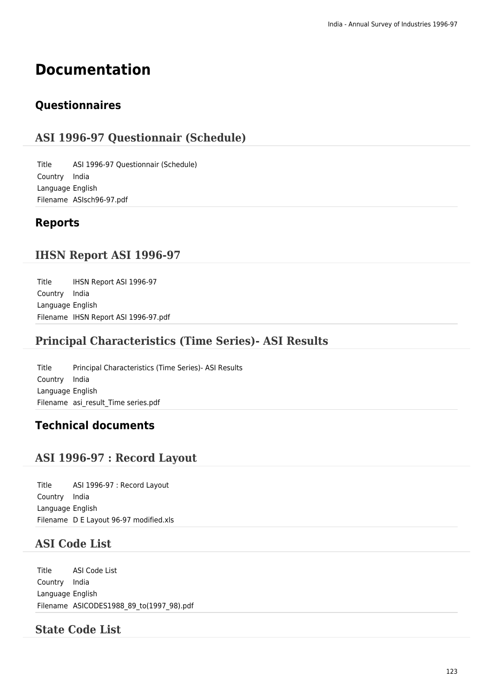# **Documentation**

### **Questionnaires**

### **ASI 1996-97 Questionnair (Schedule)**

Title ASI 1996-97 Questionnair (Schedule) Country India Language English Filename ASIsch96-97.pdf

### **Reports**

### **IHSN Report ASI 1996-97**

Title IHSN Report ASI 1996-97 Country India Language English Filename IHSN Report ASI 1996-97.pdf

### **Principal Characteristics (Time Series)- ASI Results**

Title Principal Characteristics (Time Series)- ASI Results Country India Language English Filename asi result Time series.pdf

### **Technical documents**

### **ASI 1996-97 : Record Layout**

Title ASI 1996-97 : Record Layout Country India Language English Filename D E Layout 96-97 modified.xls

### **ASI Code List**

Title ASI Code List Country India Language English Filename ASICODES1988\_89\_to(1997\_98).pdf

### **State Code List**